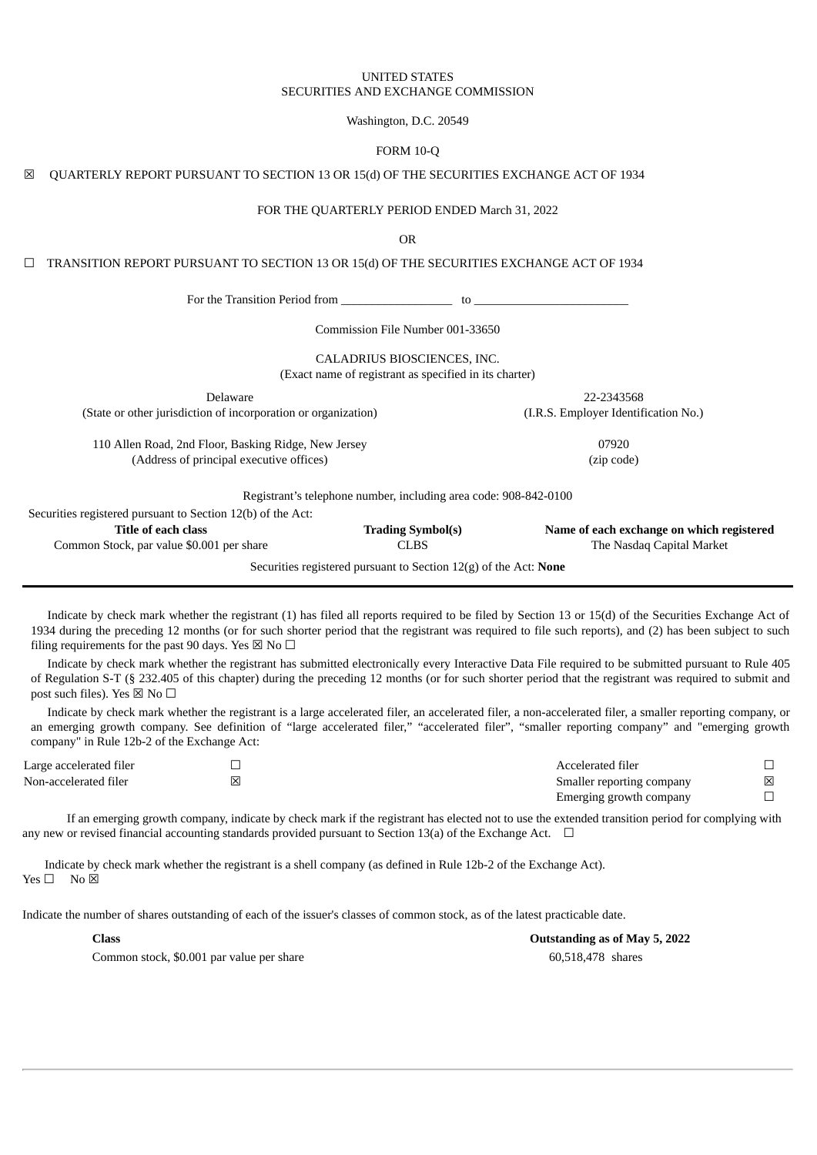## UNITED STATES SECURITIES AND EXCHANGE COMMISSION

Washington, D.C. 20549

## FORM 10-Q

## ☒ QUARTERLY REPORT PURSUANT TO SECTION 13 OR 15(d) OF THE SECURITIES EXCHANGE ACT OF 1934

## FOR THE QUARTERLY PERIOD ENDED March 31, 2022

OR

☐ TRANSITION REPORT PURSUANT TO SECTION 13 OR 15(d) OF THE SECURITIES EXCHANGE ACT OF 1934

For the Transition Period from \_\_\_\_\_\_\_\_\_\_\_\_\_\_\_\_\_\_ to \_\_\_\_\_\_\_\_\_\_\_\_\_\_\_\_\_\_\_\_\_\_\_\_\_

Commission File Number 001-33650

CALADRIUS BIOSCIENCES, INC.

(Exact name of registrant as specified in its charter)

Delaware 22-2343568 (State or other jurisdiction of incorporation or organization) (I.R.S. Employer Identification No.)

110 Allen Road, 2nd Floor, Basking Ridge, New Jersey 07920

(Address of principal executive offices) (zip code)

Registrant's telephone number, including area code: 908-842-0100

Securities registered pursuant to Section 12(b) of the Act:

| becamings registered parsuant to bechon 12(b) or the Tick. |                                                                           |                                           |
|------------------------------------------------------------|---------------------------------------------------------------------------|-------------------------------------------|
| Title of each class                                        | <b>Trading Symbol(s)</b>                                                  | Name of each exchange on which registered |
| Common Stock, par value \$0.001 per share                  | CLBS                                                                      | The Nasdaq Capital Market                 |
|                                                            | Securities registered pursuant to Section $12(g)$ of the Act: <b>None</b> |                                           |

Indicate by check mark whether the registrant (1) has filed all reports required to be filed by Section 13 or 15(d) of the Securities Exchange Act of 1934 during the preceding 12 months (or for such shorter period that the registrant was required to file such reports), and (2) has been subject to such filing requirements for the past 90 days. Yes  $\boxtimes$  No  $\Box$ 

Indicate by check mark whether the registrant has submitted electronically every Interactive Data File required to be submitted pursuant to Rule 405 of Regulation S-T (§ 232.405 of this chapter) during the preceding 12 months (or for such shorter period that the registrant was required to submit and post such files). Yes  $\boxtimes$  No  $\Box$ 

Indicate by check mark whether the registrant is a large accelerated filer, an accelerated filer, a non-accelerated filer, a smaller reporting company, or an emerging growth company. See definition of "large accelerated filer," "accelerated filer", "smaller reporting company" and "emerging growth company" in Rule 12b-2 of the Exchange Act:

| Large accelerated filer | Accelerated filer         |             |
|-------------------------|---------------------------|-------------|
| Non-accelerated filer   | Smaller reporting company | $\boxtimes$ |
|                         | Emerging growth company   |             |

If an emerging growth company, indicate by check mark if the registrant has elected not to use the extended transition period for complying with any new or revised financial accounting standards provided pursuant to Section 13(a) of the Exchange Act.  $\Box$ 

Indicate by check mark whether the registrant is a shell company (as defined in Rule 12b-2 of the Exchange Act).  $Yes \Box \ No \ \overline{\boxtimes}$ 

Indicate the number of shares outstanding of each of the issuer's classes of common stock, as of the latest practicable date.

<span id="page-0-0"></span>**Class Outstanding as of May 5, 2022** Common stock, \$0.001 par value per share 60,518,478 shares 60,518,478 shares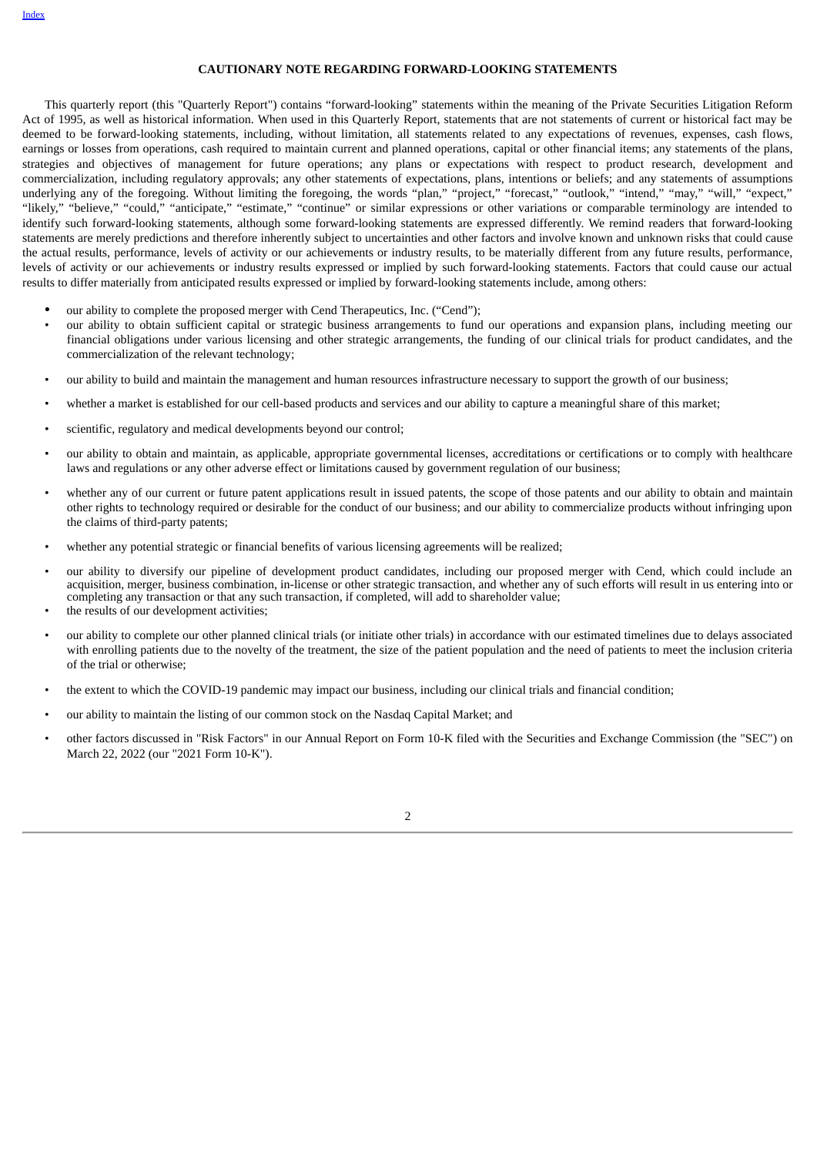## **CAUTIONARY NOTE REGARDING FORWARD-LOOKING STATEMENTS**

This quarterly report (this "Quarterly Report") contains "forward-looking" statements within the meaning of the Private Securities Litigation Reform Act of 1995, as well as historical information. When used in this Quarterly Report, statements that are not statements of current or historical fact may be deemed to be forward-looking statements, including, without limitation, all statements related to any expectations of revenues, expenses, cash flows, earnings or losses from operations, cash required to maintain current and planned operations, capital or other financial items; any statements of the plans, strategies and objectives of management for future operations; any plans or expectations with respect to product research, development and commercialization, including regulatory approvals; any other statements of expectations, plans, intentions or beliefs; and any statements of assumptions underlying any of the foregoing. Without limiting the foregoing, the words "plan," "project," "forecast," "outlook," "intend," "may," "will," "expect," "likely," "believe," "could," "anticipate," "estimate," "continue" or similar expressions or other variations or comparable terminology are intended to identify such forward-looking statements, although some forward-looking statements are expressed differently. We remind readers that forward-looking statements are merely predictions and therefore inherently subject to uncertainties and other factors and involve known and unknown risks that could cause the actual results, performance, levels of activity or our achievements or industry results, to be materially different from any future results, performance, levels of activity or our achievements or industry results expressed or implied by such forward-looking statements. Factors that could cause our actual results to differ materially from anticipated results expressed or implied by forward-looking statements include, among others:

- our ability to complete the proposed merger with Cend Therapeutics, Inc. ("Cend");
- our ability to obtain sufficient capital or strategic business arrangements to fund our operations and expansion plans, including meeting our financial obligations under various licensing and other strategic arrangements, the funding of our clinical trials for product candidates, and the commercialization of the relevant technology;
- our ability to build and maintain the management and human resources infrastructure necessary to support the growth of our business;
- whether a market is established for our cell-based products and services and our ability to capture a meaningful share of this market;
- scientific, regulatory and medical developments beyond our control;
- our ability to obtain and maintain, as applicable, appropriate governmental licenses, accreditations or certifications or to comply with healthcare laws and regulations or any other adverse effect or limitations caused by government regulation of our business;
- whether any of our current or future patent applications result in issued patents, the scope of those patents and our ability to obtain and maintain other rights to technology required or desirable for the conduct of our business; and our ability to commercialize products without infringing upon the claims of third-party patents;
- whether any potential strategic or financial benefits of various licensing agreements will be realized;
- our ability to diversify our pipeline of development product candidates, including our proposed merger with Cend, which could include an acquisition, merger, business combination, in-license or other strategic transaction, and whether any of such efforts will result in us entering into or completing any transaction or that any such transaction, if completed, will add to shareholder value;
- the results of our development activities;
- our ability to complete our other planned clinical trials (or initiate other trials) in accordance with our estimated timelines due to delays associated with enrolling patients due to the novelty of the treatment, the size of the patient population and the need of patients to meet the inclusion criteria of the trial or otherwise;
- the extent to which the COVID-19 pandemic may impact our business, including our clinical trials and financial condition;
- our ability to maintain the listing of our common stock on the Nasdaq Capital Market; and
- other factors discussed in "Risk Factors" in our Annual Report on Form 10-K filed with the Securities and Exchange Commission (the "SEC") on March 22, 2022 (our "2021 Form 10-K").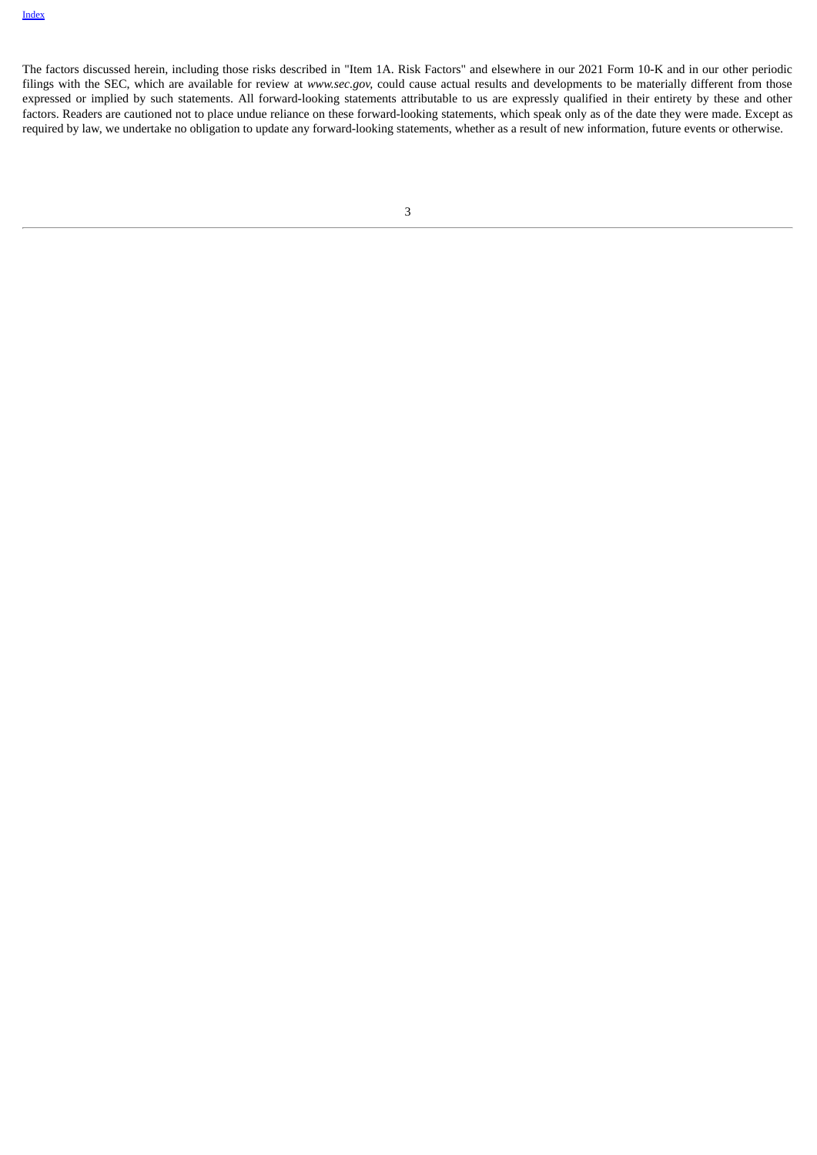The factors discussed herein, including those risks described in "Item 1A. Risk Factors" and elsewhere in our 2021 Form 10-K and in our other periodic filings with the SEC, which are available for review at *www.sec.gov,* could cause actual results and developments to be materially different from those expressed or implied by such statements. All forward-looking statements attributable to us are expressly qualified in their entirety by these and other factors. Readers are cautioned not to place undue reliance on these forward-looking statements, which speak only as of the date they were made. Except as required by law, we undertake no obligation to update any forward-looking statements, whether as a result of new information, future events or otherwise.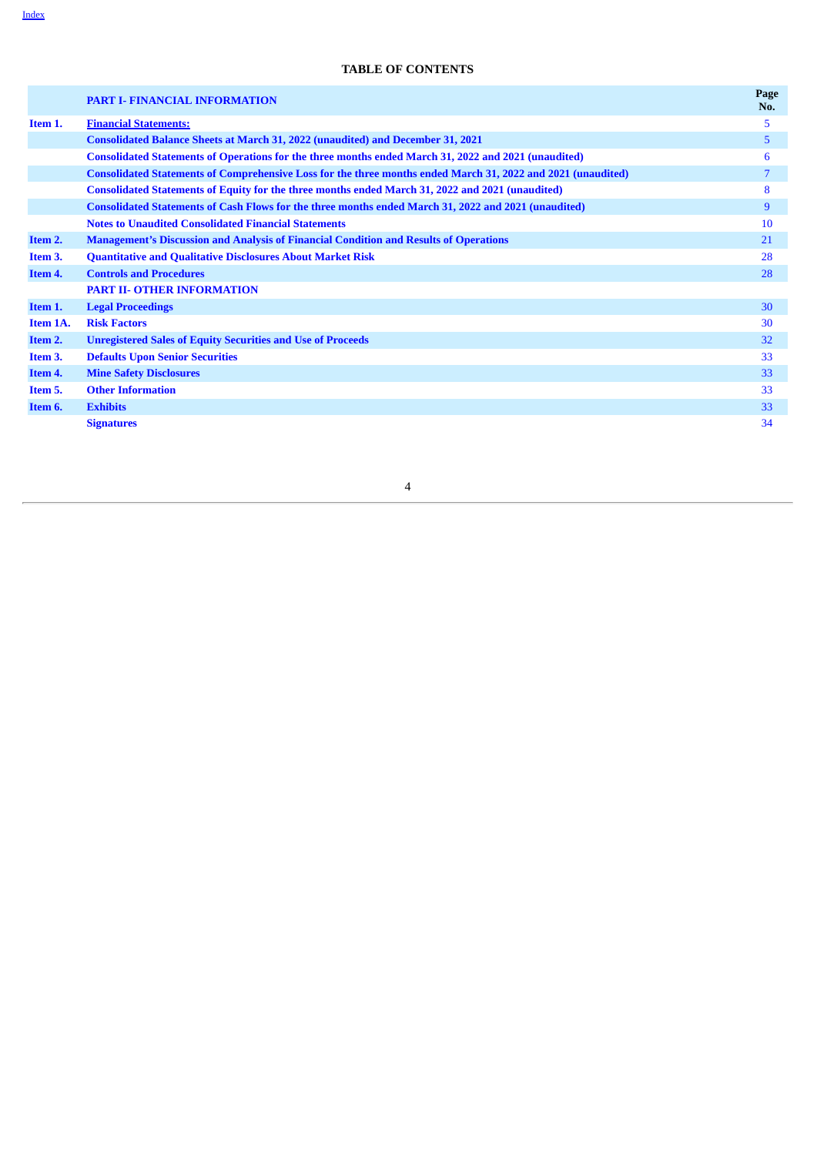# **TABLE OF CONTENTS**

<span id="page-3-0"></span>

|          | <b>PART I- FINANCIAL INFORMATION</b>                                                                         | Page<br>No. |
|----------|--------------------------------------------------------------------------------------------------------------|-------------|
| Item 1.  | <b>Financial Statements:</b>                                                                                 | 5           |
|          | <b>Consolidated Balance Sheets at March 31, 2022 (unaudited) and December 31, 2021</b>                       | 5           |
|          | <b>Consolidated Statements of Operations for the three months ended March 31, 2022 and 2021 (unaudited)</b>  | 6           |
|          | Consolidated Statements of Comprehensive Loss for the three months ended March 31, 2022 and 2021 (unaudited) |             |
|          | <b>Consolidated Statements of Equity for the three months ended March 31, 2022 and 2021 (unaudited)</b>      | 8           |
|          | Consolidated Statements of Cash Flows for the three months ended March 31, 2022 and 2021 (unaudited)         | 9           |
|          | <b>Notes to Unaudited Consolidated Financial Statements</b>                                                  | 10          |
| Item 2.  | <b>Management's Discussion and Analysis of Financial Condition and Results of Operations</b>                 | 21          |
| Item 3.  | <b>Quantitative and Qualitative Disclosures About Market Risk</b>                                            | 28          |
| Item 4.  | <b>Controls and Procedures</b>                                                                               | 28          |
|          | <b>PART II- OTHER INFORMATION</b>                                                                            |             |
| Item 1.  | <b>Legal Proceedings</b>                                                                                     | 30          |
| Item 1A. | <b>Risk Factors</b>                                                                                          | 30          |
| Item 2.  | <b>Unregistered Sales of Equity Securities and Use of Proceeds</b>                                           | 32          |
| Item 3.  | <b>Defaults Upon Senior Securities</b>                                                                       | 33          |
| Item 4.  | <b>Mine Safety Disclosures</b>                                                                               | 33          |
| Item 5.  | <b>Other Information</b>                                                                                     | 33          |
| Item 6.  | <b>Exhibits</b>                                                                                              | 33          |
|          | <b>Signatures</b>                                                                                            | 34          |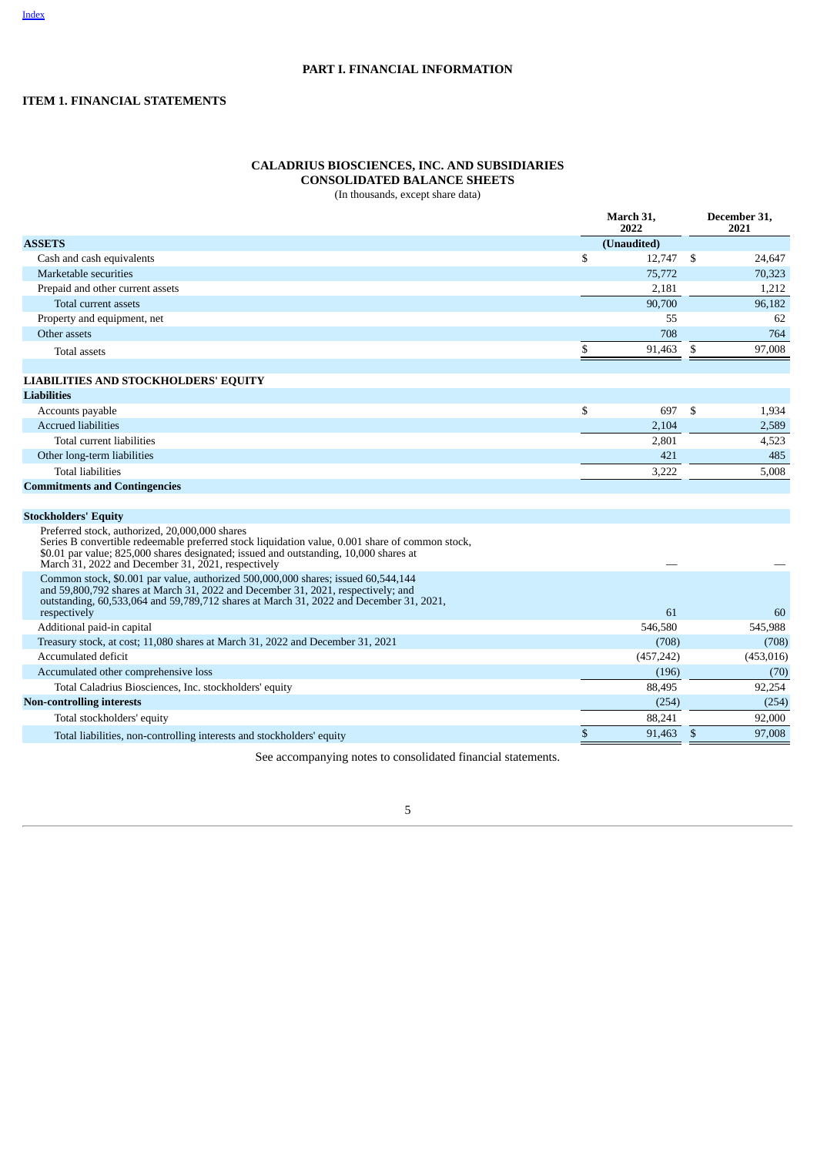# <span id="page-4-0"></span>**ITEM 1. FINANCIAL STATEMENTS**

## **CALADRIUS BIOSCIENCES, INC. AND SUBSIDIARIES CONSOLIDATED BALANCE SHEETS** (In thousands, except share data)

<span id="page-4-1"></span>

|                                                                                                                                                                                                                                                                                                  | March 31,<br>2022 | December 31,<br>2021 |
|--------------------------------------------------------------------------------------------------------------------------------------------------------------------------------------------------------------------------------------------------------------------------------------------------|-------------------|----------------------|
| <b>ASSETS</b>                                                                                                                                                                                                                                                                                    | (Unaudited)       |                      |
| Cash and cash equivalents                                                                                                                                                                                                                                                                        | \$<br>12,747      | \$<br>24,647         |
| Marketable securities                                                                                                                                                                                                                                                                            | 75,772            | 70,323               |
| Prepaid and other current assets                                                                                                                                                                                                                                                                 | 2,181             | 1,212                |
| Total current assets                                                                                                                                                                                                                                                                             | 90,700            | 96,182               |
| Property and equipment, net                                                                                                                                                                                                                                                                      | 55                | 62                   |
| Other assets                                                                                                                                                                                                                                                                                     | 708               | 764                  |
| Total assets                                                                                                                                                                                                                                                                                     | \$<br>91,463      | \$<br>97,008         |
|                                                                                                                                                                                                                                                                                                  |                   |                      |
| <b>LIABILITIES AND STOCKHOLDERS' EQUITY</b>                                                                                                                                                                                                                                                      |                   |                      |
| <b>Liabilities</b>                                                                                                                                                                                                                                                                               |                   |                      |
| Accounts payable                                                                                                                                                                                                                                                                                 | \$<br>697         | \$<br>1,934          |
| <b>Accrued liabilities</b>                                                                                                                                                                                                                                                                       | 2,104             | 2,589                |
| Total current liabilities                                                                                                                                                                                                                                                                        | 2,801             | 4,523                |
| Other long-term liabilities                                                                                                                                                                                                                                                                      | 421               | 485                  |
| <b>Total liabilities</b>                                                                                                                                                                                                                                                                         | 3,222             | 5,008                |
| <b>Commitments and Contingencies</b>                                                                                                                                                                                                                                                             |                   |                      |
| <b>Stockholders' Equity</b>                                                                                                                                                                                                                                                                      |                   |                      |
| Preferred stock, authorized, 20,000,000 shares<br>Series B convertible redeemable preferred stock liquidation value, 0.001 share of common stock,<br>\$0.01 par value; 825,000 shares designated; issued and outstanding, 10,000 shares at<br>March 31, 2022 and December 31, 2021, respectively |                   |                      |
| Common stock, \$0.001 par value, authorized 500,000,000 shares; issued 60,544,144<br>and 59,800,792 shares at March 31, 2022 and December 31, 2021, respectively; and<br>outstanding, 60,533,064 and 59,789,712 shares at March 31, 2022 and December 31, 2021,<br>respectively                  | 61                | -60                  |
| Additional paid-in capital                                                                                                                                                                                                                                                                       | 546,580           | 545,988              |
| Treasury stock, at cost; 11,080 shares at March 31, 2022 and December 31, 2021                                                                                                                                                                                                                   | (708)             | (708)                |
| Accumulated deficit                                                                                                                                                                                                                                                                              | (457, 242)        | (453, 016)           |
| Accumulated other comprehensive loss                                                                                                                                                                                                                                                             | (196)             | (70)                 |
| Total Caladrius Biosciences, Inc. stockholders' equity                                                                                                                                                                                                                                           | 88,495            | 92,254               |
| <b>Non-controlling interests</b>                                                                                                                                                                                                                                                                 | (254)             | (254)                |
| Total stockholders' equity                                                                                                                                                                                                                                                                       | 88,241            | 92.000               |
| Total liabilities, non-controlling interests and stockholders' equity                                                                                                                                                                                                                            | \$<br>91,463      | \$<br>97,008         |
|                                                                                                                                                                                                                                                                                                  |                   |                      |

See accompanying notes to consolidated financial statements.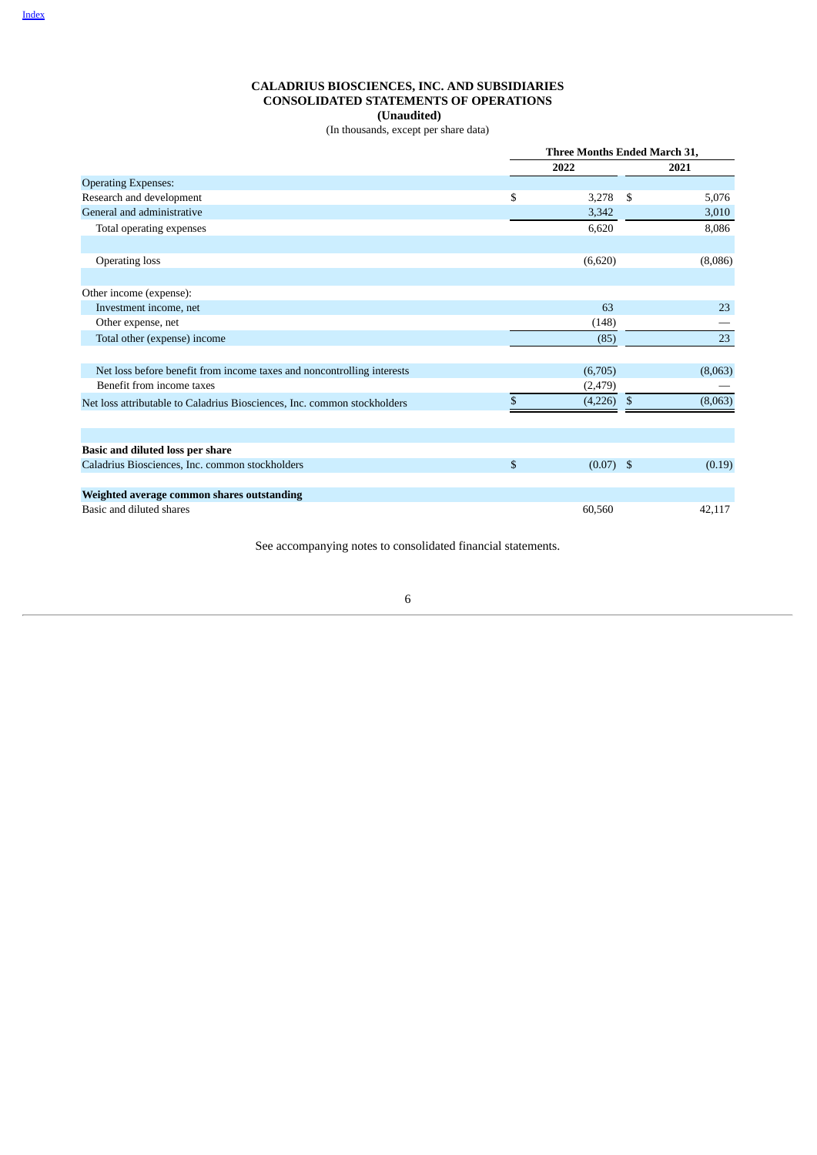## **CALADRIUS BIOSCIENCES, INC. AND SUBSIDIARIES CONSOLIDATED STATEMENTS OF OPERATIONS (Unaudited)**

(In thousands, except per share data)

<span id="page-5-0"></span>

|                                                                          | Three Months Ended March 31, |               |
|--------------------------------------------------------------------------|------------------------------|---------------|
|                                                                          | 2022                         | 2021          |
| <b>Operating Expenses:</b>                                               |                              |               |
| Research and development                                                 | \$<br>3,278                  | \$<br>5,076   |
| General and administrative                                               | 3,342                        | 3,010         |
| Total operating expenses                                                 | 6,620                        | 8,086         |
|                                                                          |                              |               |
| <b>Operating loss</b>                                                    | (6,620)                      | (8,086)       |
|                                                                          |                              |               |
| Other income (expense):                                                  |                              |               |
| Investment income, net                                                   | 63                           | 23            |
| Other expense, net                                                       | (148)                        |               |
| Total other (expense) income                                             | (85)                         | 23            |
|                                                                          |                              |               |
| Net loss before benefit from income taxes and noncontrolling interests   | (6,705)                      | (8,063)       |
| Benefit from income taxes                                                | (2, 479)                     |               |
| Net loss attributable to Caladrius Biosciences, Inc. common stockholders | \$<br>(4,226)                | \$<br>(8,063) |
|                                                                          |                              |               |
|                                                                          |                              |               |
| Basic and diluted loss per share                                         |                              |               |
| Caladrius Biosciences, Inc. common stockholders                          | \$<br>$(0.07)$ \$            | (0.19)        |
|                                                                          |                              |               |
| Weighted average common shares outstanding                               |                              |               |
| Basic and diluted shares                                                 | 60,560                       | 42,117        |

<span id="page-5-1"></span>See accompanying notes to consolidated financial statements.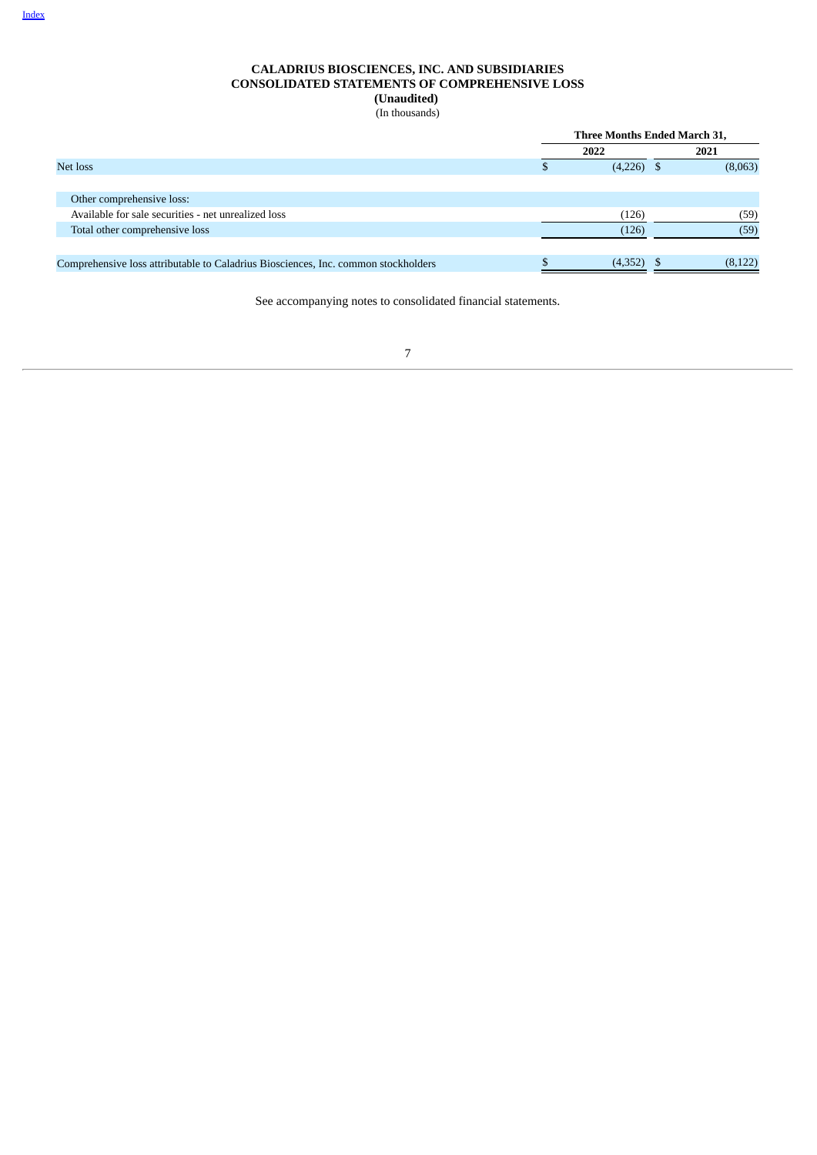## **CALADRIUS BIOSCIENCES, INC. AND SUBSIDIARIES CONSOLIDATED STATEMENTS OF COMPREHENSIVE LOSS (Unaudited)**

(In thousands)

<span id="page-6-0"></span>

|                                                                                    | Three Months Ended March 31, |          |
|------------------------------------------------------------------------------------|------------------------------|----------|
|                                                                                    | 2022                         | 2021     |
| Net loss                                                                           | $(4,226)$ \$                 | (8,063)  |
|                                                                                    |                              |          |
| Other comprehensive loss:                                                          |                              |          |
| Available for sale securities - net unrealized loss                                | (126)                        | (59)     |
| Total other comprehensive loss                                                     | (126)                        | (59)     |
|                                                                                    |                              |          |
| Comprehensive loss attributable to Caladrius Biosciences, Inc. common stockholders | $(4,352)$ \$                 | (8, 122) |

See accompanying notes to consolidated financial statements.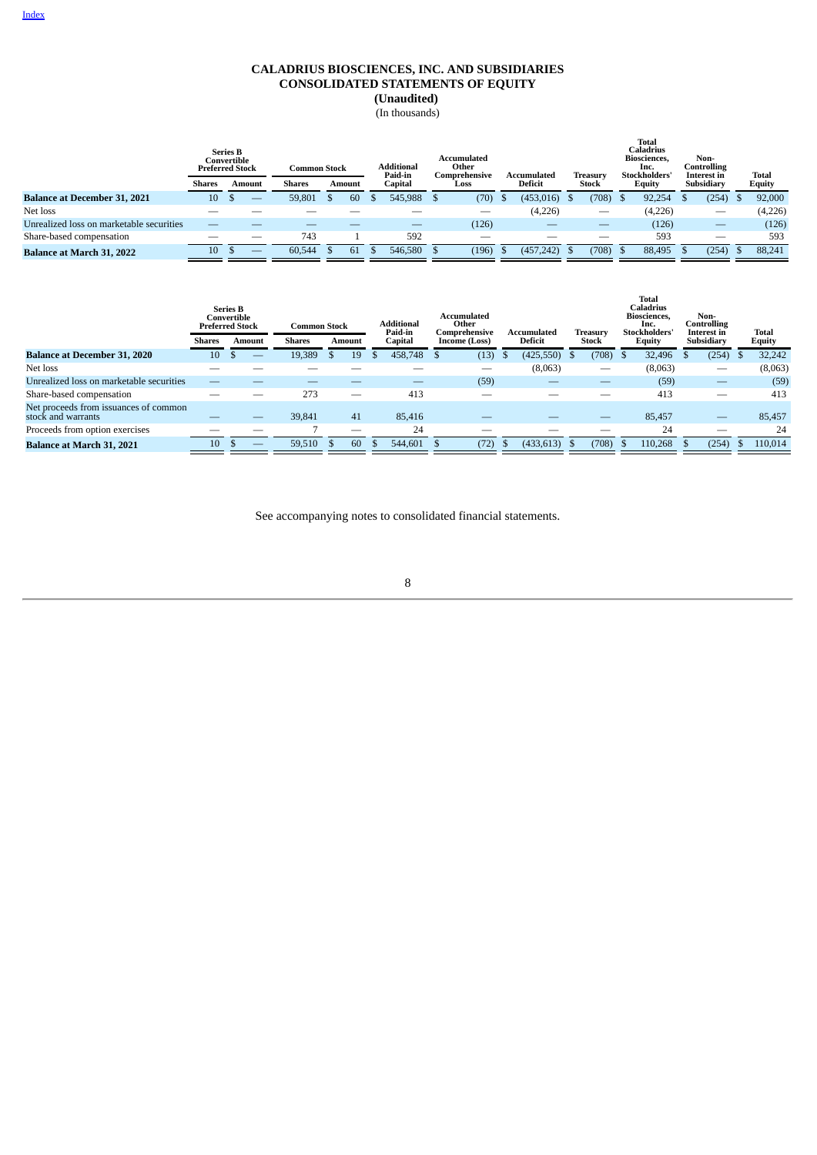## **CALADRIUS BIOSCIENCES, INC. AND SUBSIDIARIES CONSOLIDATED STATEMENTS OF EQUITY (Unaudited)**

(In thousands)

|                                          |               | <b>Series B</b><br>Convertible<br><b>Preferred Stock</b> | Common Stock  |  |        | <b>Additional</b><br>Paid-in |         | Accumulated<br>Other<br>Comprehensive |       | Accumulated |            | <b>Treasury</b> |       |      | <b>Total</b><br>Caladrius<br><b>Biosciences.</b><br>Inc.<br><b>Stockholders'</b> | Non-<br>Controlling<br>Interest in |            | Total |         |  |
|------------------------------------------|---------------|----------------------------------------------------------|---------------|--|--------|------------------------------|---------|---------------------------------------|-------|-------------|------------|-----------------|-------|------|----------------------------------------------------------------------------------|------------------------------------|------------|-------|---------|--|
|                                          | <b>Shares</b> | Amount                                                   | <b>Shares</b> |  | Amount |                              | Capital |                                       | Loss  |             | Deficit    |                 | Stock |      | Equity                                                                           |                                    | Subsidiary |       | Equity  |  |
| <b>Balance at December 31, 2021</b>      | 10            |                                                          | 59,801        |  | 60     |                              | 545,988 |                                       | (70)  |             | (453, 016) |                 | (708) | - \$ | 92,254                                                                           |                                    | (254)      |       | 92,000  |  |
| Net loss                                 |               |                                                          |               |  |        |                              |         |                                       |       |             | (4,226)    |                 |       |      | (4,226)                                                                          |                                    | —          |       | (4,226) |  |
| Unrealized loss on marketable securities |               |                                                          |               |  |        |                              | –       |                                       | (126) |             |            |                 |       |      | (126)                                                                            |                                    |            |       | (126)   |  |
| Share-based compensation                 |               |                                                          | 743           |  |        |                              | 592     |                                       |       |             |            |                 |       |      | 593                                                                              |                                    |            |       | 593     |  |
| <b>Balance at March 31, 2022</b>         | 10            |                                                          | 60,544        |  | 61     |                              | 546,580 |                                       | (196) |             | (457, 242) |                 | (708) |      | 88.495                                                                           |                                    | (254)      |       | 88.241  |  |

|                                                             |               | <b>Series B</b><br>Convertible<br><b>Preferred Stock</b> | <b>Common Stock</b> |                          |  | Accumulated<br><b>Additional</b><br>Other<br>Paid-in<br>Comprehensive |               | Accumulated |                | <b>Treasury</b> |              | <b>Total</b><br><b>Caladrius</b><br><b>Biosciences.</b><br>Inc.<br><b>Stockholders'</b> |               | Non-<br>Controlling<br>Interest in |            |  | <b>Total</b>  |  |
|-------------------------------------------------------------|---------------|----------------------------------------------------------|---------------------|--------------------------|--|-----------------------------------------------------------------------|---------------|-------------|----------------|-----------------|--------------|-----------------------------------------------------------------------------------------|---------------|------------------------------------|------------|--|---------------|--|
|                                                             | <b>Shares</b> | Amount                                                   | <b>Shares</b>       | <b>Amount</b>            |  | Capital                                                               | Income (Loss) |             | <b>Deficit</b> |                 | <b>Stock</b> |                                                                                         | <b>Equity</b> |                                    | Subsidiary |  | <b>Equity</b> |  |
| <b>Balance at December 31, 2020</b>                         | 10            |                                                          | 19.389              | 19                       |  | 458,748                                                               | (13)          | - 76        | (425, 550)     |                 | (708)        | - \$                                                                                    | 32,496        |                                    | (254)      |  | 32,242        |  |
| Net loss                                                    |               |                                                          |                     |                          |  |                                                                       | __            |             | (8,063)        |                 |              |                                                                                         | (8,063)       |                                    |            |  | (8,063)       |  |
| Unrealized loss on marketable securities                    | __            |                                                          |                     |                          |  | __                                                                    | (59)          |             | __             |                 | –            |                                                                                         | (59)          |                                    |            |  | (59)          |  |
| Share-based compensation                                    | __            |                                                          | 273                 | $\overline{\phantom{m}}$ |  | 413                                                                   |               |             |                |                 |              |                                                                                         | 413           |                                    | –          |  | 413           |  |
| Net proceeds from issuances of common<br>stock and warrants |               |                                                          | 39,841              | 41                       |  | 85,416                                                                |               |             |                |                 |              |                                                                                         | 85,457        |                                    |            |  | 85,457        |  |
| Proceeds from option exercises                              |               |                                                          |                     |                          |  | 24                                                                    |               |             |                |                 |              |                                                                                         | 24            |                                    |            |  | 24            |  |
| <b>Balance at March 31, 2021</b>                            | 10            |                                                          | 59,510              | 60                       |  | 544,601                                                               | (72)          | æ           | (433, 613)     |                 | (708)        |                                                                                         | 110.268       |                                    | (254)      |  | 110,014       |  |

<span id="page-7-0"></span>See accompanying notes to consolidated financial statements.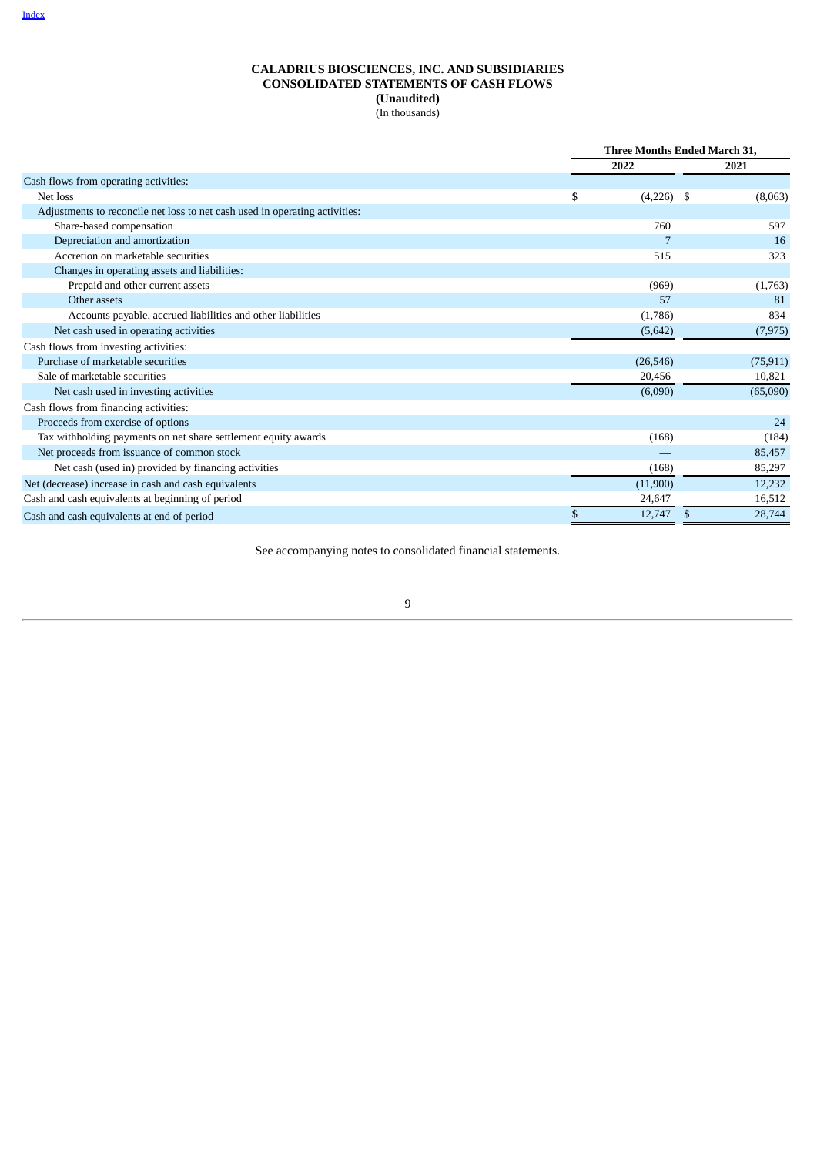# **CALADRIUS BIOSCIENCES, INC. AND SUBSIDIARIES CONSOLIDATED STATEMENTS OF CASH FLOWS (Unaudited)**

(In thousands)

|                                                                             | Three Months Ended March 31, |    |           |
|-----------------------------------------------------------------------------|------------------------------|----|-----------|
|                                                                             | 2022                         |    | 2021      |
| Cash flows from operating activities:                                       |                              |    |           |
| Net loss                                                                    | \$<br>$(4,226)$ \$           |    | (8,063)   |
| Adjustments to reconcile net loss to net cash used in operating activities: |                              |    |           |
| Share-based compensation                                                    | 760                          |    | 597       |
| Depreciation and amortization                                               |                              |    | 16        |
| Accretion on marketable securities                                          | 515                          |    | 323       |
| Changes in operating assets and liabilities:                                |                              |    |           |
| Prepaid and other current assets                                            | (969)                        |    | (1,763)   |
| Other assets                                                                | 57                           |    | 81        |
| Accounts payable, accrued liabilities and other liabilities                 | (1,786)                      |    | 834       |
| Net cash used in operating activities                                       | (5,642)                      |    | (7, 975)  |
| Cash flows from investing activities:                                       |                              |    |           |
| Purchase of marketable securities                                           | (26, 546)                    |    | (75, 911) |
| Sale of marketable securities                                               | 20,456                       |    | 10,821    |
| Net cash used in investing activities                                       | (6,090)                      |    | (65,090)  |
| Cash flows from financing activities:                                       |                              |    |           |
| Proceeds from exercise of options                                           |                              |    | 24        |
| Tax withholding payments on net share settlement equity awards              | (168)                        |    | (184)     |
| Net proceeds from issuance of common stock                                  |                              |    | 85,457    |
| Net cash (used in) provided by financing activities                         | (168)                        |    | 85,297    |
| Net (decrease) increase in cash and cash equivalents                        | (11,900)                     |    | 12,232    |
| Cash and cash equivalents at beginning of period                            | 24,647                       |    | 16,512    |
| Cash and cash equivalents at end of period                                  | \$<br>12,747                 | Ŝ. | 28,744    |
|                                                                             |                              |    |           |

<span id="page-8-0"></span>See accompanying notes to consolidated financial statements.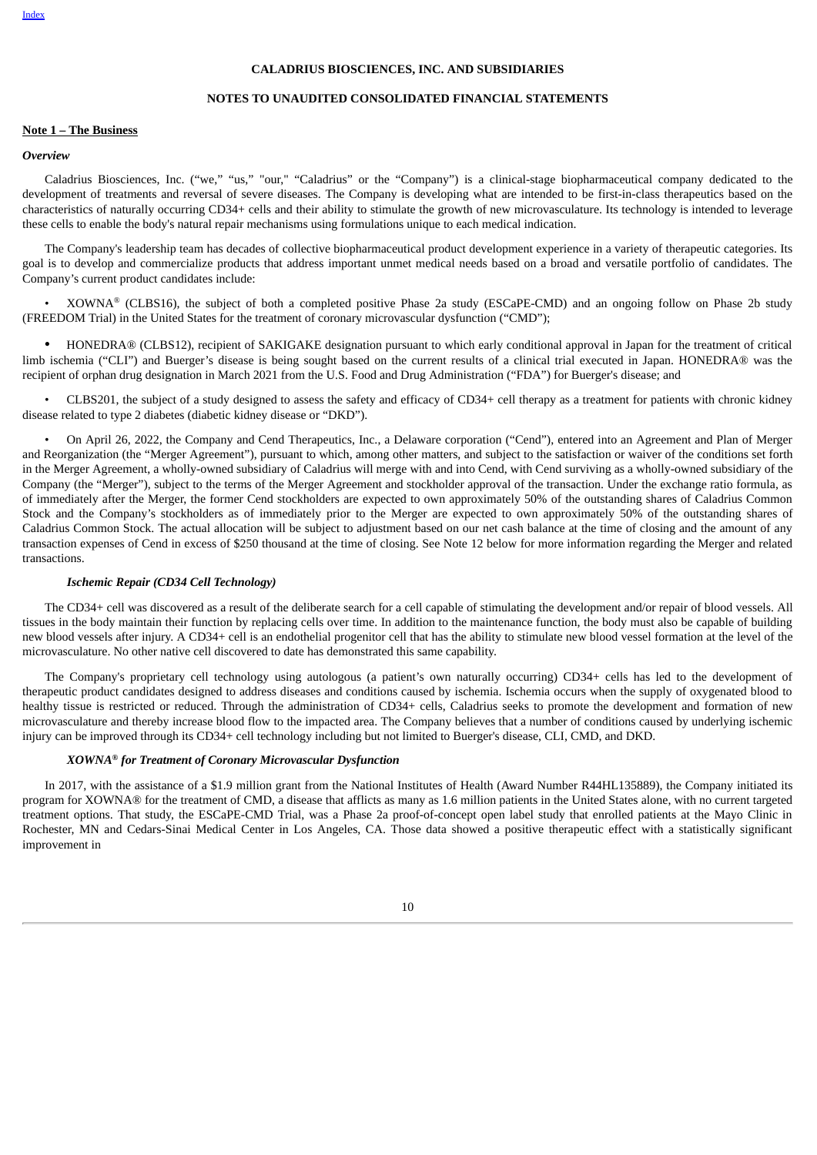### **CALADRIUS BIOSCIENCES, INC. AND SUBSIDIARIES**

## **NOTES TO UNAUDITED CONSOLIDATED FINANCIAL STATEMENTS**

## **Note 1 – The Business**

#### *Overview*

Caladrius Biosciences, Inc. ("we," "us," "our," "Caladrius" or the "Company") is a clinical-stage biopharmaceutical company dedicated to the development of treatments and reversal of severe diseases. The Company is developing what are intended to be first-in-class therapeutics based on the characteristics of naturally occurring CD34+ cells and their ability to stimulate the growth of new microvasculature. Its technology is intended to leverage these cells to enable the body's natural repair mechanisms using formulations unique to each medical indication.

The Company's leadership team has decades of collective biopharmaceutical product development experience in a variety of therapeutic categories. Its goal is to develop and commercialize products that address important unmet medical needs based on a broad and versatile portfolio of candidates. The Company's current product candidates include:

• XOWNA<sup>®</sup> (CLBS16), the subject of both a completed positive Phase 2a study (ESCaPE-CMD) and an ongoing follow on Phase 2b study (FREEDOM Trial) in the United States for the treatment of coronary microvascular dysfunction ("CMD");

• HONEDRA® (CLBS12), recipient of SAKIGAKE designation pursuant to which early conditional approval in Japan for the treatment of critical limb ischemia ("CLI") and Buerger's disease is being sought based on the current results of a clinical trial executed in Japan. HONEDRA® was the recipient of orphan drug designation in March 2021 from the U.S. Food and Drug Administration ("FDA") for Buerger's disease; and

• CLBS201, the subject of a study designed to assess the safety and efficacy of CD34+ cell therapy as a treatment for patients with chronic kidney disease related to type 2 diabetes (diabetic kidney disease or "DKD").

• On April 26, 2022, the Company and Cend Therapeutics, Inc., a Delaware corporation ("Cend"), entered into an Agreement and Plan of Merger and Reorganization (the "Merger Agreement"), pursuant to which, among other matters, and subject to the satisfaction or waiver of the conditions set forth in the Merger Agreement, a wholly-owned subsidiary of Caladrius will merge with and into Cend, with Cend surviving as a wholly-owned subsidiary of the Company (the "Merger"), subject to the terms of the Merger Agreement and stockholder approval of the transaction. Under the exchange ratio formula, as of immediately after the Merger, the former Cend stockholders are expected to own approximately 50% of the outstanding shares of Caladrius Common Stock and the Company's stockholders as of immediately prior to the Merger are expected to own approximately 50% of the outstanding shares of Caladrius Common Stock. The actual allocation will be subject to adjustment based on our net cash balance at the time of closing and the amount of any transaction expenses of Cend in excess of \$250 thousand at the time of closing. See Note 12 below for more information regarding the Merger and related transactions.

### *Ischemic Repair (CD34 Cell Technology)*

The CD34+ cell was discovered as a result of the deliberate search for a cell capable of stimulating the development and/or repair of blood vessels. All tissues in the body maintain their function by replacing cells over time. In addition to the maintenance function, the body must also be capable of building new blood vessels after injury. A CD34+ cell is an endothelial progenitor cell that has the ability to stimulate new blood vessel formation at the level of the microvasculature. No other native cell discovered to date has demonstrated this same capability.

The Company's proprietary cell technology using autologous (a patient's own naturally occurring) CD34+ cells has led to the development of therapeutic product candidates designed to address diseases and conditions caused by ischemia. Ischemia occurs when the supply of oxygenated blood to healthy tissue is restricted or reduced. Through the administration of CD34+ cells, Caladrius seeks to promote the development and formation of new microvasculature and thereby increase blood flow to the impacted area. The Company believes that a number of conditions caused by underlying ischemic injury can be improved through its CD34+ cell technology including but not limited to Buerger's disease, CLI, CMD, and DKD.

#### *XOWNA for Treatment of Coronary Microvascular Dysfunction ®*

In 2017, with the assistance of a \$1.9 million grant from the National Institutes of Health (Award Number R44HL135889), the Company initiated its program for XOWNA® for the treatment of CMD, a disease that afflicts as many as 1.6 million patients in the United States alone, with no current targeted treatment options. That study, the ESCaPE-CMD Trial, was a Phase 2a proof-of-concept open label study that enrolled patients at the Mayo Clinic in Rochester, MN and Cedars-Sinai Medical Center in Los Angeles, CA. Those data showed a positive therapeutic effect with a statistically significant improvement in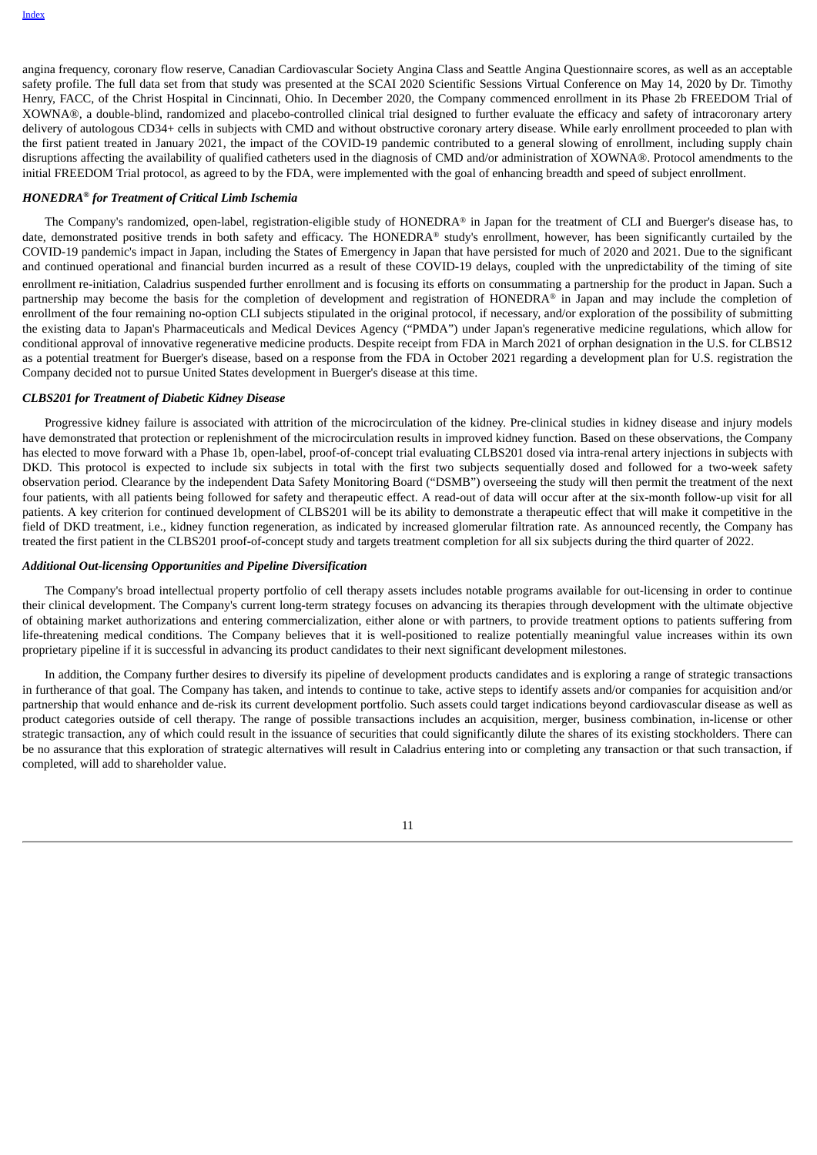angina frequency, coronary flow reserve, Canadian Cardiovascular Society Angina Class and Seattle Angina Questionnaire scores, as well as an acceptable safety profile. The full data set from that study was presented at the SCAI 2020 Scientific Sessions Virtual Conference on May 14, 2020 by Dr. Timothy Henry, FACC, of the Christ Hospital in Cincinnati, Ohio. In December 2020, the Company commenced enrollment in its Phase 2b FREEDOM Trial of XOWNA®, a double-blind, randomized and placebo-controlled clinical trial designed to further evaluate the efficacy and safety of intracoronary artery delivery of autologous CD34+ cells in subjects with CMD and without obstructive coronary artery disease. While early enrollment proceeded to plan with the first patient treated in January 2021, the impact of the COVID-19 pandemic contributed to a general slowing of enrollment, including supply chain disruptions affecting the availability of qualified catheters used in the diagnosis of CMD and/or administration of XOWNA®. Protocol amendments to the initial FREEDOM Trial protocol, as agreed to by the FDA, were implemented with the goal of enhancing breadth and speed of subject enrollment.

## *HONEDRA for Treatment of Critical Limb Ischemia ®*

The Company's randomized, open-label, registration-eligible study of HONEDRA® in Japan for the treatment of CLI and Buerger's disease has, to date, demonstrated positive trends in both safety and efficacy. The HONEDRA® study's enrollment, however, has been significantly curtailed by the COVID-19 pandemic's impact in Japan, including the States of Emergency in Japan that have persisted for much of 2020 and 2021. Due to the significant and continued operational and financial burden incurred as a result of these COVID-19 delays, coupled with the unpredictability of the timing of site enrollment re-initiation, Caladrius suspended further enrollment and is focusing its efforts on consummating a partnership for the product in Japan. Such a partnership may become the basis for the completion of development and registration of HONEDRA® in Japan and may include the completion of enrollment of the four remaining no-option CLI subjects stipulated in the original protocol, if necessary, and/or exploration of the possibility of submitting the existing data to Japan's Pharmaceuticals and Medical Devices Agency ("PMDA") under Japan's regenerative medicine regulations, which allow for conditional approval of innovative regenerative medicine products. Despite receipt from FDA in March 2021 of orphan designation in the U.S. for CLBS12 as a potential treatment for Buerger's disease, based on a response from the FDA in October 2021 regarding a development plan for U.S. registration the Company decided not to pursue United States development in Buerger's disease at this time.

### *CLBS201 for Treatment of Diabetic Kidney Disease*

Progressive kidney failure is associated with attrition of the microcirculation of the kidney. Pre-clinical studies in kidney disease and injury models have demonstrated that protection or replenishment of the microcirculation results in improved kidney function. Based on these observations, the Company has elected to move forward with a Phase 1b, open-label, proof-of-concept trial evaluating CLBS201 dosed via intra-renal artery injections in subjects with DKD. This protocol is expected to include six subjects in total with the first two subjects sequentially dosed and followed for a two-week safety observation period. Clearance by the independent Data Safety Monitoring Board ("DSMB") overseeing the study will then permit the treatment of the next four patients, with all patients being followed for safety and therapeutic effect. A read-out of data will occur after at the six-month follow-up visit for all patients. A key criterion for continued development of CLBS201 will be its ability to demonstrate a therapeutic effect that will make it competitive in the field of DKD treatment, i.e., kidney function regeneration, as indicated by increased glomerular filtration rate. As announced recently, the Company has treated the first patient in the CLBS201 proof-of-concept study and targets treatment completion for all six subjects during the third quarter of 2022.

### *Additional Out-licensing Opportunities and Pipeline Diversification*

The Company's broad intellectual property portfolio of cell therapy assets includes notable programs available for out-licensing in order to continue their clinical development. The Company's current long-term strategy focuses on advancing its therapies through development with the ultimate objective of obtaining market authorizations and entering commercialization, either alone or with partners, to provide treatment options to patients suffering from life-threatening medical conditions. The Company believes that it is well-positioned to realize potentially meaningful value increases within its own proprietary pipeline if it is successful in advancing its product candidates to their next significant development milestones.

In addition, the Company further desires to diversify its pipeline of development products candidates and is exploring a range of strategic transactions in furtherance of that goal. The Company has taken, and intends to continue to take, active steps to identify assets and/or companies for acquisition and/or partnership that would enhance and de-risk its current development portfolio. Such assets could target indications beyond cardiovascular disease as well as product categories outside of cell therapy. The range of possible transactions includes an acquisition, merger, business combination, in-license or other strategic transaction, any of which could result in the issuance of securities that could significantly dilute the shares of its existing stockholders. There can be no assurance that this exploration of strategic alternatives will result in Caladrius entering into or completing any transaction or that such transaction, if completed, will add to shareholder value.

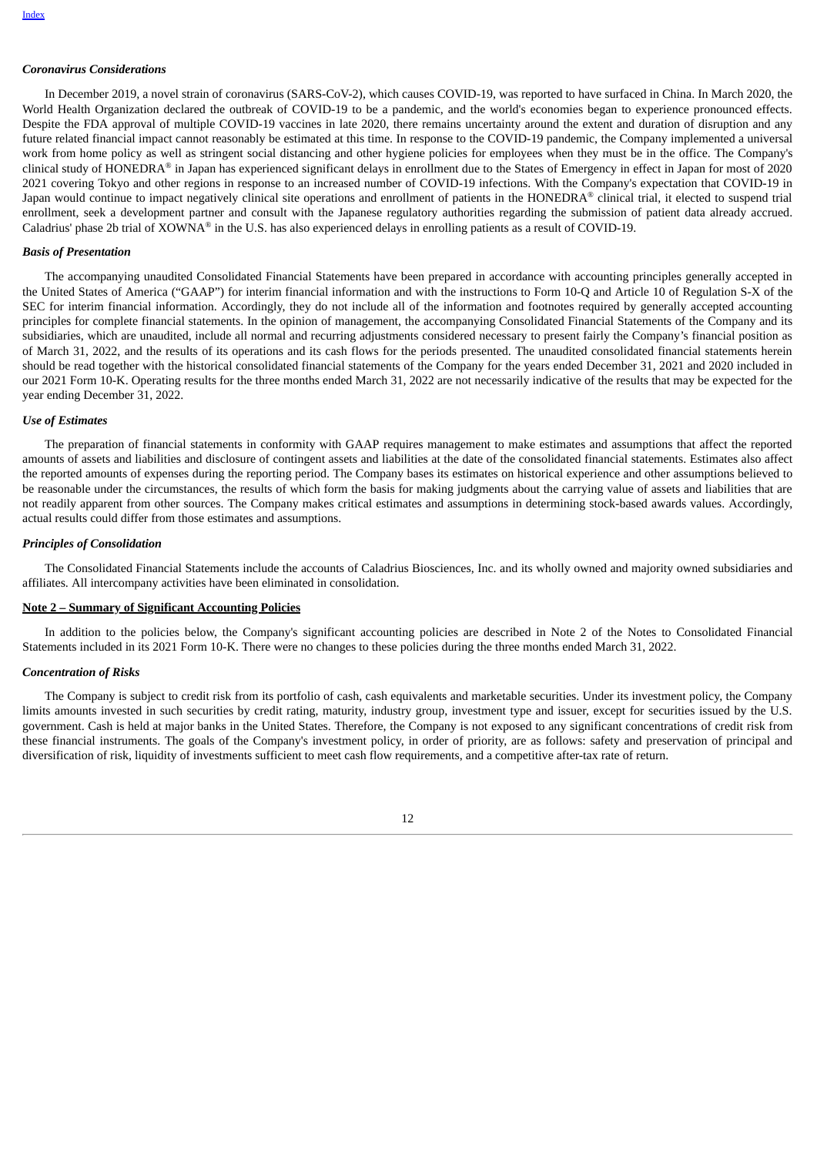## *Coronavirus Considerations*

In December 2019, a novel strain of coronavirus (SARS-CoV-2), which causes COVID-19, was reported to have surfaced in China. In March 2020, the World Health Organization declared the outbreak of COVID-19 to be a pandemic, and the world's economies began to experience pronounced effects. Despite the FDA approval of multiple COVID-19 vaccines in late 2020, there remains uncertainty around the extent and duration of disruption and any future related financial impact cannot reasonably be estimated at this time. In response to the COVID-19 pandemic, the Company implemented a universal work from home policy as well as stringent social distancing and other hygiene policies for employees when they must be in the office. The Company's clinical study of HONEDRA® in Japan has experienced significant delays in enrollment due to the States of Emergency in effect in Japan for most of 2020 2021 covering Tokyo and other regions in response to an increased number of COVID-19 infections. With the Company's expectation that COVID-19 in Japan would continue to impact negatively clinical site operations and enrollment of patients in the HONEDRA® clinical trial, it elected to suspend trial enrollment, seek a development partner and consult with the Japanese regulatory authorities regarding the submission of patient data already accrued. Caladrius' phase 2b trial of  $XOWNA^*$  in the U.S. has also experienced delays in enrolling patients as a result of COVID-19.

#### *Basis of Presentation*

The accompanying unaudited Consolidated Financial Statements have been prepared in accordance with accounting principles generally accepted in the United States of America ("GAAP") for interim financial information and with the instructions to Form 10-Q and Article 10 of Regulation S-X of the SEC for interim financial information. Accordingly, they do not include all of the information and footnotes required by generally accepted accounting principles for complete financial statements. In the opinion of management, the accompanying Consolidated Financial Statements of the Company and its subsidiaries, which are unaudited, include all normal and recurring adjustments considered necessary to present fairly the Company's financial position as of March 31, 2022, and the results of its operations and its cash flows for the periods presented. The unaudited consolidated financial statements herein should be read together with the historical consolidated financial statements of the Company for the years ended December 31, 2021 and 2020 included in our 2021 Form 10-K. Operating results for the three months ended March 31, 2022 are not necessarily indicative of the results that may be expected for the year ending December 31, 2022.

#### *Use of Estimates*

The preparation of financial statements in conformity with GAAP requires management to make estimates and assumptions that affect the reported amounts of assets and liabilities and disclosure of contingent assets and liabilities at the date of the consolidated financial statements. Estimates also affect the reported amounts of expenses during the reporting period. The Company bases its estimates on historical experience and other assumptions believed to be reasonable under the circumstances, the results of which form the basis for making judgments about the carrying value of assets and liabilities that are not readily apparent from other sources. The Company makes critical estimates and assumptions in determining stock-based awards values. Accordingly, actual results could differ from those estimates and assumptions.

#### *Principles of Consolidation*

The Consolidated Financial Statements include the accounts of Caladrius Biosciences, Inc. and its wholly owned and majority owned subsidiaries and affiliates. All intercompany activities have been eliminated in consolidation.

### **Note 2 – Summary of Significant Accounting Policies**

In addition to the policies below, the Company's significant accounting policies are described in Note 2 of the Notes to Consolidated Financial Statements included in its 2021 Form 10-K. There were no changes to these policies during the three months ended March 31, 2022.

#### *Concentration of Risks*

The Company is subject to credit risk from its portfolio of cash, cash equivalents and marketable securities. Under its investment policy, the Company limits amounts invested in such securities by credit rating, maturity, industry group, investment type and issuer, except for securities issued by the U.S. government. Cash is held at major banks in the United States. Therefore, the Company is not exposed to any significant concentrations of credit risk from these financial instruments. The goals of the Company's investment policy, in order of priority, are as follows: safety and preservation of principal and diversification of risk, liquidity of investments sufficient to meet cash flow requirements, and a competitive after-tax rate of return.

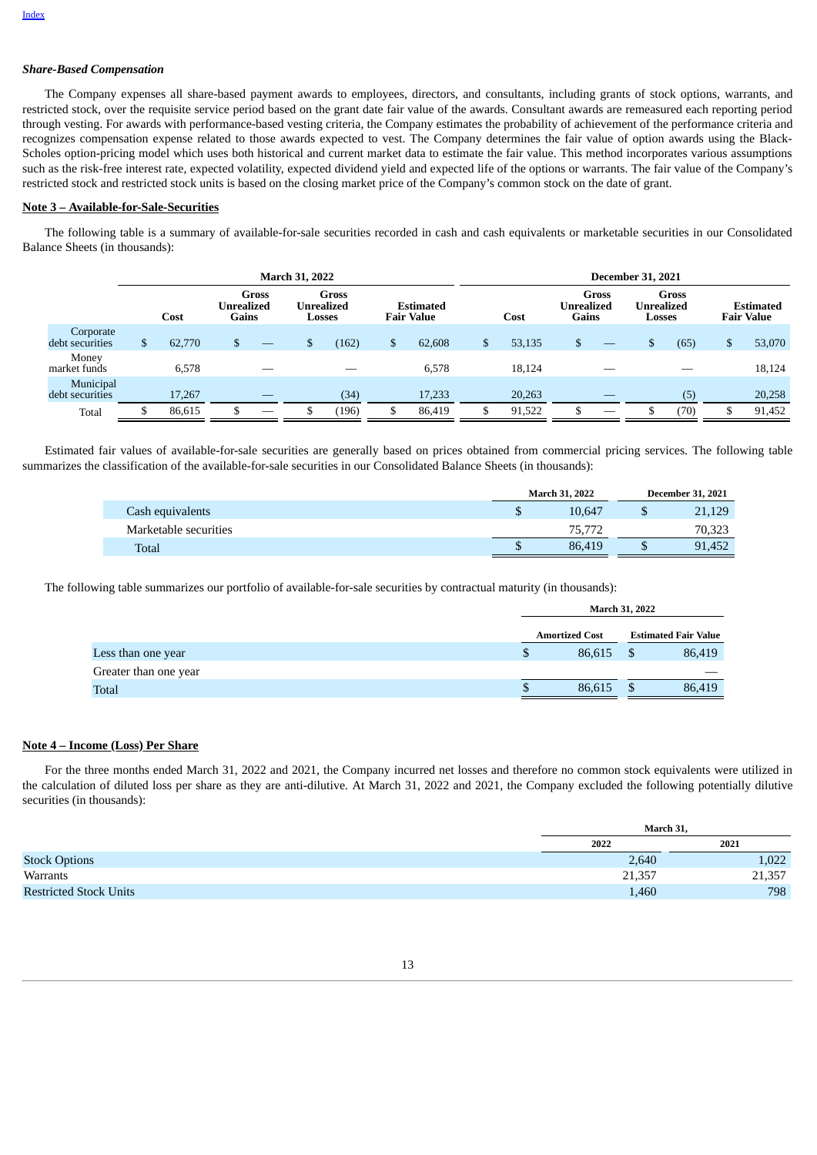## *Share-Based Compensation*

The Company expenses all share-based payment awards to employees, directors, and consultants, including grants of stock options, warrants, and restricted stock, over the requisite service period based on the grant date fair value of the awards. Consultant awards are remeasured each reporting period through vesting. For awards with performance-based vesting criteria, the Company estimates the probability of achievement of the performance criteria and recognizes compensation expense related to those awards expected to vest. The Company determines the fair value of option awards using the Black-Scholes option-pricing model which uses both historical and current market data to estimate the fair value. This method incorporates various assumptions such as the risk-free interest rate, expected volatility, expected dividend yield and expected life of the options or warrants. The fair value of the Company's restricted stock and restricted stock units is based on the closing market price of the Company's common stock on the date of grant.

## **Note 3 – Available-for-Sale-Securities**

The following table is a summary of available-for-sale securities recorded in cash and cash equivalents or marketable securities in our Consolidated Balance Sheets (in thousands):

|                              |        |                            |       | <b>March 31, 2022</b> |                               |                                       |    |        |     | <b>December 31, 2021</b>                   |  |                               |     |                                |
|------------------------------|--------|----------------------------|-------|-----------------------|-------------------------------|---------------------------------------|----|--------|-----|--------------------------------------------|--|-------------------------------|-----|--------------------------------|
|                              | Cost   | Unrealized<br><b>Gains</b> | Gross |                       | Gross<br>Unrealized<br>Losses | <b>Estimated</b><br><b>Fair Value</b> |    | Cost   |     | Gross<br><b>Unrealized</b><br><b>Gains</b> |  | Gross<br>Unrealized<br>Losses |     | Estimated<br><b>Fair Value</b> |
| Corporate<br>debt securities | 62,770 | \$                         |       | Φ                     | (162)                         | 62,608                                | \$ | 53,135 | \$. |                                            |  | (65)                          | \$  | 53,070                         |
| Money<br>market funds        | 6,578  |                            |       |                       |                               | 6,578                                 |    | 18,124 |     |                                            |  |                               |     | 18,124                         |
| Municipal<br>debt securities | 17,267 |                            |       |                       | (34)                          | 17,233                                |    | 20,263 |     |                                            |  | (5)                           |     | 20,258                         |
| Total                        | 86,615 |                            | $-$   |                       | (196)                         | 86,419                                | \$ | 91,522 |     | __                                         |  | (70)                          | \$. | 91,452                         |

Estimated fair values of available-for-sale securities are generally based on prices obtained from commercial pricing services. The following table summarizes the classification of the available-for-sale securities in our Consolidated Balance Sheets (in thousands):

|                       | <b>March 31, 2022</b> |    | <b>December 31, 2021</b> |
|-----------------------|-----------------------|----|--------------------------|
| Cash equivalents      | 10.647                |    | 21,129                   |
| Marketable securities | 75,772                |    | 70,323                   |
| Total                 | 86,419                | ۰D | 91.452                   |

The following table summarizes our portfolio of available-for-sale securities by contractual maturity (in thousands):

|   |        |                       | <b>Estimated Fair Value</b> |  |  |  |
|---|--------|-----------------------|-----------------------------|--|--|--|
|   | 86.615 | <sup>\$</sup>         | 86,419                      |  |  |  |
|   |        |                       |                             |  |  |  |
| S | 86.615 | S                     | 86,419                      |  |  |  |
|   |        | <b>Amortized Cost</b> | <b>March 31, 2022</b>       |  |  |  |

### **Note 4 – Income (Loss) Per Share**

For the three months ended March 31, 2022 and 2021, the Company incurred net losses and therefore no common stock equivalents were utilized in the calculation of diluted loss per share as they are anti-dilutive. At March 31, 2022 and 2021, the Company excluded the following potentially dilutive securities (in thousands):

|                               | March 31, |        |  |  |
|-------------------------------|-----------|--------|--|--|
|                               | 2022      | 2021   |  |  |
| <b>Stock Options</b>          | 2,640     | 1,022  |  |  |
| Warrants                      | 21,357    | 21,357 |  |  |
| <b>Restricted Stock Units</b> | 1,460     | 798    |  |  |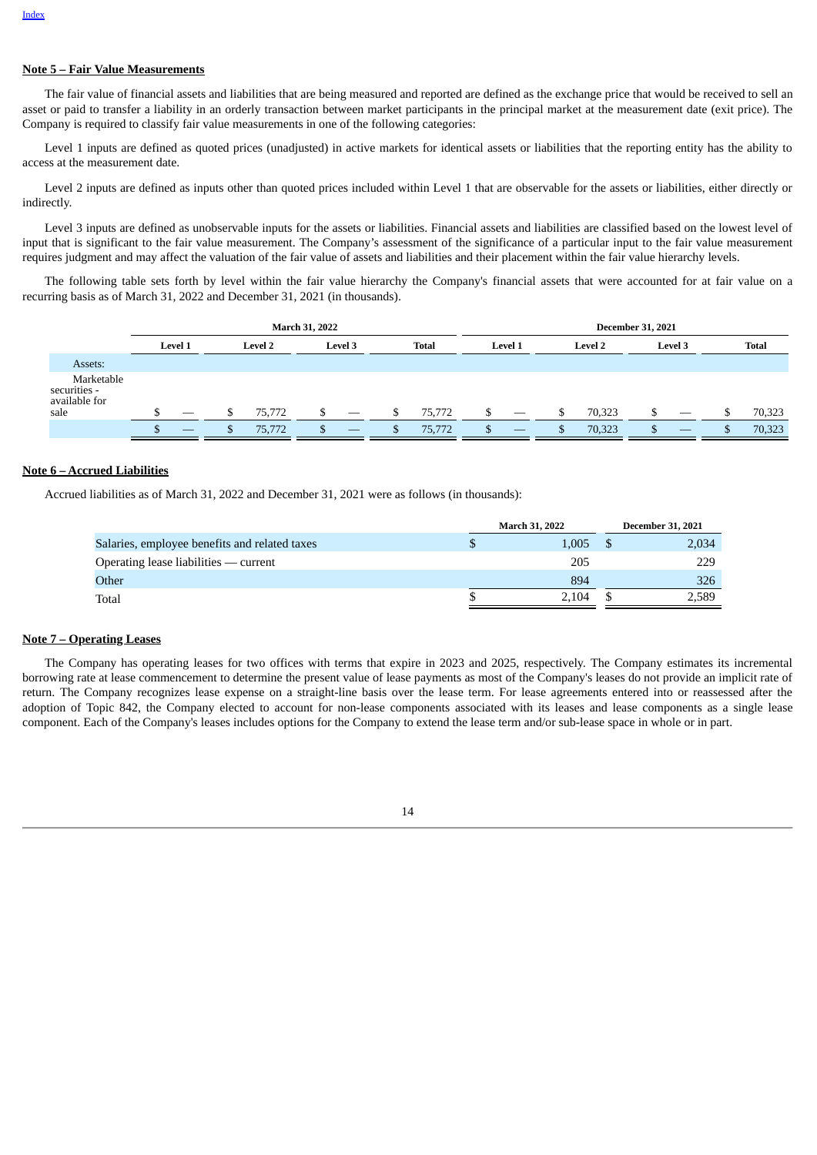## **Note 5 – Fair Value Measurements**

The fair value of financial assets and liabilities that are being measured and reported are defined as the exchange price that would be received to sell an asset or paid to transfer a liability in an orderly transaction between market participants in the principal market at the measurement date (exit price). The Company is required to classify fair value measurements in one of the following categories:

Level 1 inputs are defined as quoted prices (unadjusted) in active markets for identical assets or liabilities that the reporting entity has the ability to access at the measurement date.

Level 2 inputs are defined as inputs other than quoted prices included within Level 1 that are observable for the assets or liabilities, either directly or indirectly.

Level 3 inputs are defined as unobservable inputs for the assets or liabilities. Financial assets and liabilities are classified based on the lowest level of input that is significant to the fair value measurement. The Company's assessment of the significance of a particular input to the fair value measurement requires judgment and may affect the valuation of the fair value of assets and liabilities and their placement within the fair value hierarchy levels.

The following table sets forth by level within the fair value hierarchy the Company's financial assets that were accounted for at fair value on a recurring basis as of March 31, 2022 and December 31, 2021 (in thousands).

|                                                     | <b>March 31, 2022</b> |                               |                                                  |        |  | <b>December 31, 2021</b> |         |  |                                 |  |         |  |              |  |        |
|-----------------------------------------------------|-----------------------|-------------------------------|--------------------------------------------------|--------|--|--------------------------|---------|--|---------------------------------|--|---------|--|--------------|--|--------|
|                                                     | Level 1               |                               | <b>Total</b><br><b>Level 2</b><br><b>Level 3</b> |        |  |                          | Level 1 |  | <b>Level 2</b>                  |  | Level 3 |  | <b>Total</b> |  |        |
| Assets:                                             |                       |                               |                                                  |        |  |                          |         |  |                                 |  |         |  |              |  |        |
| Marketable<br>securities -<br>available for<br>sale |                       |                               |                                                  | 75,772 |  |                          | 75.772  |  |                                 |  | 70.323  |  |              |  | 70,323 |
|                                                     |                       | $\overbrace{\phantom{12332}}$ |                                                  |        |  |                          |         |  | $\hspace{0.1mm}-\hspace{0.1mm}$ |  |         |  |              |  |        |
|                                                     |                       |                               |                                                  | 75,772 |  |                          | 75,772  |  |                                 |  | 70,323  |  |              |  | 70,323 |

### **Note 6 – Accrued Liabilities**

Accrued liabilities as of March 31, 2022 and December 31, 2021 were as follows (in thousands):

|                                               | <b>March 31, 2022</b> | <b>December 31, 2021</b> |       |  |  |
|-----------------------------------------------|-----------------------|--------------------------|-------|--|--|
| Salaries, employee benefits and related taxes |                       | 1.005                    | 2,034 |  |  |
| Operating lease liabilities — current         |                       | 205                      | 229   |  |  |
| Other                                         |                       | 894                      | 326   |  |  |
| Total                                         |                       | 2.104                    | 2.589 |  |  |

## **Note 7 – Operating Leases**

The Company has operating leases for two offices with terms that expire in 2023 and 2025, respectively. The Company estimates its incremental borrowing rate at lease commencement to determine the present value of lease payments as most of the Company's leases do not provide an implicit rate of return. The Company recognizes lease expense on a straight-line basis over the lease term. For lease agreements entered into or reassessed after the adoption of Topic 842, the Company elected to account for non-lease components associated with its leases and lease components as a single lease component. Each of the Company's leases includes options for the Company to extend the lease term and/or sub-lease space in whole or in part.

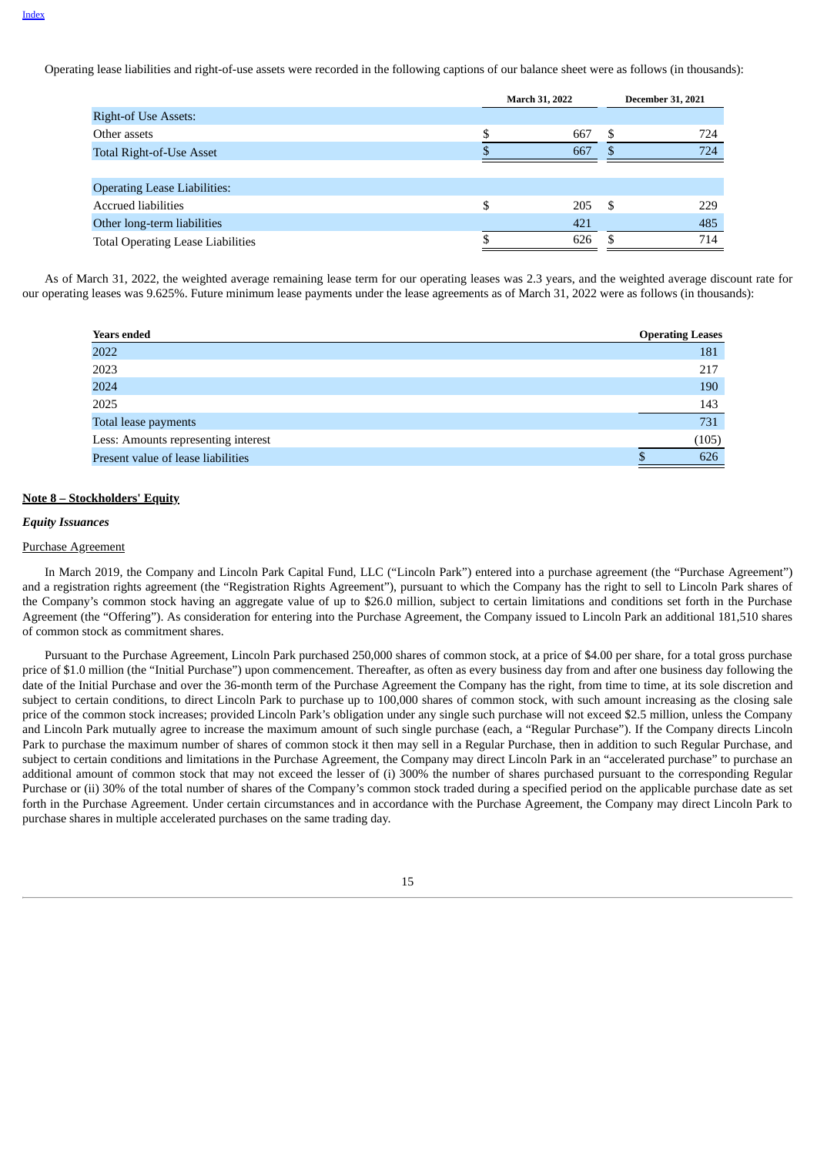Operating lease liabilities and right-of-use assets were recorded in the following captions of our balance sheet were as follows (in thousands):

|                                          | March 31, 2022 |     |    | <b>December 31, 2021</b> |
|------------------------------------------|----------------|-----|----|--------------------------|
| <b>Right-of Use Assets:</b>              |                |     |    |                          |
| Other assets                             |                | 667 | \$ | 724                      |
| <b>Total Right-of-Use Asset</b>          |                | 667 | ж  | 724                      |
|                                          |                |     |    |                          |
| <b>Operating Lease Liabilities:</b>      |                |     |    |                          |
| Accrued liabilities                      | S              | 205 | -S | 229                      |
| Other long-term liabilities              |                | 421 |    | 485                      |
| <b>Total Operating Lease Liabilities</b> |                | 626 |    | 714                      |
|                                          |                |     |    |                          |

As of March 31, 2022, the weighted average remaining lease term for our operating leases was 2.3 years, and the weighted average discount rate for our operating leases was 9.625%. Future minimum lease payments under the lease agreements as of March 31, 2022 were as follows (in thousands):

| <b>Years ended</b>                  | <b>Operating Leases</b> |
|-------------------------------------|-------------------------|
| 2022                                | 181                     |
| 2023                                | 217                     |
| 2024                                | 190                     |
| 2025                                | 143                     |
| Total lease payments                | 731                     |
| Less: Amounts representing interest | (105)                   |
| Present value of lease liabilities  | 626                     |

### **Note 8 – Stockholders' Equity**

### *Equity Issuances*

## Purchase Agreement

In March 2019, the Company and Lincoln Park Capital Fund, LLC ("Lincoln Park") entered into a purchase agreement (the "Purchase Agreement") and a registration rights agreement (the "Registration Rights Agreement"), pursuant to which the Company has the right to sell to Lincoln Park shares of the Company's common stock having an aggregate value of up to \$26.0 million, subject to certain limitations and conditions set forth in the Purchase Agreement (the "Offering"). As consideration for entering into the Purchase Agreement, the Company issued to Lincoln Park an additional 181,510 shares of common stock as commitment shares.

Pursuant to the Purchase Agreement, Lincoln Park purchased 250,000 shares of common stock, at a price of \$4.00 per share, for a total gross purchase price of \$1.0 million (the "Initial Purchase") upon commencement. Thereafter, as often as every business day from and after one business day following the date of the Initial Purchase and over the 36-month term of the Purchase Agreement the Company has the right, from time to time, at its sole discretion and subject to certain conditions, to direct Lincoln Park to purchase up to 100,000 shares of common stock, with such amount increasing as the closing sale price of the common stock increases; provided Lincoln Park's obligation under any single such purchase will not exceed \$2.5 million, unless the Company and Lincoln Park mutually agree to increase the maximum amount of such single purchase (each, a "Regular Purchase"). If the Company directs Lincoln Park to purchase the maximum number of shares of common stock it then may sell in a Regular Purchase, then in addition to such Regular Purchase, and subject to certain conditions and limitations in the Purchase Agreement, the Company may direct Lincoln Park in an "accelerated purchase" to purchase an additional amount of common stock that may not exceed the lesser of (i) 300% the number of shares purchased pursuant to the corresponding Regular Purchase or (ii) 30% of the total number of shares of the Company's common stock traded during a specified period on the applicable purchase date as set forth in the Purchase Agreement. Under certain circumstances and in accordance with the Purchase Agreement, the Company may direct Lincoln Park to purchase shares in multiple accelerated purchases on the same trading day.

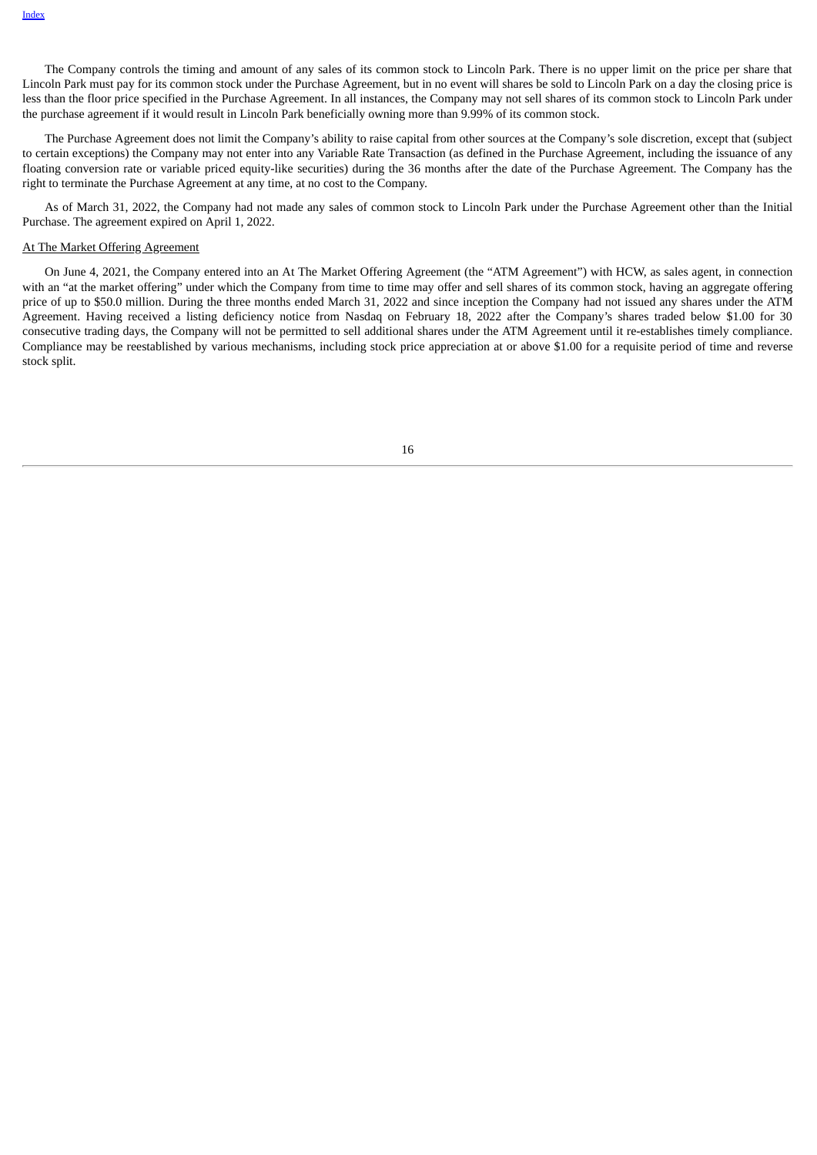The Company controls the timing and amount of any sales of its common stock to Lincoln Park. There is no upper limit on the price per share that Lincoln Park must pay for its common stock under the Purchase Agreement, but in no event will shares be sold to Lincoln Park on a day the closing price is less than the floor price specified in the Purchase Agreement. In all instances, the Company may not sell shares of its common stock to Lincoln Park under the purchase agreement if it would result in Lincoln Park beneficially owning more than 9.99% of its common stock.

The Purchase Agreement does not limit the Company's ability to raise capital from other sources at the Company's sole discretion, except that (subject to certain exceptions) the Company may not enter into any Variable Rate Transaction (as defined in the Purchase Agreement, including the issuance of any floating conversion rate or variable priced equity-like securities) during the 36 months after the date of the Purchase Agreement. The Company has the right to terminate the Purchase Agreement at any time, at no cost to the Company.

As of March 31, 2022, the Company had not made any sales of common stock to Lincoln Park under the Purchase Agreement other than the Initial Purchase. The agreement expired on April 1, 2022.

## At The Market Offering Agreement

On June 4, 2021, the Company entered into an At The Market Offering Agreement (the "ATM Agreement") with HCW, as sales agent, in connection with an "at the market offering" under which the Company from time to time may offer and sell shares of its common stock, having an aggregate offering price of up to \$50.0 million. During the three months ended March 31, 2022 and since inception the Company had not issued any shares under the ATM Agreement. Having received a listing deficiency notice from Nasdaq on February 18, 2022 after the Company's shares traded below \$1.00 for 30 consecutive trading days, the Company will not be permitted to sell additional shares under the ATM Agreement until it re-establishes timely compliance. Compliance may be reestablished by various mechanisms, including stock price appreciation at or above \$1.00 for a requisite period of time and reverse stock split.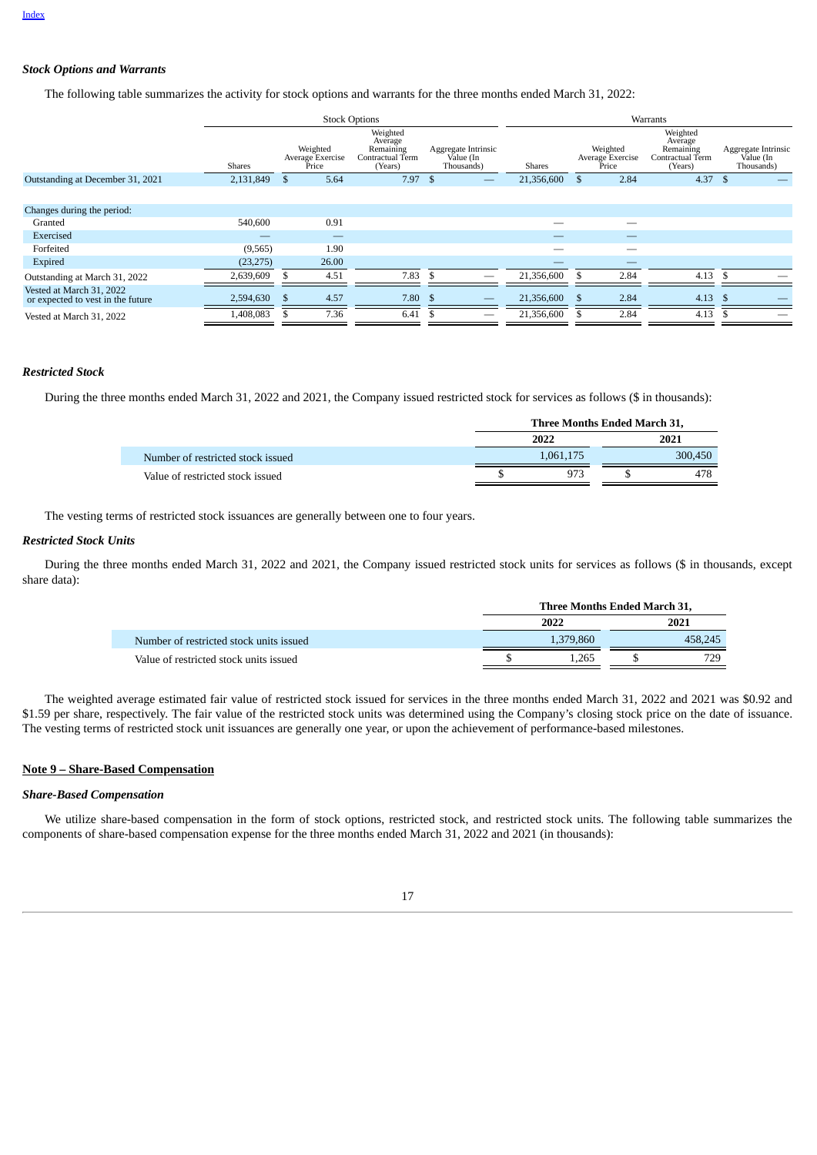## *Stock Options and Warrants*

The following table summarizes the activity for stock options and warrants for the three months ended March 31, 2022:

|                                                               | <b>Stock Options</b> |                                                                                                                                                            |       |                |  | Warrants |  |            |     |                                       |                                                                 |                                                |  |
|---------------------------------------------------------------|----------------------|------------------------------------------------------------------------------------------------------------------------------------------------------------|-------|----------------|--|----------|--|------------|-----|---------------------------------------|-----------------------------------------------------------------|------------------------------------------------|--|
|                                                               | Shares               | Weighted<br>Average<br>Weighted<br>Aggregate Intrinsic<br>Remaining<br>Contractual Term<br>Value (In<br>Average Exercise<br>(Years)<br>Thousands)<br>Price |       |                |  |          |  | Shares     |     | Weighted<br>Average Exercise<br>Price | Weighted<br>Average<br>Remaining<br>Contractual Term<br>(Years) | Aggregate Intrinsic<br>Value (In<br>Thousands) |  |
| Outstanding at December 31, 2021                              | 2,131,849            | S                                                                                                                                                          | 5.64  | $7.97$ \$      |  |          |  | 21,356,600 | J.  | 2.84                                  | 4.37 \$                                                         |                                                |  |
|                                                               |                      |                                                                                                                                                            |       |                |  |          |  |            |     |                                       |                                                                 |                                                |  |
| Changes during the period:                                    |                      |                                                                                                                                                            |       |                |  |          |  |            |     |                                       |                                                                 |                                                |  |
| Granted                                                       | 540,600              |                                                                                                                                                            | 0.91  |                |  |          |  |            |     |                                       |                                                                 |                                                |  |
| Exercised                                                     |                      |                                                                                                                                                            |       |                |  |          |  |            |     |                                       |                                                                 |                                                |  |
| Forfeited                                                     | (9, 565)             |                                                                                                                                                            | 1.90  |                |  |          |  |            |     | __                                    |                                                                 |                                                |  |
| Expired                                                       | (23, 275)            |                                                                                                                                                            | 26.00 |                |  |          |  |            |     | __                                    |                                                                 |                                                |  |
| Outstanding at March 31, 2022                                 | 2,639,609            | -5                                                                                                                                                         | 4.51  | 7.83           |  |          |  | 21,356,600 |     | 2.84                                  | 4.13                                                            |                                                |  |
| Vested at March 31, 2022<br>or expected to vest in the future | 2,594,630            | -\$                                                                                                                                                        | 4.57  | $7.80\quad$ \$ |  |          |  | 21,356,600 | \$. | 2.84                                  | 4.13                                                            | $\mathbf{s}$                                   |  |
| Vested at March 31, 2022                                      | 1,408,083            |                                                                                                                                                            | 7.36  | 6.41           |  |          |  | 21,356,600 |     | 2.84                                  | 4.13                                                            |                                                |  |

### *Restricted Stock*

During the three months ended March 31, 2022 and 2021, the Company issued restricted stock for services as follows (\$ in thousands):

|                                   | Three Months Ended March 31, |           |  |         |  |  |
|-----------------------------------|------------------------------|-----------|--|---------|--|--|
|                                   |                              | 2022      |  | 2021    |  |  |
| Number of restricted stock issued |                              | 1,061,175 |  | 300,450 |  |  |
| Value of restricted stock issued  | 973                          |           |  | 478     |  |  |

The vesting terms of restricted stock issuances are generally between one to four years.

## *Restricted Stock Units*

During the three months ended March 31, 2022 and 2021, the Company issued restricted stock units for services as follows (\$ in thousands, except share data):

|                                         | <b>Three Months Ended March 31.</b> |           |  |         |  |
|-----------------------------------------|-------------------------------------|-----------|--|---------|--|
|                                         |                                     | 2022      |  | 2021    |  |
| Number of restricted stock units issued |                                     | 1.379.860 |  | 458.245 |  |
| Value of restricted stock units issued  | 1.265                               |           |  | 729     |  |

The weighted average estimated fair value of restricted stock issued for services in the three months ended March 31, 2022 and 2021 was \$0.92 and \$1.59 per share, respectively. The fair value of the restricted stock units was determined using the Company's closing stock price on the date of issuance. The vesting terms of restricted stock unit issuances are generally one year, or upon the achievement of performance-based milestones.

### **Note 9 – Share-Based Compensation**

## *Share-Based Compensation*

We utilize share-based compensation in the form of stock options, restricted stock, and restricted stock units. The following table summarizes the components of share-based compensation expense for the three months ended March 31, 2022 and 2021 (in thousands):

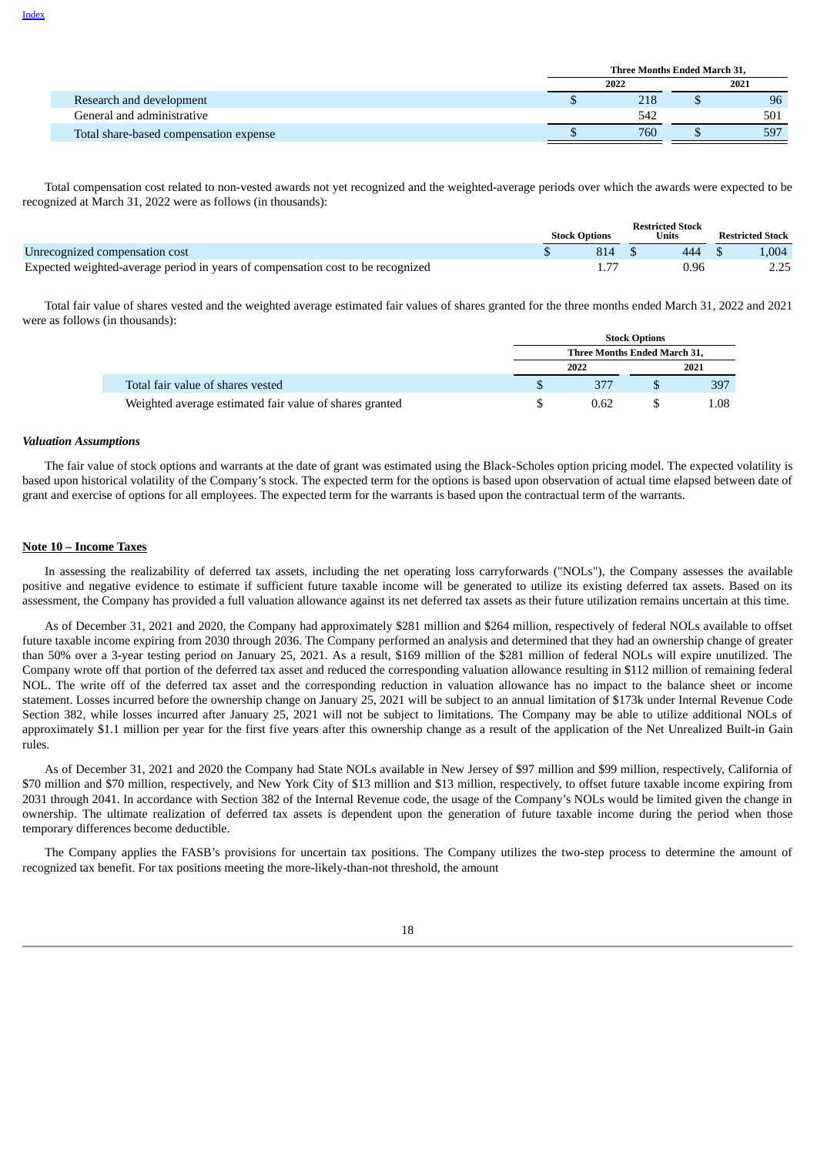|                                        | Three Months Ended March 31. |  |     |  |  |  |
|----------------------------------------|------------------------------|--|-----|--|--|--|
|                                        | 2022                         |  |     |  |  |  |
| Research and development               | 218                          |  | 96  |  |  |  |
| General and administrative             | 542                          |  | 501 |  |  |  |
| Total share-based compensation expense | 760                          |  | 597 |  |  |  |

Total compensation cost related to non-vested awards not yet recognized and the weighted-average periods over which the awards were expected to be recognized at March 31, 2022 were as follows (in thousands):

|                                                                                 | <b>Stock Options</b> |     | <b>Restricted Stock</b><br>Units |      |  | <b>Restricted Stock</b> |  |  |
|---------------------------------------------------------------------------------|----------------------|-----|----------------------------------|------|--|-------------------------|--|--|
| Unrecognized compensation cost                                                  |                      | 814 |                                  | 444  |  | 1.004                   |  |  |
| Expected weighted-average period in years of compensation cost to be recognized |                      |     |                                  | 0.96 |  | 2.25                    |  |  |

Total fair value of shares vested and the weighted average estimated fair values of shares granted for the three months ended March 31, 2022 and 2021 were as follows (in thousands):

|                                                         | <b>Stock Options</b>         |      |      |  |  |  |
|---------------------------------------------------------|------------------------------|------|------|--|--|--|
|                                                         | Three Months Ended March 31, |      |      |  |  |  |
|                                                         | 2022                         | 2021 |      |  |  |  |
| Total fair value of shares vested                       | 377                          |      | 397  |  |  |  |
| Weighted average estimated fair value of shares granted | 0.62                         |      | L.08 |  |  |  |

### *Valuation Assumptions*

The fair value of stock options and warrants at the date of grant was estimated using the Black-Scholes option pricing model. The expected volatility is based upon historical volatility of the Company's stock. The expected term for the options is based upon observation of actual time elapsed between date of grant and exercise of options for all employees. The expected term for the warrants is based upon the contractual term of the warrants.

## **Note 10 – Income Taxes**

In assessing the realizability of deferred tax assets, including the net operating loss carryforwards ("NOLs"), the Company assesses the available positive and negative evidence to estimate if sufficient future taxable income will be generated to utilize its existing deferred tax assets. Based on its assessment, the Company has provided a full valuation allowance against its net deferred tax assets as their future utilization remains uncertain at this time.

As of December 31, 2021 and 2020, the Company had approximately \$281 million and \$264 million, respectively of federal NOLs available to offset future taxable income expiring from 2030 through 2036. The Company performed an analysis and determined that they had an ownership change of greater than 50% over a 3-year testing period on January 25, 2021. As a result, \$169 million of the \$281 million of federal NOLs will expire unutilized. The Company wrote off that portion of the deferred tax asset and reduced the corresponding valuation allowance resulting in \$112 million of remaining federal NOL. The write off of the deferred tax asset and the corresponding reduction in valuation allowance has no impact to the balance sheet or income statement. Losses incurred before the ownership change on January 25, 2021 will be subject to an annual limitation of \$173k under Internal Revenue Code Section 382, while losses incurred after January 25, 2021 will not be subject to limitations. The Company may be able to utilize additional NOLs of approximately \$1.1 million per year for the first five years after this ownership change as a result of the application of the Net Unrealized Built-in Gain rules.

As of December 31, 2021 and 2020 the Company had State NOLs available in New Jersey of \$97 million and \$99 million, respectively, California of \$70 million and \$70 million, respectively, and New York City of \$13 million and \$13 million, respectively, to offset future taxable income expiring from 2031 through 2041. In accordance with Section 382 of the Internal Revenue code, the usage of the Company's NOLs would be limited given the change in ownership. The ultimate realization of deferred tax assets is dependent upon the generation of future taxable income during the period when those temporary differences become deductible.

The Company applies the FASB's provisions for uncertain tax positions. The Company utilizes the two-step process to determine the amount of recognized tax benefit. For tax positions meeting the more-likely-than-not threshold, the amount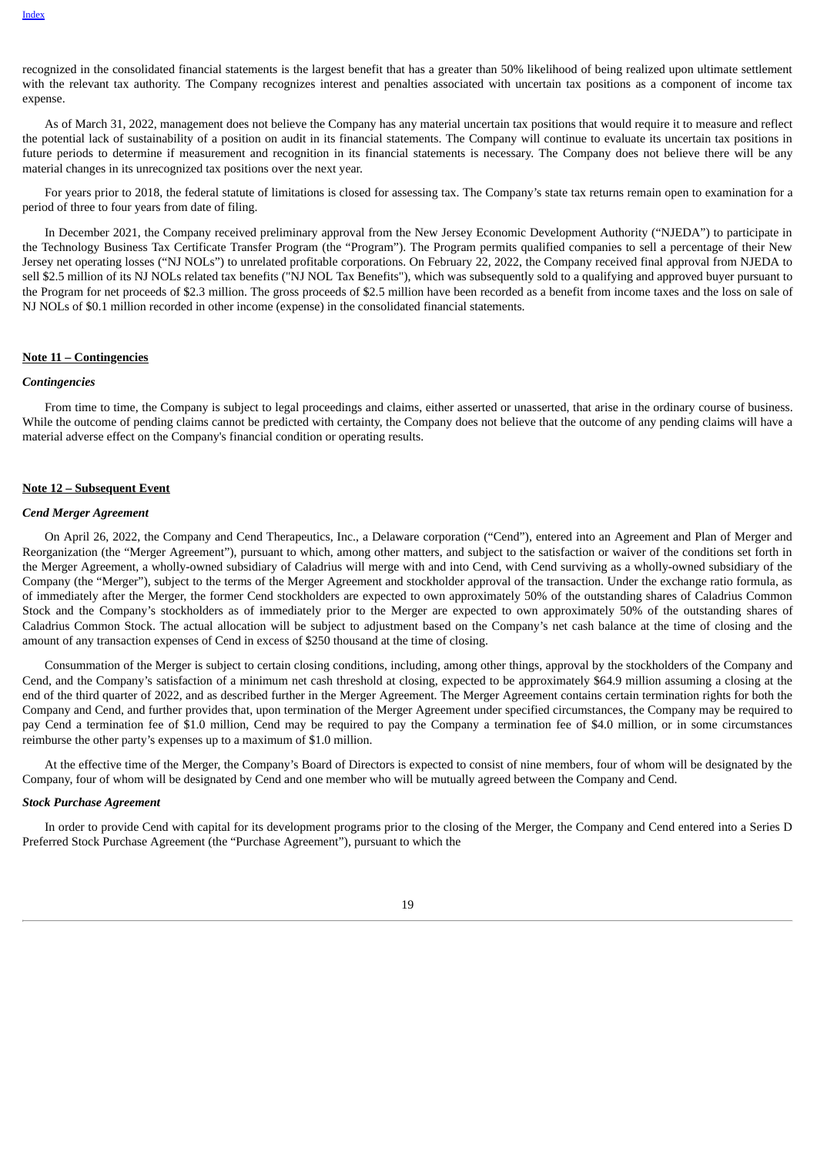recognized in the consolidated financial statements is the largest benefit that has a greater than 50% likelihood of being realized upon ultimate settlement with the relevant tax authority. The Company recognizes interest and penalties associated with uncertain tax positions as a component of income tax expense.

As of March 31, 2022, management does not believe the Company has any material uncertain tax positions that would require it to measure and reflect the potential lack of sustainability of a position on audit in its financial statements. The Company will continue to evaluate its uncertain tax positions in future periods to determine if measurement and recognition in its financial statements is necessary. The Company does not believe there will be any material changes in its unrecognized tax positions over the next year.

For years prior to 2018, the federal statute of limitations is closed for assessing tax. The Company's state tax returns remain open to examination for a period of three to four years from date of filing.

In December 2021, the Company received preliminary approval from the New Jersey Economic Development Authority ("NJEDA") to participate in the Technology Business Tax Certificate Transfer Program (the "Program"). The Program permits qualified companies to sell a percentage of their New Jersey net operating losses ("NJ NOLs") to unrelated profitable corporations. On February 22, 2022, the Company received final approval from NJEDA to sell \$2.5 million of its NJ NOLs related tax benefits ("NJ NOL Tax Benefits"), which was subsequently sold to a qualifying and approved buyer pursuant to the Program for net proceeds of \$2.3 million. The gross proceeds of \$2.5 million have been recorded as a benefit from income taxes and the loss on sale of NJ NOLs of \$0.1 million recorded in other income (expense) in the consolidated financial statements.

### **Note 11 – Contingencies**

#### *Contingencies*

From time to time, the Company is subject to legal proceedings and claims, either asserted or unasserted, that arise in the ordinary course of business. While the outcome of pending claims cannot be predicted with certainty, the Company does not believe that the outcome of any pending claims will have a material adverse effect on the Company's financial condition or operating results.

### **Note 12 – Subsequent Event**

#### *Cend Merger Agreement*

On April 26, 2022, the Company and Cend Therapeutics, Inc., a Delaware corporation ("Cend"), entered into an Agreement and Plan of Merger and Reorganization (the "Merger Agreement"), pursuant to which, among other matters, and subject to the satisfaction or waiver of the conditions set forth in the Merger Agreement, a wholly-owned subsidiary of Caladrius will merge with and into Cend, with Cend surviving as a wholly-owned subsidiary of the Company (the "Merger"), subject to the terms of the Merger Agreement and stockholder approval of the transaction. Under the exchange ratio formula, as of immediately after the Merger, the former Cend stockholders are expected to own approximately 50% of the outstanding shares of Caladrius Common Stock and the Company's stockholders as of immediately prior to the Merger are expected to own approximately 50% of the outstanding shares of Caladrius Common Stock. The actual allocation will be subject to adjustment based on the Company's net cash balance at the time of closing and the amount of any transaction expenses of Cend in excess of \$250 thousand at the time of closing.

Consummation of the Merger is subject to certain closing conditions, including, among other things, approval by the stockholders of the Company and Cend, and the Company's satisfaction of a minimum net cash threshold at closing, expected to be approximately \$64.9 million assuming a closing at the end of the third quarter of 2022, and as described further in the Merger Agreement. The Merger Agreement contains certain termination rights for both the Company and Cend, and further provides that, upon termination of the Merger Agreement under specified circumstances, the Company may be required to pay Cend a termination fee of \$1.0 million, Cend may be required to pay the Company a termination fee of \$4.0 million, or in some circumstances reimburse the other party's expenses up to a maximum of \$1.0 million.

At the effective time of the Merger, the Company's Board of Directors is expected to consist of nine members, four of whom will be designated by the Company, four of whom will be designated by Cend and one member who will be mutually agreed between the Company and Cend.

#### *Stock Purchase Agreement*

In order to provide Cend with capital for its development programs prior to the closing of the Merger, the Company and Cend entered into a Series D Preferred Stock Purchase Agreement (the "Purchase Agreement"), pursuant to which the

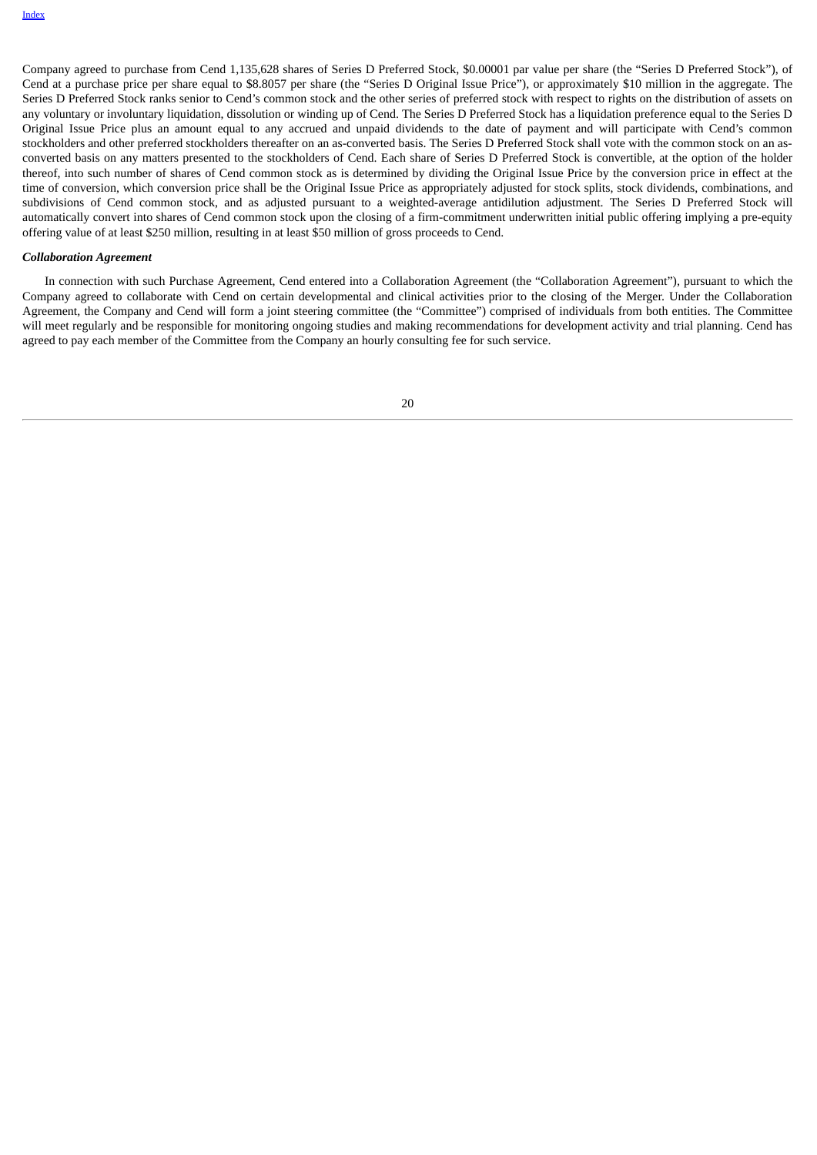Company agreed to purchase from Cend 1,135,628 shares of Series D Preferred Stock, \$0.00001 par value per share (the "Series D Preferred Stock"), of Cend at a purchase price per share equal to \$8.8057 per share (the "Series D Original Issue Price"), or approximately \$10 million in the aggregate. The Series D Preferred Stock ranks senior to Cend's common stock and the other series of preferred stock with respect to rights on the distribution of assets on any voluntary or involuntary liquidation, dissolution or winding up of Cend. The Series D Preferred Stock has a liquidation preference equal to the Series D Original Issue Price plus an amount equal to any accrued and unpaid dividends to the date of payment and will participate with Cend's common stockholders and other preferred stockholders thereafter on an as-converted basis. The Series D Preferred Stock shall vote with the common stock on an asconverted basis on any matters presented to the stockholders of Cend. Each share of Series D Preferred Stock is convertible, at the option of the holder thereof, into such number of shares of Cend common stock as is determined by dividing the Original Issue Price by the conversion price in effect at the time of conversion, which conversion price shall be the Original Issue Price as appropriately adjusted for stock splits, stock dividends, combinations, and subdivisions of Cend common stock, and as adjusted pursuant to a weighted-average antidilution adjustment. The Series D Preferred Stock will automatically convert into shares of Cend common stock upon the closing of a firm-commitment underwritten initial public offering implying a pre-equity offering value of at least \$250 million, resulting in at least \$50 million of gross proceeds to Cend.

#### *Collaboration Agreement*

<span id="page-19-0"></span>In connection with such Purchase Agreement, Cend entered into a Collaboration Agreement (the "Collaboration Agreement"), pursuant to which the Company agreed to collaborate with Cend on certain developmental and clinical activities prior to the closing of the Merger. Under the Collaboration Agreement, the Company and Cend will form a joint steering committee (the "Committee") comprised of individuals from both entities. The Committee will meet regularly and be responsible for monitoring ongoing studies and making recommendations for development activity and trial planning. Cend has agreed to pay each member of the Committee from the Company an hourly consulting fee for such service.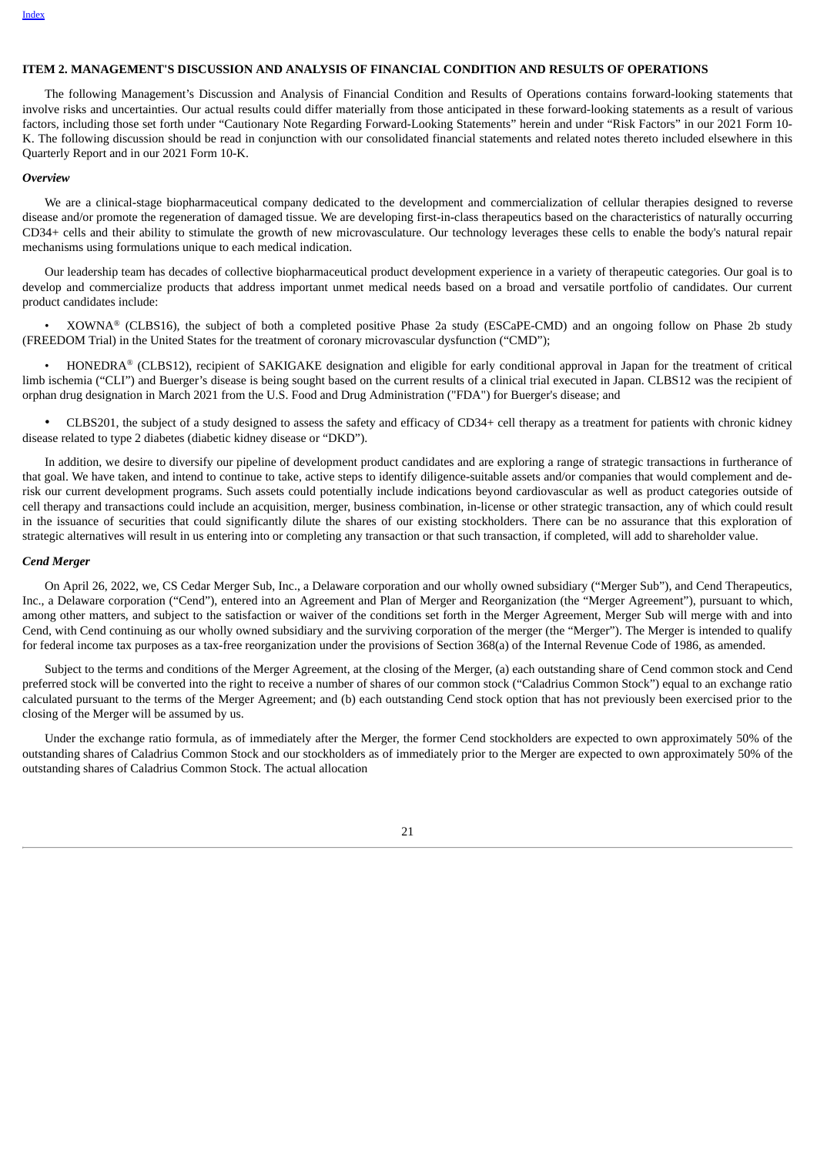### **ITEM 2. MANAGEMENT'S DISCUSSION AND ANALYSIS OF FINANCIAL CONDITION AND RESULTS OF OPERATIONS**

The following Management's Discussion and Analysis of Financial Condition and Results of Operations contains forward-looking statements that involve risks and uncertainties. Our actual results could differ materially from those anticipated in these forward-looking statements as a result of various factors, including those set forth under "Cautionary Note Regarding Forward-Looking Statements" herein and under "Risk Factors" in our 2021 Form 10- K. The following discussion should be read in conjunction with our consolidated financial statements and related notes thereto included elsewhere in this Quarterly Report and in our 2021 Form 10-K.

#### *Overview*

We are a clinical-stage biopharmaceutical company dedicated to the development and commercialization of cellular therapies designed to reverse disease and/or promote the regeneration of damaged tissue. We are developing first-in-class therapeutics based on the characteristics of naturally occurring CD34+ cells and their ability to stimulate the growth of new microvasculature. Our technology leverages these cells to enable the body's natural repair mechanisms using formulations unique to each medical indication.

Our leadership team has decades of collective biopharmaceutical product development experience in a variety of therapeutic categories. Our goal is to develop and commercialize products that address important unmet medical needs based on a broad and versatile portfolio of candidates. Our current product candidates include:

• XOWNA® (CLBS16), the subject of both a completed positive Phase 2a study (ESCaPE-CMD) and an ongoing follow on Phase 2b study (FREEDOM Trial) in the United States for the treatment of coronary microvascular dysfunction ("CMD");

• HONEDRA<sup>®</sup> (CLBS12), recipient of SAKIGAKE designation and eligible for early conditional approval in Japan for the treatment of critical limb ischemia ("CLI") and Buerger's disease is being sought based on the current results of a clinical trial executed in Japan. CLBS12 was the recipient of orphan drug designation in March 2021 from the U.S. Food and Drug Administration ("FDA") for Buerger's disease; and

• CLBS201, the subject of a study designed to assess the safety and efficacy of CD34+ cell therapy as a treatment for patients with chronic kidney disease related to type 2 diabetes (diabetic kidney disease or "DKD").

In addition, we desire to diversify our pipeline of development product candidates and are exploring a range of strategic transactions in furtherance of that goal. We have taken, and intend to continue to take, active steps to identify diligence-suitable assets and/or companies that would complement and derisk our current development programs. Such assets could potentially include indications beyond cardiovascular as well as product categories outside of cell therapy and transactions could include an acquisition, merger, business combination, in-license or other strategic transaction, any of which could result in the issuance of securities that could significantly dilute the shares of our existing stockholders. There can be no assurance that this exploration of strategic alternatives will result in us entering into or completing any transaction or that such transaction, if completed, will add to shareholder value.

### *Cend Merger*

On April 26, 2022, we, CS Cedar Merger Sub, Inc., a Delaware corporation and our wholly owned subsidiary ("Merger Sub"), and Cend Therapeutics, Inc., a Delaware corporation ("Cend"), entered into an Agreement and Plan of Merger and Reorganization (the "Merger Agreement"), pursuant to which, among other matters, and subject to the satisfaction or waiver of the conditions set forth in the Merger Agreement, Merger Sub will merge with and into Cend, with Cend continuing as our wholly owned subsidiary and the surviving corporation of the merger (the "Merger"). The Merger is intended to qualify for federal income tax purposes as a tax-free reorganization under the provisions of Section 368(a) of the Internal Revenue Code of 1986, as amended.

Subject to the terms and conditions of the Merger Agreement, at the closing of the Merger, (a) each outstanding share of Cend common stock and Cend preferred stock will be converted into the right to receive a number of shares of our common stock ("Caladrius Common Stock") equal to an exchange ratio calculated pursuant to the terms of the Merger Agreement; and (b) each outstanding Cend stock option that has not previously been exercised prior to the closing of the Merger will be assumed by us.

Under the exchange ratio formula, as of immediately after the Merger, the former Cend stockholders are expected to own approximately 50% of the outstanding shares of Caladrius Common Stock and our stockholders as of immediately prior to the Merger are expected to own approximately 50% of the outstanding shares of Caladrius Common Stock. The actual allocation

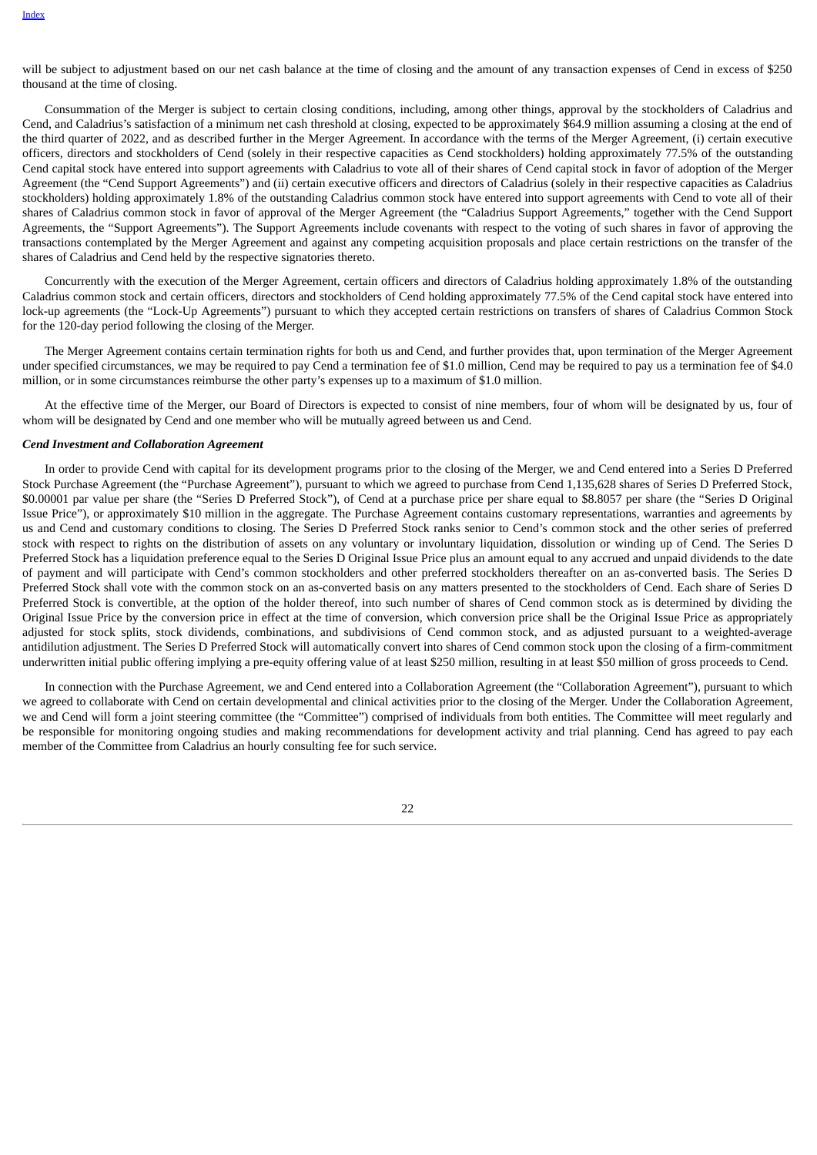will be subject to adjustment based on our net cash balance at the time of closing and the amount of any transaction expenses of Cend in excess of \$250 thousand at the time of closing.

Consummation of the Merger is subject to certain closing conditions, including, among other things, approval by the stockholders of Caladrius and Cend, and Caladrius's satisfaction of a minimum net cash threshold at closing, expected to be approximately \$64.9 million assuming a closing at the end of the third quarter of 2022, and as described further in the Merger Agreement. In accordance with the terms of the Merger Agreement, (i) certain executive officers, directors and stockholders of Cend (solely in their respective capacities as Cend stockholders) holding approximately 77.5% of the outstanding Cend capital stock have entered into support agreements with Caladrius to vote all of their shares of Cend capital stock in favor of adoption of the Merger Agreement (the "Cend Support Agreements") and (ii) certain executive officers and directors of Caladrius (solely in their respective capacities as Caladrius stockholders) holding approximately 1.8% of the outstanding Caladrius common stock have entered into support agreements with Cend to vote all of their shares of Caladrius common stock in favor of approval of the Merger Agreement (the "Caladrius Support Agreements," together with the Cend Support Agreements, the "Support Agreements"). The Support Agreements include covenants with respect to the voting of such shares in favor of approving the transactions contemplated by the Merger Agreement and against any competing acquisition proposals and place certain restrictions on the transfer of the shares of Caladrius and Cend held by the respective signatories thereto.

Concurrently with the execution of the Merger Agreement, certain officers and directors of Caladrius holding approximately 1.8% of the outstanding Caladrius common stock and certain officers, directors and stockholders of Cend holding approximately 77.5% of the Cend capital stock have entered into lock-up agreements (the "Lock-Up Agreements") pursuant to which they accepted certain restrictions on transfers of shares of Caladrius Common Stock for the 120-day period following the closing of the Merger.

The Merger Agreement contains certain termination rights for both us and Cend, and further provides that, upon termination of the Merger Agreement under specified circumstances, we may be required to pay Cend a termination fee of \$1.0 million, Cend may be required to pay us a termination fee of \$4.0 million, or in some circumstances reimburse the other party's expenses up to a maximum of \$1.0 million.

At the effective time of the Merger, our Board of Directors is expected to consist of nine members, four of whom will be designated by us, four of whom will be designated by Cend and one member who will be mutually agreed between us and Cend.

### *Cend Investment and Collaboration Agreement*

In order to provide Cend with capital for its development programs prior to the closing of the Merger, we and Cend entered into a Series D Preferred Stock Purchase Agreement (the "Purchase Agreement"), pursuant to which we agreed to purchase from Cend 1,135,628 shares of Series D Preferred Stock, \$0.00001 par value per share (the "Series D Preferred Stock"), of Cend at a purchase price per share equal to \$8.8057 per share (the "Series D Original Issue Price"), or approximately \$10 million in the aggregate. The Purchase Agreement contains customary representations, warranties and agreements by us and Cend and customary conditions to closing. The Series D Preferred Stock ranks senior to Cend's common stock and the other series of preferred stock with respect to rights on the distribution of assets on any voluntary or involuntary liquidation, dissolution or winding up of Cend. The Series D Preferred Stock has a liquidation preference equal to the Series D Original Issue Price plus an amount equal to any accrued and unpaid dividends to the date of payment and will participate with Cend's common stockholders and other preferred stockholders thereafter on an as-converted basis. The Series D Preferred Stock shall vote with the common stock on an as-converted basis on any matters presented to the stockholders of Cend. Each share of Series D Preferred Stock is convertible, at the option of the holder thereof, into such number of shares of Cend common stock as is determined by dividing the Original Issue Price by the conversion price in effect at the time of conversion, which conversion price shall be the Original Issue Price as appropriately adjusted for stock splits, stock dividends, combinations, and subdivisions of Cend common stock, and as adjusted pursuant to a weighted-average antidilution adjustment. The Series D Preferred Stock will automatically convert into shares of Cend common stock upon the closing of a firm-commitment underwritten initial public offering implying a pre-equity offering value of at least \$250 million, resulting in at least \$50 million of gross proceeds to Cend.

In connection with the Purchase Agreement, we and Cend entered into a Collaboration Agreement (the "Collaboration Agreement"), pursuant to which we agreed to collaborate with Cend on certain developmental and clinical activities prior to the closing of the Merger. Under the Collaboration Agreement, we and Cend will form a joint steering committee (the "Committee") comprised of individuals from both entities. The Committee will meet regularly and be responsible for monitoring ongoing studies and making recommendations for development activity and trial planning. Cend has agreed to pay each member of the Committee from Caladrius an hourly consulting fee for such service.

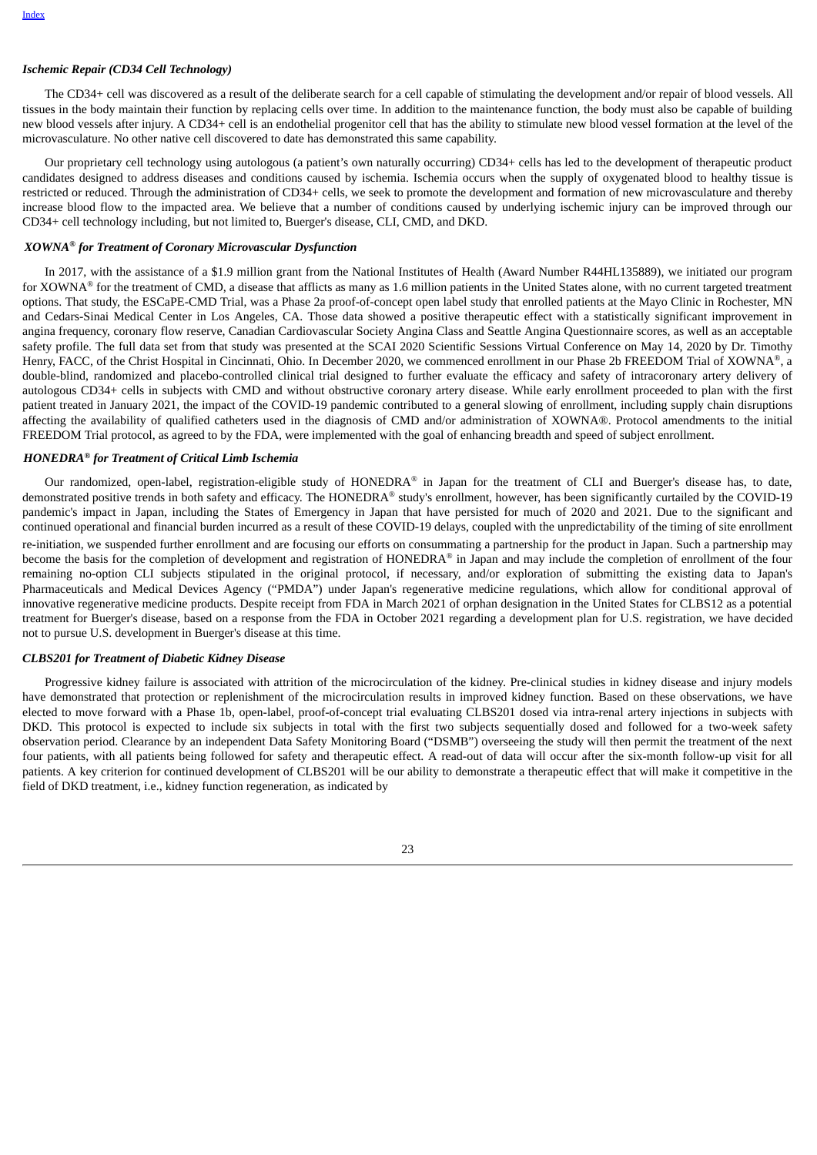## *Ischemic Repair (CD34 Cell Technology)*

The CD34+ cell was discovered as a result of the deliberate search for a cell capable of stimulating the development and/or repair of blood vessels. All tissues in the body maintain their function by replacing cells over time. In addition to the maintenance function, the body must also be capable of building new blood vessels after injury. A CD34+ cell is an endothelial progenitor cell that has the ability to stimulate new blood vessel formation at the level of the microvasculature. No other native cell discovered to date has demonstrated this same capability.

Our proprietary cell technology using autologous (a patient's own naturally occurring) CD34+ cells has led to the development of therapeutic product candidates designed to address diseases and conditions caused by ischemia. Ischemia occurs when the supply of oxygenated blood to healthy tissue is restricted or reduced. Through the administration of CD34+ cells, we seek to promote the development and formation of new microvasculature and thereby increase blood flow to the impacted area. We believe that a number of conditions caused by underlying ischemic injury can be improved through our CD34+ cell technology including, but not limited to, Buerger's disease, CLI, CMD, and DKD.

### *XOWNA for Treatment of Coronary Microvascular Dysfunction ®*

In 2017, with the assistance of a \$1.9 million grant from the National Institutes of Health (Award Number R44HL135889), we initiated our program for XOWNA® for the treatment of CMD, a disease that afflicts as many as 1.6 million patients in the United States alone, with no current targeted treatment options. That study, the ESCaPE-CMD Trial, was a Phase 2a proof-of-concept open label study that enrolled patients at the Mayo Clinic in Rochester, MN and Cedars-Sinai Medical Center in Los Angeles, CA. Those data showed a positive therapeutic effect with a statistically significant improvement in angina frequency, coronary flow reserve, Canadian Cardiovascular Society Angina Class and Seattle Angina Questionnaire scores, as well as an acceptable safety profile. The full data set from that study was presented at the SCAI 2020 Scientific Sessions Virtual Conference on May 14, 2020 by Dr. Timothy Henry, FACC, of the Christ Hospital in Cincinnati, Ohio. In December 2020, we commenced enrollment in our Phase 2b FREEDOM Trial of XOWNA®, a double-blind, randomized and placebo-controlled clinical trial designed to further evaluate the efficacy and safety of intracoronary artery delivery of autologous CD34+ cells in subjects with CMD and without obstructive coronary artery disease. While early enrollment proceeded to plan with the first patient treated in January 2021, the impact of the COVID-19 pandemic contributed to a general slowing of enrollment, including supply chain disruptions affecting the availability of qualified catheters used in the diagnosis of CMD and/or administration of XOWNA®. Protocol amendments to the initial FREEDOM Trial protocol, as agreed to by the FDA, were implemented with the goal of enhancing breadth and speed of subject enrollment.

### *HONEDRA for Treatment of Critical Limb Ischemia ®*

Our randomized, open-label, registration-eligible study of HONEDRA® in Japan for the treatment of CLI and Buerger's disease has, to date, demonstrated positive trends in both safety and efficacy. The HONEDRA® study's enrollment, however, has been significantly curtailed by the COVID-19 pandemic's impact in Japan, including the States of Emergency in Japan that have persisted for much of 2020 and 2021. Due to the significant and continued operational and financial burden incurred as a result of these COVID-19 delays, coupled with the unpredictability of the timing of site enrollment re-initiation, we suspended further enrollment and are focusing our efforts on consummating a partnership for the product in Japan. Such a partnership may become the basis for the completion of development and registration of HONEDRA® in Japan and may include the completion of enrollment of the four remaining no-option CLI subjects stipulated in the original protocol, if necessary, and/or exploration of submitting the existing data to Japan's Pharmaceuticals and Medical Devices Agency ("PMDA") under Japan's regenerative medicine regulations, which allow for conditional approval of innovative regenerative medicine products. Despite receipt from FDA in March 2021 of orphan designation in the United States for CLBS12 as a potential treatment for Buerger's disease, based on a response from the FDA in October 2021 regarding a development plan for U.S. registration, we have decided not to pursue U.S. development in Buerger's disease at this time.

### *CLBS201 for Treatment of Diabetic Kidney Disease*

Progressive kidney failure is associated with attrition of the microcirculation of the kidney. Pre-clinical studies in kidney disease and injury models have demonstrated that protection or replenishment of the microcirculation results in improved kidney function. Based on these observations, we have elected to move forward with a Phase 1b, open-label, proof-of-concept trial evaluating CLBS201 dosed via intra-renal artery injections in subjects with DKD. This protocol is expected to include six subjects in total with the first two subjects sequentially dosed and followed for a two-week safety observation period. Clearance by an independent Data Safety Monitoring Board ("DSMB") overseeing the study will then permit the treatment of the next four patients, with all patients being followed for safety and therapeutic effect. A read-out of data will occur after the six-month follow-up visit for all patients. A key criterion for continued development of CLBS201 will be our ability to demonstrate a therapeutic effect that will make it competitive in the field of DKD treatment, i.e., kidney function regeneration, as indicated by

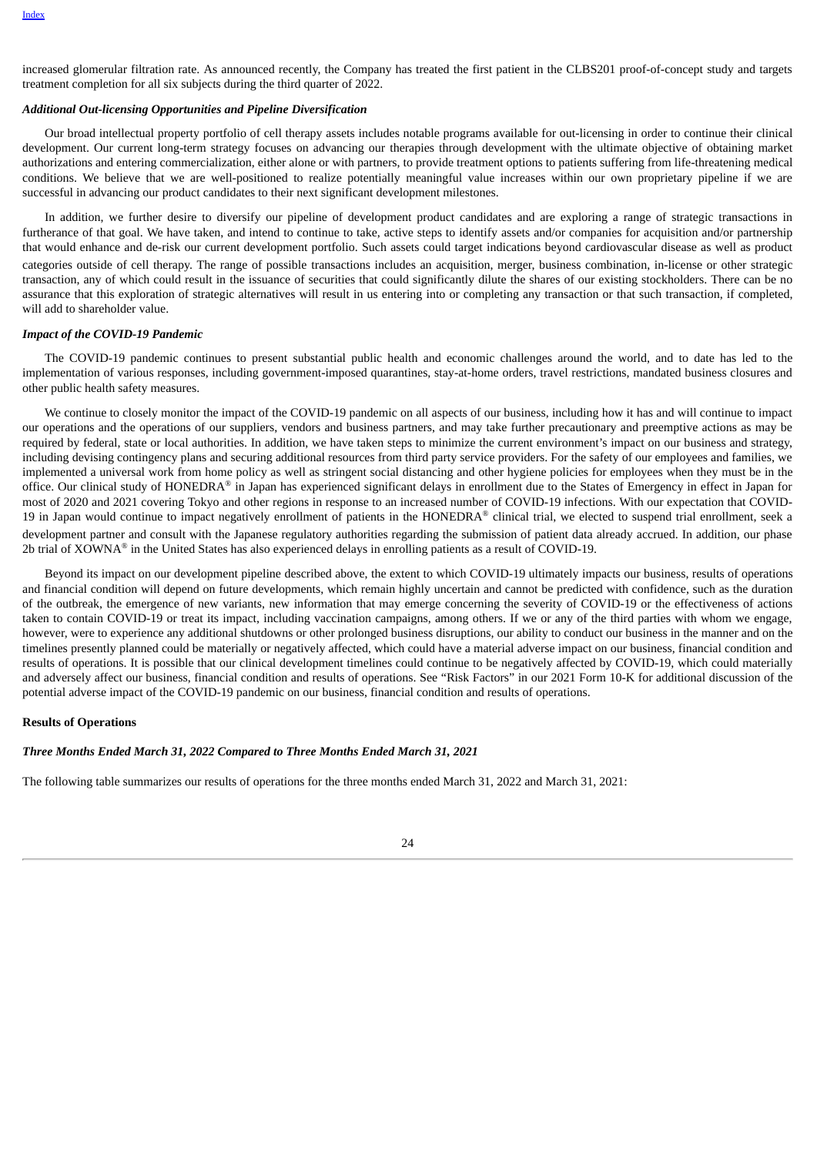increased glomerular filtration rate. As announced recently, the Company has treated the first patient in the CLBS201 proof-of-concept study and targets treatment completion for all six subjects during the third quarter of 2022.

#### *Additional Out-licensing Opportunities and Pipeline Diversification*

Our broad intellectual property portfolio of cell therapy assets includes notable programs available for out-licensing in order to continue their clinical development. Our current long-term strategy focuses on advancing our therapies through development with the ultimate objective of obtaining market authorizations and entering commercialization, either alone or with partners, to provide treatment options to patients suffering from life-threatening medical conditions. We believe that we are well-positioned to realize potentially meaningful value increases within our own proprietary pipeline if we are successful in advancing our product candidates to their next significant development milestones.

In addition, we further desire to diversify our pipeline of development product candidates and are exploring a range of strategic transactions in furtherance of that goal. We have taken, and intend to continue to take, active steps to identify assets and/or companies for acquisition and/or partnership that would enhance and de-risk our current development portfolio. Such assets could target indications beyond cardiovascular disease as well as product categories outside of cell therapy. The range of possible transactions includes an acquisition, merger, business combination, in-license or other strategic transaction, any of which could result in the issuance of securities that could significantly dilute the shares of our existing stockholders. There can be no assurance that this exploration of strategic alternatives will result in us entering into or completing any transaction or that such transaction, if completed, will add to shareholder value.

#### *Impact of the COVID-19 Pandemic*

The COVID-19 pandemic continues to present substantial public health and economic challenges around the world, and to date has led to the implementation of various responses, including government-imposed quarantines, stay-at-home orders, travel restrictions, mandated business closures and other public health safety measures.

We continue to closely monitor the impact of the COVID-19 pandemic on all aspects of our business, including how it has and will continue to impact our operations and the operations of our suppliers, vendors and business partners, and may take further precautionary and preemptive actions as may be required by federal, state or local authorities. In addition, we have taken steps to minimize the current environment's impact on our business and strategy, including devising contingency plans and securing additional resources from third party service providers. For the safety of our employees and families, we implemented a universal work from home policy as well as stringent social distancing and other hygiene policies for employees when they must be in the office. Our clinical study of HONEDRA® in Japan has experienced significant delays in enrollment due to the States of Emergency in effect in Japan for most of 2020 and 2021 covering Tokyo and other regions in response to an increased number of COVID-19 infections. With our expectation that COVID-19 in Japan would continue to impact negatively enrollment of patients in the HONEDRA® clinical trial, we elected to suspend trial enrollment, seek a development partner and consult with the Japanese regulatory authorities regarding the submission of patient data already accrued. In addition, our phase 2b trial of  $XOWNA^*$  in the United States has also experienced delays in enrolling patients as a result of COVID-19.

Beyond its impact on our development pipeline described above, the extent to which COVID-19 ultimately impacts our business, results of operations and financial condition will depend on future developments, which remain highly uncertain and cannot be predicted with confidence, such as the duration of the outbreak, the emergence of new variants, new information that may emerge concerning the severity of COVID-19 or the effectiveness of actions taken to contain COVID-19 or treat its impact, including vaccination campaigns, among others. If we or any of the third parties with whom we engage, however, were to experience any additional shutdowns or other prolonged business disruptions, our ability to conduct our business in the manner and on the timelines presently planned could be materially or negatively affected, which could have a material adverse impact on our business, financial condition and results of operations. It is possible that our clinical development timelines could continue to be negatively affected by COVID-19, which could materially and adversely affect our business, financial condition and results of operations. See "Risk Factors" in our 2021 Form 10-K for additional discussion of the potential adverse impact of the COVID-19 pandemic on our business, financial condition and results of operations.

#### **Results of Operations**

### *Three Months Ended March 31, 2022 Compared to Three Months Ended March 31, 2021*

The following table summarizes our results of operations for the three months ended March 31, 2022 and March 31, 2021:

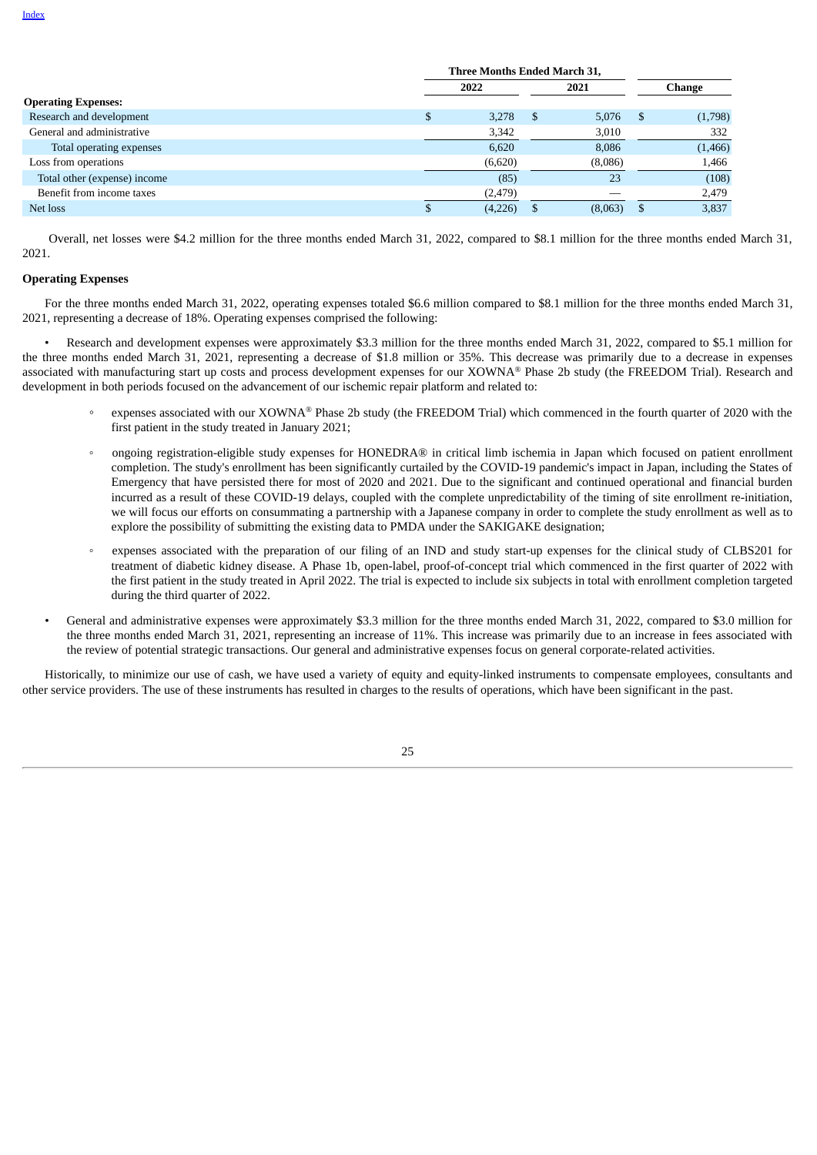|                              |    | Three Months Ended March 31, |      |         |        |         |  |
|------------------------------|----|------------------------------|------|---------|--------|---------|--|
|                              |    | 2022                         |      | 2021    | Change |         |  |
| <b>Operating Expenses:</b>   |    |                              |      |         |        |         |  |
| Research and development     | \$ | 3.278                        | - \$ | 5,076   | -S     | (1,798) |  |
| General and administrative   |    | 3,342                        |      | 3,010   |        | 332     |  |
| Total operating expenses     |    | 6,620                        |      | 8,086   |        | (1,466) |  |
| Loss from operations         |    | (6,620)                      |      | (8,086) |        | 1,466   |  |
| Total other (expense) income |    | (85)                         |      | 23      |        | (108)   |  |
| Benefit from income taxes    |    | (2, 479)                     |      |         |        | 2,479   |  |
| Net loss                     |    | (4,226)                      |      | (8,063) |        | 3,837   |  |
|                              |    |                              |      |         |        |         |  |

Overall, net losses were \$4.2 million for the three months ended March 31, 2022, compared to \$8.1 million for the three months ended March 31, 2021.

## **Operating Expenses**

For the three months ended March 31, 2022, operating expenses totaled \$6.6 million compared to \$8.1 million for the three months ended March 31, 2021, representing a decrease of 18%. Operating expenses comprised the following:

• Research and development expenses were approximately \$3.3 million for the three months ended March 31, 2022, compared to \$5.1 million for the three months ended March 31, 2021, representing a decrease of \$1.8 million or 35%. This decrease was primarily due to a decrease in expenses associated with manufacturing start up costs and process development expenses for our XOWNA® Phase 2b study (the FREEDOM Trial). Research and development in both periods focused on the advancement of our ischemic repair platform and related to:

- © expenses associated with our XOWNA® Phase 2b study (the FREEDOM Trial) which commenced in the fourth quarter of 2020 with the first patient in the study treated in January 2021;
- ongoing registration-eligible study expenses for HONEDRA® in critical limb ischemia in Japan which focused on patient enrollment completion. The study's enrollment has been significantly curtailed by the COVID-19 pandemic's impact in Japan, including the States of Emergency that have persisted there for most of 2020 and 2021. Due to the significant and continued operational and financial burden incurred as a result of these COVID-19 delays, coupled with the complete unpredictability of the timing of site enrollment re-initiation, we will focus our efforts on consummating a partnership with a Japanese company in order to complete the study enrollment as well as to explore the possibility of submitting the existing data to PMDA under the SAKIGAKE designation;
- expenses associated with the preparation of our filing of an IND and study start-up expenses for the clinical study of CLBS201 for treatment of diabetic kidney disease. A Phase 1b, open-label, proof-of-concept trial which commenced in the first quarter of 2022 with the first patient in the study treated in April 2022. The trial is expected to include six subjects in total with enrollment completion targeted during the third quarter of 2022.
- *•* General and administrative expenses were approximately \$3.3 million for the three months ended March 31, 2022, compared to \$3.0 million for the three months ended March 31, 2021, representing an increase of 11%. This increase was primarily due to an increase in fees associated with the review of potential strategic transactions. Our general and administrative expenses focus on general corporate-related activities.

Historically, to minimize our use of cash, we have used a variety of equity and equity-linked instruments to compensate employees, consultants and other service providers. The use of these instruments has resulted in charges to the results of operations, which have been significant in the past.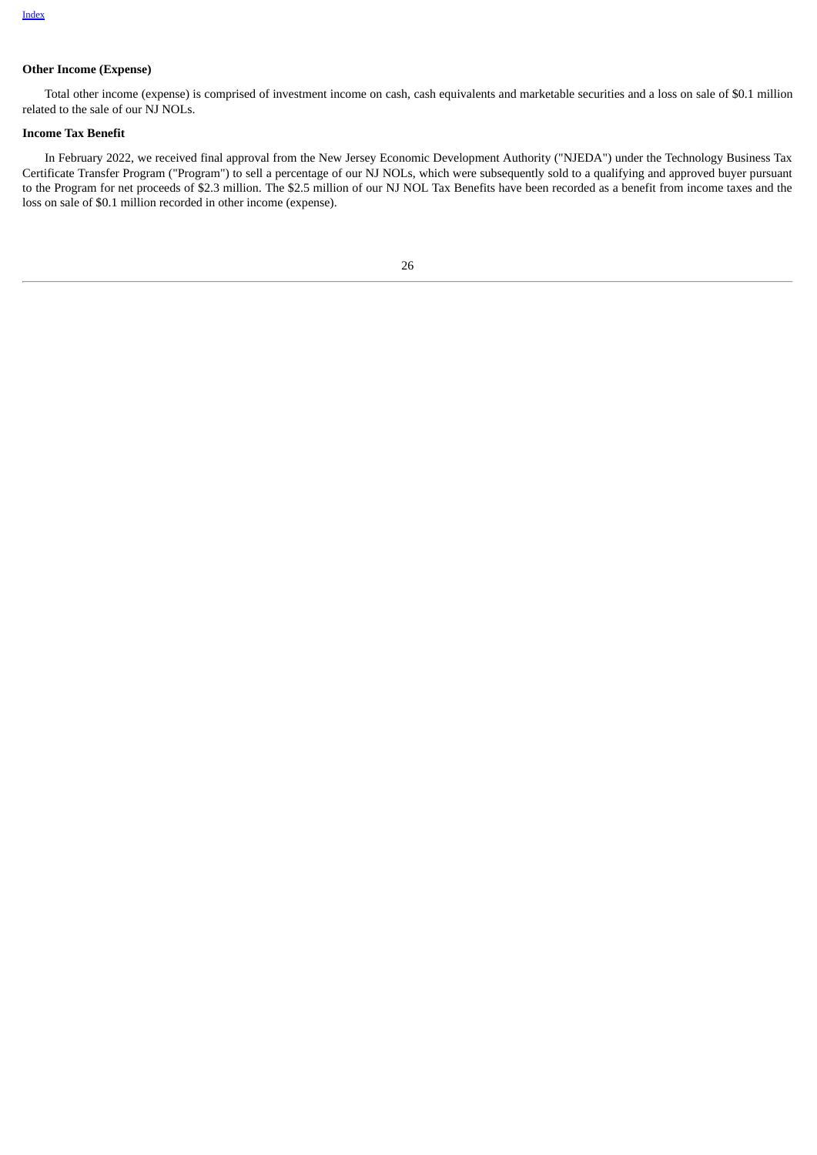## **Other Income (Expense)**

Total other income (expense) is comprised of investment income on cash, cash equivalents and marketable securities and a loss on sale of \$0.1 million related to the sale of our NJ NOLs.

## **Income Tax Benefit**

In February 2022, we received final approval from the New Jersey Economic Development Authority ("NJEDA") under the Technology Business Tax Certificate Transfer Program ("Program") to sell a percentage of our NJ NOLs, which were subsequently sold to a qualifying and approved buyer pursuant to the Program for net proceeds of \$2.3 million. The \$2.5 million of our NJ NOL Tax Benefits have been recorded as a benefit from income taxes and the loss on sale of \$0.1 million recorded in other income (expense).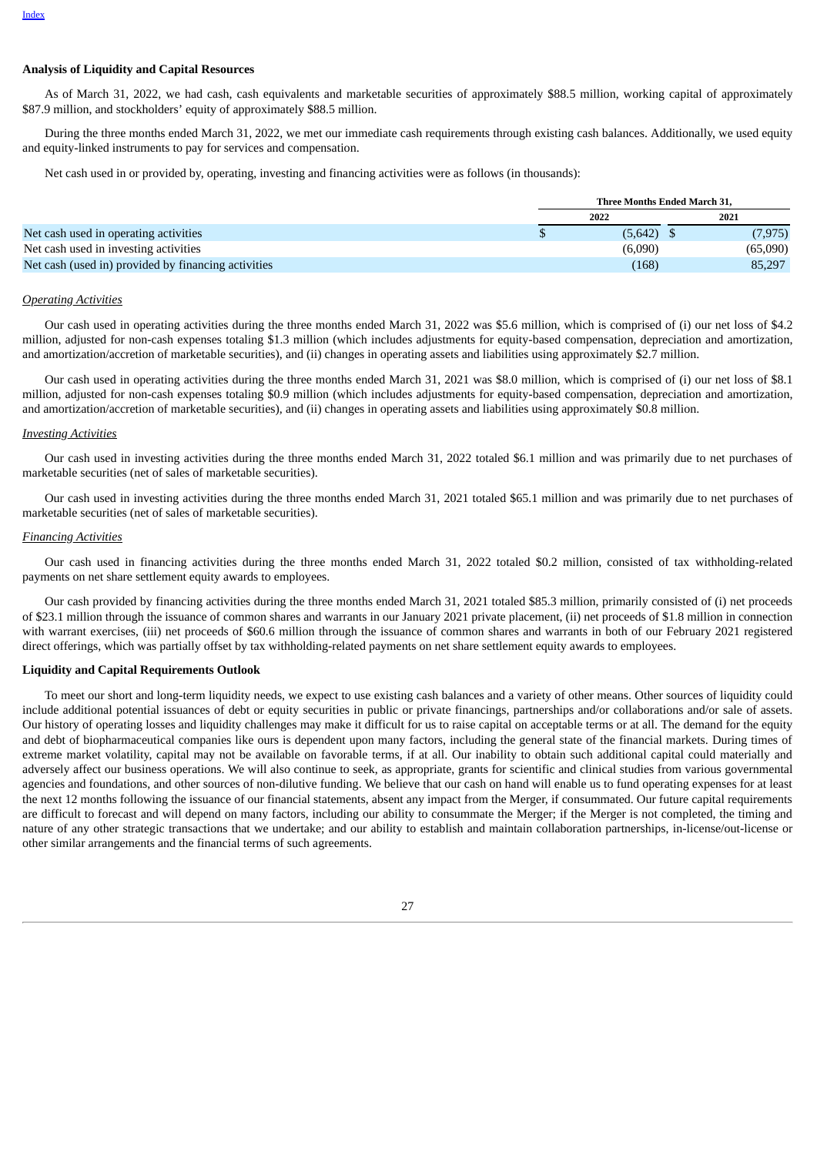## **Analysis of Liquidity and Capital Resources**

As of March 31, 2022, we had cash, cash equivalents and marketable securities of approximately \$88.5 million, working capital of approximately \$87.9 million, and stockholders' equity of approximately \$88.5 million.

During the three months ended March 31, 2022, we met our immediate cash requirements through existing cash balances. Additionally, we used equity and equity-linked instruments to pay for services and compensation.

Net cash used in or provided by, operating, investing and financing activities were as follows (in thousands):

|                                                     | Three Months Ended March 31. |  |          |  |
|-----------------------------------------------------|------------------------------|--|----------|--|
|                                                     | 2022                         |  | 2021     |  |
| Net cash used in operating activities               | (5,642)                      |  | (7, 975) |  |
| Net cash used in investing activities               | (6,090)                      |  | (65,090) |  |
| Net cash (used in) provided by financing activities | (168)                        |  | 85,297   |  |

#### *Operating Activities*

Our cash used in operating activities during the three months ended March 31, 2022 was \$5.6 million, which is comprised of (i) our net loss of \$4.2 million, adjusted for non-cash expenses totaling \$1.3 million (which includes adjustments for equity-based compensation, depreciation and amortization, and amortization/accretion of marketable securities), and (ii) changes in operating assets and liabilities using approximately \$2.7 million.

Our cash used in operating activities during the three months ended March 31, 2021 was \$8.0 million, which is comprised of (i) our net loss of \$8.1 million, adjusted for non-cash expenses totaling \$0.9 million (which includes adjustments for equity-based compensation, depreciation and amortization, and amortization/accretion of marketable securities), and (ii) changes in operating assets and liabilities using approximately \$0.8 million.

#### *Investing Activities*

Our cash used in investing activities during the three months ended March 31, 2022 totaled \$6.1 million and was primarily due to net purchases of marketable securities (net of sales of marketable securities).

Our cash used in investing activities during the three months ended March 31, 2021 totaled \$65.1 million and was primarily due to net purchases of marketable securities (net of sales of marketable securities).

### *Financing Activities*

Our cash used in financing activities during the three months ended March 31, 2022 totaled \$0.2 million, consisted of tax withholding-related payments on net share settlement equity awards to employees.

Our cash provided by financing activities during the three months ended March 31, 2021 totaled \$85.3 million, primarily consisted of (i) net proceeds of \$23.1 million through the issuance of common shares and warrants in our January 2021 private placement, (ii) net proceeds of \$1.8 million in connection with warrant exercises, (iii) net proceeds of \$60.6 million through the issuance of common shares and warrants in both of our February 2021 registered direct offerings, which was partially offset by tax withholding-related payments on net share settlement equity awards to employees.

## **Liquidity and Capital Requirements Outlook**

To meet our short and long-term liquidity needs, we expect to use existing cash balances and a variety of other means. Other sources of liquidity could include additional potential issuances of debt or equity securities in public or private financings, partnerships and/or collaborations and/or sale of assets. Our history of operating losses and liquidity challenges may make it difficult for us to raise capital on acceptable terms or at all. The demand for the equity and debt of biopharmaceutical companies like ours is dependent upon many factors, including the general state of the financial markets. During times of extreme market volatility, capital may not be available on favorable terms, if at all. Our inability to obtain such additional capital could materially and adversely affect our business operations. We will also continue to seek, as appropriate, grants for scientific and clinical studies from various governmental agencies and foundations, and other sources of non-dilutive funding. We believe that our cash on hand will enable us to fund operating expenses for at least the next 12 months following the issuance of our financial statements, absent any impact from the Merger, if consummated. Our future capital requirements are difficult to forecast and will depend on many factors, including our ability to consummate the Merger; if the Merger is not completed, the timing and nature of any other strategic transactions that we undertake; and our ability to establish and maintain collaboration partnerships, in-license/out-license or other similar arrangements and the financial terms of such agreements.

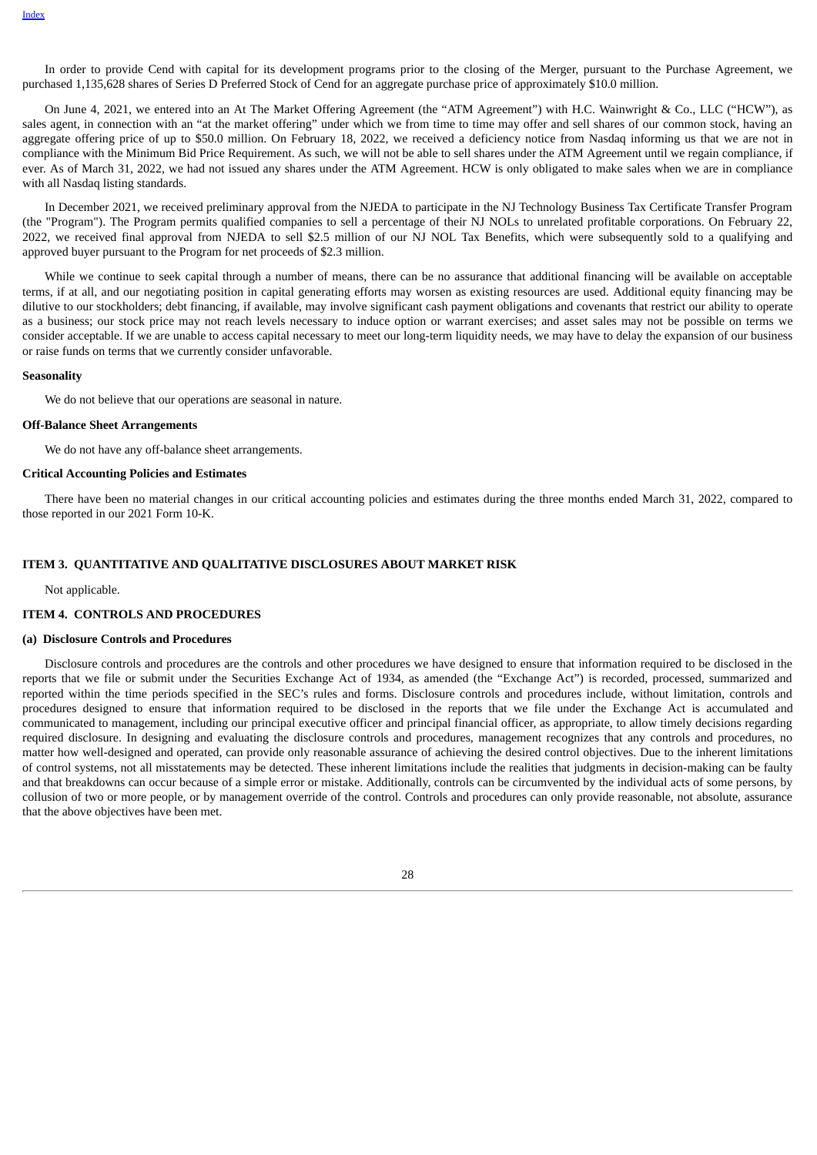On June 4, 2021, we entered into an At The Market Offering Agreement (the "ATM Agreement") with H.C. Wainwright & Co., LLC ("HCW"), as sales agent, in connection with an "at the market offering" under which we from time to time may offer and sell shares of our common stock, having an aggregate offering price of up to \$50.0 million. On February 18, 2022, we received a deficiency notice from Nasdaq informing us that we are not in compliance with the Minimum Bid Price Requirement. As such, we will not be able to sell shares under the ATM Agreement until we regain compliance, if ever. As of March 31, 2022, we had not issued any shares under the ATM Agreement. HCW is only obligated to make sales when we are in compliance with all Nasdaq listing standards.

In December 2021, we received preliminary approval from the NJEDA to participate in the NJ Technology Business Tax Certificate Transfer Program (the "Program"). The Program permits qualified companies to sell a percentage of their NJ NOLs to unrelated profitable corporations. On February 22, 2022, we received final approval from NJEDA to sell \$2.5 million of our NJ NOL Tax Benefits, which were subsequently sold to a qualifying and approved buyer pursuant to the Program for net proceeds of \$2.3 million.

While we continue to seek capital through a number of means, there can be no assurance that additional financing will be available on acceptable terms, if at all, and our negotiating position in capital generating efforts may worsen as existing resources are used. Additional equity financing may be dilutive to our stockholders; debt financing, if available, may involve significant cash payment obligations and covenants that restrict our ability to operate as a business; our stock price may not reach levels necessary to induce option or warrant exercises; and asset sales may not be possible on terms we consider acceptable. If we are unable to access capital necessary to meet our long-term liquidity needs, we may have to delay the expansion of our business or raise funds on terms that we currently consider unfavorable.

#### **Seasonality**

We do not believe that our operations are seasonal in nature.

#### **Off-Balance Sheet Arrangements**

We do not have any off-balance sheet arrangements.

## **Critical Accounting Policies and Estimates**

There have been no material changes in our critical accounting policies and estimates during the three months ended March 31, 2022, compared to those reported in our 2021 Form 10-K.

#### <span id="page-27-0"></span>**ITEM 3. QUANTITATIVE AND QUALITATIVE DISCLOSURES ABOUT MARKET RISK**

Not applicable.

### <span id="page-27-1"></span>**ITEM 4. CONTROLS AND PROCEDURES**

### **(a) Disclosure Controls and Procedures**

Disclosure controls and procedures are the controls and other procedures we have designed to ensure that information required to be disclosed in the reports that we file or submit under the Securities Exchange Act of 1934, as amended (the "Exchange Act") is recorded, processed, summarized and reported within the time periods specified in the SEC's rules and forms. Disclosure controls and procedures include, without limitation, controls and procedures designed to ensure that information required to be disclosed in the reports that we file under the Exchange Act is accumulated and communicated to management, including our principal executive officer and principal financial officer, as appropriate, to allow timely decisions regarding required disclosure. In designing and evaluating the disclosure controls and procedures, management recognizes that any controls and procedures, no matter how well-designed and operated, can provide only reasonable assurance of achieving the desired control objectives. Due to the inherent limitations of control systems, not all misstatements may be detected. These inherent limitations include the realities that judgments in decision-making can be faulty and that breakdowns can occur because of a simple error or mistake. Additionally, controls can be circumvented by the individual acts of some persons, by collusion of two or more people, or by management override of the control. Controls and procedures can only provide reasonable, not absolute, assurance that the above objectives have been met.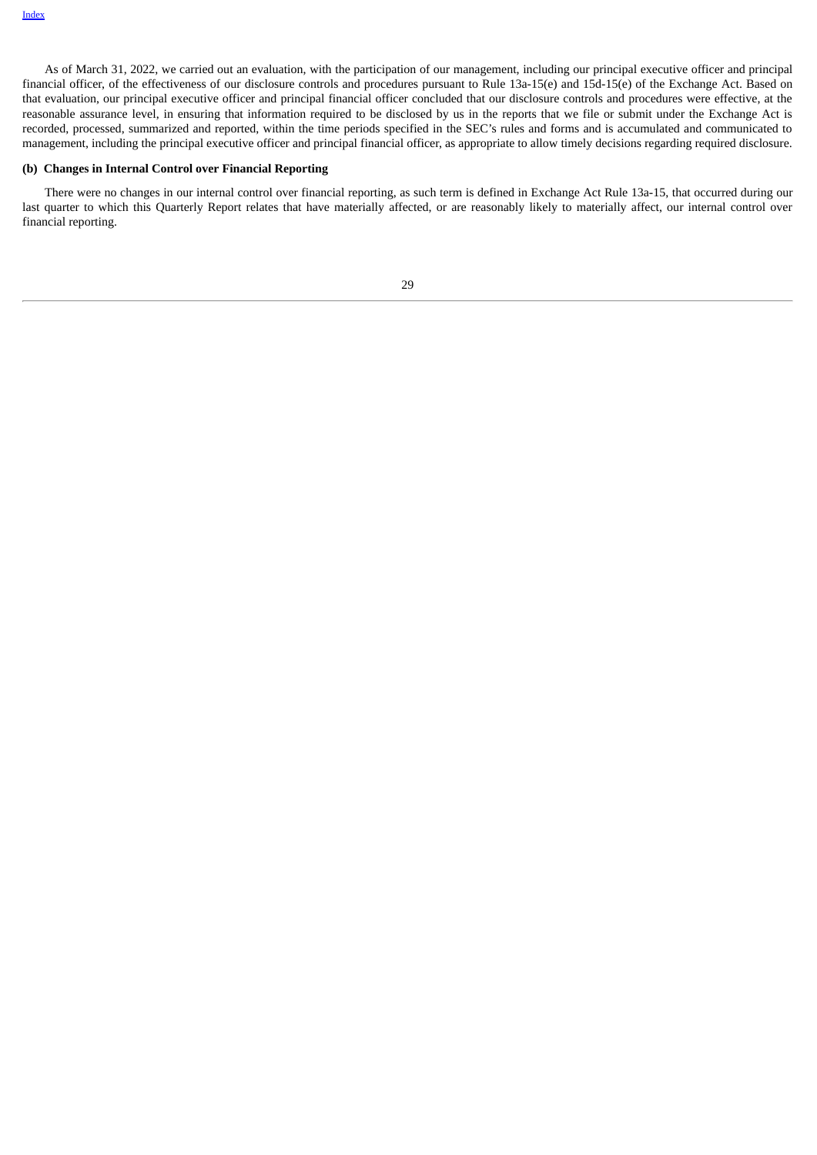As of March 31, 2022, we carried out an evaluation, with the participation of our management, including our principal executive officer and principal financial officer, of the effectiveness of our disclosure controls and procedures pursuant to Rule 13a-15(e) and 15d-15(e) of the Exchange Act. Based on that evaluation, our principal executive officer and principal financial officer concluded that our disclosure controls and procedures were effective, at the reasonable assurance level, in ensuring that information required to be disclosed by us in the reports that we file or submit under the Exchange Act is recorded, processed, summarized and reported, within the time periods specified in the SEC's rules and forms and is accumulated and communicated to management, including the principal executive officer and principal financial officer, as appropriate to allow timely decisions regarding required disclosure.

#### **(b) Changes in Internal Control over Financial Reporting**

There were no changes in our internal control over financial reporting, as such term is defined in Exchange Act Rule 13a-15, that occurred during our last quarter to which this Quarterly Report relates that have materially affected, or are reasonably likely to materially affect, our internal control over financial reporting.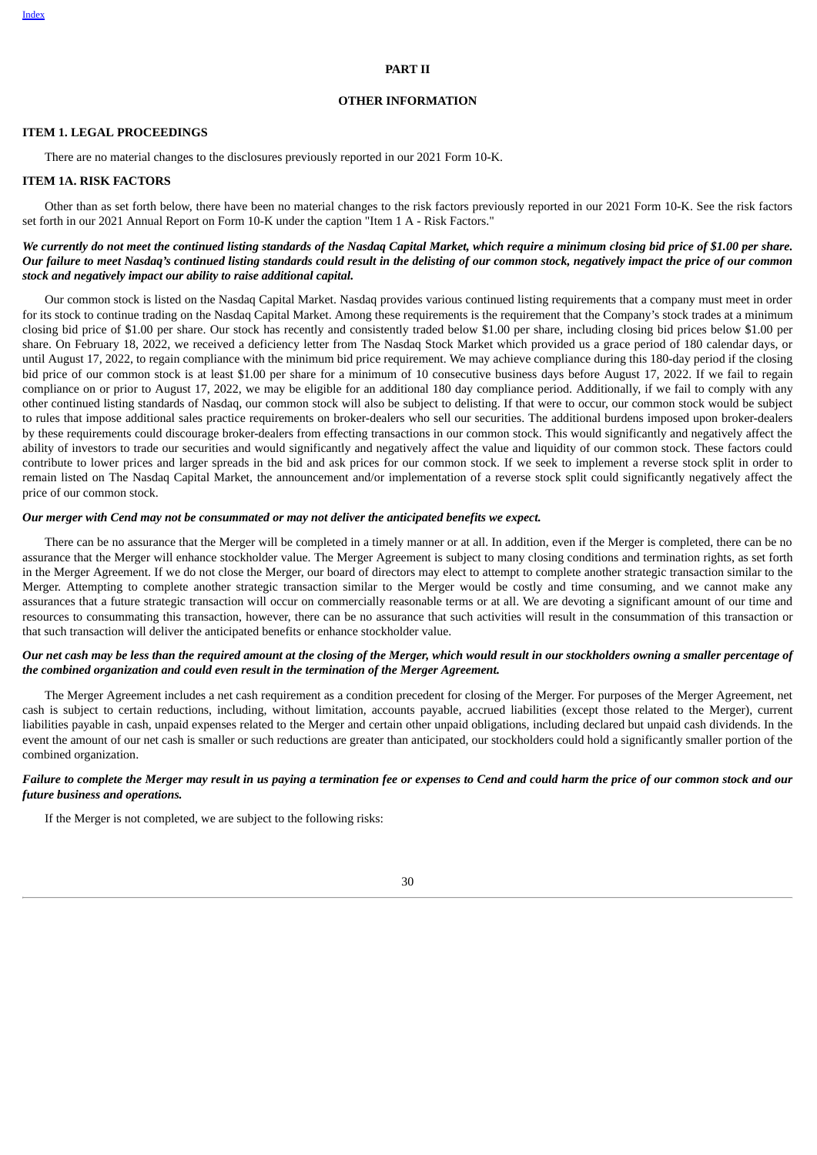#### **PART II**

## **OTHER INFORMATION**

### <span id="page-29-0"></span>**ITEM 1. LEGAL PROCEEDINGS**

There are no material changes to the disclosures previously reported in our 2021 Form 10-K.

### <span id="page-29-1"></span>**ITEM 1A. RISK FACTORS**

Other than as set forth below, there have been no material changes to the risk factors previously reported in our 2021 Form 10-K. See the risk factors set forth in our 2021 Annual Report on Form 10-K under the caption "Item 1 A - Risk Factors."

## We currently do not meet the continued listing standards of the Nasdag Capital Market, which require a minimum closing bid price of \$1.00 per share. Our failure to meet Nasdaq's continued listing standards could result in the delisting of our common stock, negatively impact the price of our common *stock and negatively impact our ability to raise additional capital.*

Our common stock is listed on the Nasdaq Capital Market. Nasdaq provides various continued listing requirements that a company must meet in order for its stock to continue trading on the Nasdaq Capital Market. Among these requirements is the requirement that the Company's stock trades at a minimum closing bid price of \$1.00 per share. Our stock has recently and consistently traded below \$1.00 per share, including closing bid prices below \$1.00 per share. On February 18, 2022, we received a deficiency letter from The Nasdaq Stock Market which provided us a grace period of 180 calendar days, or until August 17, 2022, to regain compliance with the minimum bid price requirement. We may achieve compliance during this 180-day period if the closing bid price of our common stock is at least \$1.00 per share for a minimum of 10 consecutive business days before August 17, 2022. If we fail to regain compliance on or prior to August 17, 2022, we may be eligible for an additional 180 day compliance period. Additionally, if we fail to comply with any other continued listing standards of Nasdaq, our common stock will also be subject to delisting. If that were to occur, our common stock would be subject to rules that impose additional sales practice requirements on broker-dealers who sell our securities. The additional burdens imposed upon broker-dealers by these requirements could discourage broker-dealers from effecting transactions in our common stock. This would significantly and negatively affect the ability of investors to trade our securities and would significantly and negatively affect the value and liquidity of our common stock. These factors could contribute to lower prices and larger spreads in the bid and ask prices for our common stock. If we seek to implement a reverse stock split in order to remain listed on The Nasdaq Capital Market, the announcement and/or implementation of a reverse stock split could significantly negatively affect the price of our common stock.

### *Our merger with Cend may not be consummated or may not deliver the anticipated benefits we expect.*

There can be no assurance that the Merger will be completed in a timely manner or at all. In addition, even if the Merger is completed, there can be no assurance that the Merger will enhance stockholder value. The Merger Agreement is subject to many closing conditions and termination rights, as set forth in the Merger Agreement. If we do not close the Merger, our board of directors may elect to attempt to complete another strategic transaction similar to the Merger. Attempting to complete another strategic transaction similar to the Merger would be costly and time consuming, and we cannot make any assurances that a future strategic transaction will occur on commercially reasonable terms or at all. We are devoting a significant amount of our time and resources to consummating this transaction, however, there can be no assurance that such activities will result in the consummation of this transaction or that such transaction will deliver the anticipated benefits or enhance stockholder value.

## Our net cash may be less than the reauired amount at the closina of the Meraer, which would result in our stockholders owning a smaller percentage of *the combined organization and could even result in the termination of the Merger Agreement.*

The Merger Agreement includes a net cash requirement as a condition precedent for closing of the Merger. For purposes of the Merger Agreement, net cash is subject to certain reductions, including, without limitation, accounts payable, accrued liabilities (except those related to the Merger), current liabilities payable in cash, unpaid expenses related to the Merger and certain other unpaid obligations, including declared but unpaid cash dividends. In the event the amount of our net cash is smaller or such reductions are greater than anticipated, our stockholders could hold a significantly smaller portion of the combined organization.

### Failure to complete the Merger may result in us paying a termination fee or expenses to Cend and could harm the price of our common stock and our *future business and operations.*

If the Merger is not completed, we are subject to the following risks:

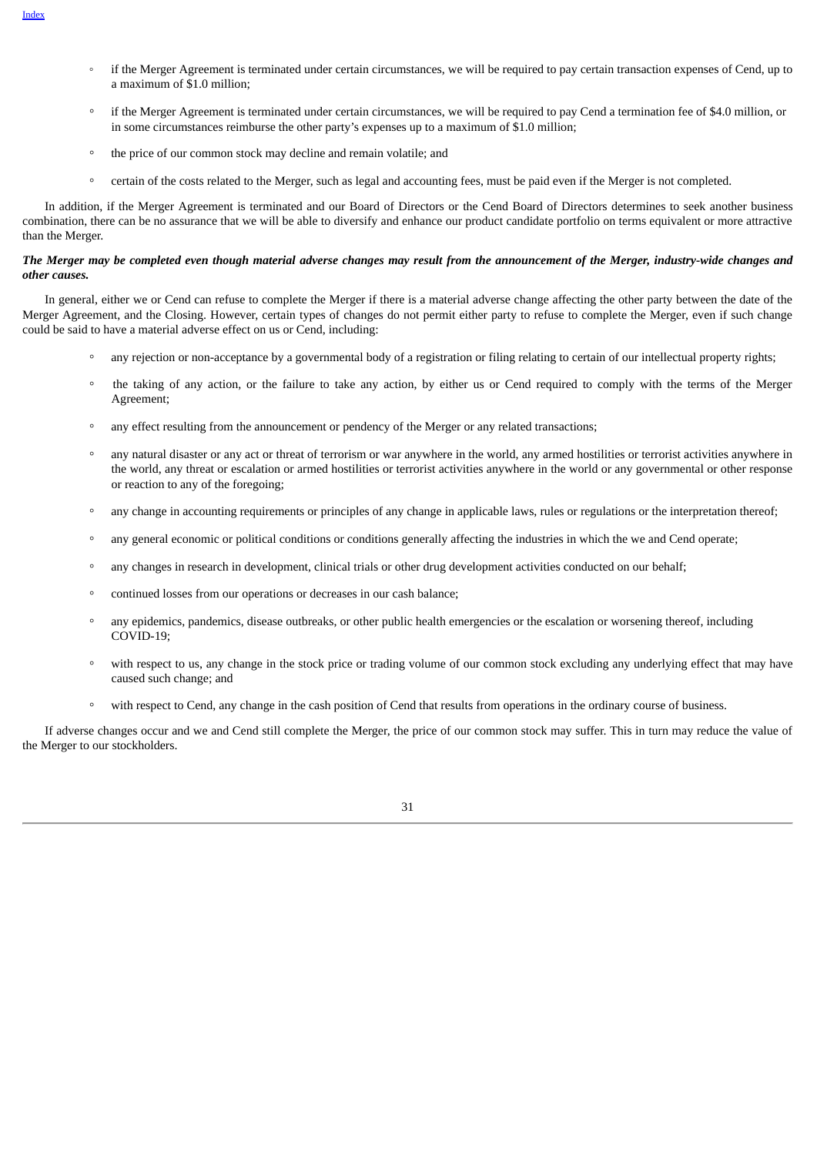- if the Merger Agreement is terminated under certain circumstances, we will be required to pay Cend a termination fee of \$4.0 million, or in some circumstances reimburse the other party's expenses up to a maximum of \$1.0 million;
- the price of our common stock may decline and remain volatile; and

[Index](#page-0-0)

◦ certain of the costs related to the Merger, such as legal and accounting fees, must be paid even if the Merger is not completed.

In addition, if the Merger Agreement is terminated and our Board of Directors or the Cend Board of Directors determines to seek another business combination, there can be no assurance that we will be able to diversify and enhance our product candidate portfolio on terms equivalent or more attractive than the Merger.

## The Merger may be completed even though material adverse changes may result from the announcement of the Merger, industry-wide changes and *other causes.*

In general, either we or Cend can refuse to complete the Merger if there is a material adverse change affecting the other party between the date of the Merger Agreement, and the Closing. However, certain types of changes do not permit either party to refuse to complete the Merger, even if such change could be said to have a material adverse effect on us or Cend, including:

- any rejection or non-acceptance by a governmental body of a registration or filing relating to certain of our intellectual property rights;
- the taking of any action, or the failure to take any action, by either us or Cend required to comply with the terms of the Merger Agreement;
- any effect resulting from the announcement or pendency of the Merger or any related transactions;
- any natural disaster or any act or threat of terrorism or war anywhere in the world, any armed hostilities or terrorist activities anywhere in the world, any threat or escalation or armed hostilities or terrorist activities anywhere in the world or any governmental or other response or reaction to any of the foregoing;
- any change in accounting requirements or principles of any change in applicable laws, rules or regulations or the interpretation thereof;
- any general economic or political conditions or conditions generally affecting the industries in which the we and Cend operate;
- any changes in research in development, clinical trials or other drug development activities conducted on our behalf;
- continued losses from our operations or decreases in our cash balance;
- any epidemics, pandemics, disease outbreaks, or other public health emergencies or the escalation or worsening thereof, including COVID-19;
- with respect to us, any change in the stock price or trading volume of our common stock excluding any underlying effect that may have caused such change; and
- with respect to Cend, any change in the cash position of Cend that results from operations in the ordinary course of business.

If adverse changes occur and we and Cend still complete the Merger, the price of our common stock may suffer. This in turn may reduce the value of the Merger to our stockholders.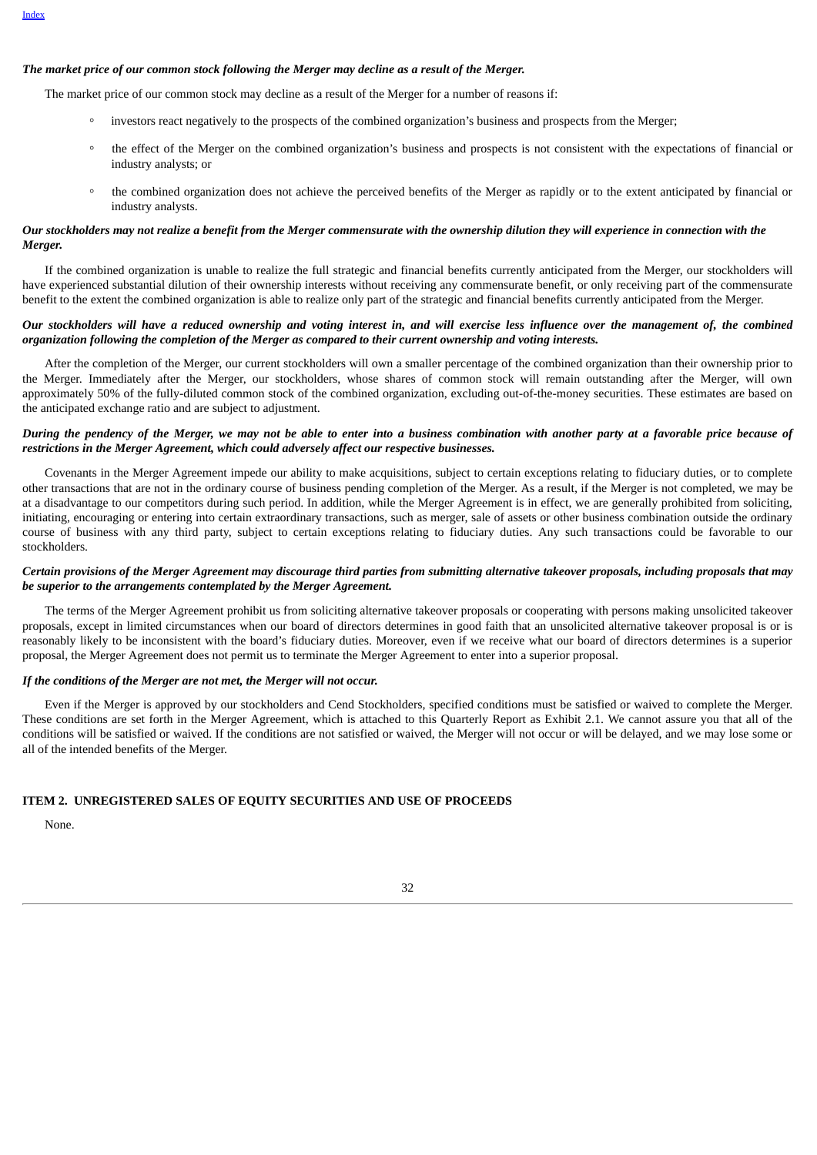### *The market price of our common stock following the Merger may decline as a result of the Merger.*

The market price of our common stock may decline as a result of the Merger for a number of reasons if:

- investors react negatively to the prospects of the combined organization's business and prospects from the Merger;
- the effect of the Merger on the combined organization's business and prospects is not consistent with the expectations of financial or industry analysts; or
- the combined organization does not achieve the perceived benefits of the Merger as rapidly or to the extent anticipated by financial or industry analysts.

### Our stockholders may not realize a benefit from the Merger commensurate with the ownership dilution they will experience in connection with the *Merger.*

If the combined organization is unable to realize the full strategic and financial benefits currently anticipated from the Merger, our stockholders will have experienced substantial dilution of their ownership interests without receiving any commensurate benefit, or only receiving part of the commensurate benefit to the extent the combined organization is able to realize only part of the strategic and financial benefits currently anticipated from the Merger.

## Our stockholders will have a reduced ownership and voting interest in, and will exercise less influence over the management of, the combined *organization following the completion of the Merger as compared to their current ownership and voting interests.*

After the completion of the Merger, our current stockholders will own a smaller percentage of the combined organization than their ownership prior to the Merger. Immediately after the Merger, our stockholders, whose shares of common stock will remain outstanding after the Merger, will own approximately 50% of the fully-diluted common stock of the combined organization, excluding out-of-the-money securities. These estimates are based on the anticipated exchange ratio and are subject to adjustment.

## During the pendency of the Merger, we may not be able to enter into a business combination with another party at a favorable price because of *restrictions in the Merger Agreement, which could adversely affect our respective businesses.*

Covenants in the Merger Agreement impede our ability to make acquisitions, subject to certain exceptions relating to fiduciary duties, or to complete other transactions that are not in the ordinary course of business pending completion of the Merger. As a result, if the Merger is not completed, we may be at a disadvantage to our competitors during such period. In addition, while the Merger Agreement is in effect, we are generally prohibited from soliciting, initiating, encouraging or entering into certain extraordinary transactions, such as merger, sale of assets or other business combination outside the ordinary course of business with any third party, subject to certain exceptions relating to fiduciary duties. Any such transactions could be favorable to our stockholders.

## Certain provisions of the Meraer Aareement may discourage third parties from submitting alternative takeover proposals, including proposals that may *be superior to the arrangements contemplated by the Merger Agreement.*

The terms of the Merger Agreement prohibit us from soliciting alternative takeover proposals or cooperating with persons making unsolicited takeover proposals, except in limited circumstances when our board of directors determines in good faith that an unsolicited alternative takeover proposal is or is reasonably likely to be inconsistent with the board's fiduciary duties. Moreover, even if we receive what our board of directors determines is a superior proposal, the Merger Agreement does not permit us to terminate the Merger Agreement to enter into a superior proposal.

## *If the conditions of the Merger are not met, the Merger will not occur.*

Even if the Merger is approved by our stockholders and Cend Stockholders, specified conditions must be satisfied or waived to complete the Merger. These conditions are set forth in the Merger Agreement, which is attached to this Quarterly Report as Exhibit 2.1. We cannot assure you that all of the conditions will be satisfied or waived. If the conditions are not satisfied or waived, the Merger will not occur or will be delayed, and we may lose some or all of the intended benefits of the Merger.

### <span id="page-31-0"></span>**ITEM 2. UNREGISTERED SALES OF EQUITY SECURITIES AND USE OF PROCEEDS**

None.

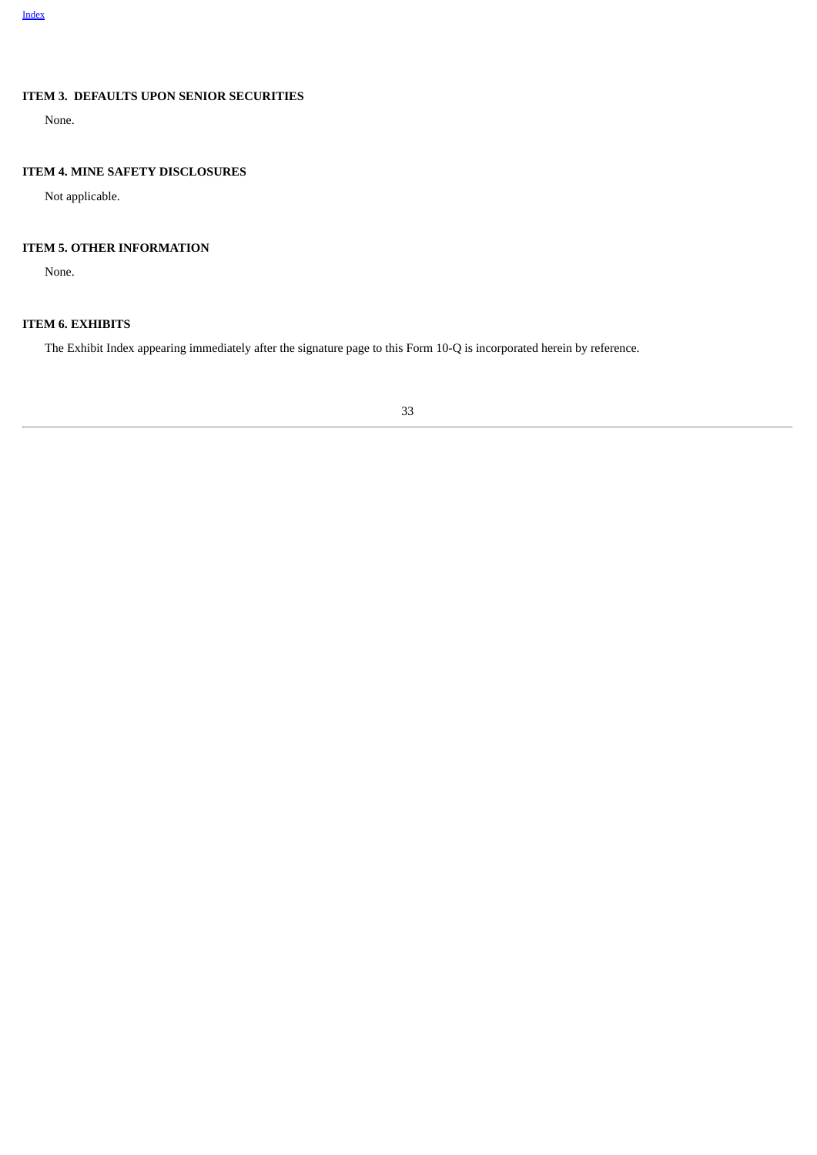## <span id="page-32-0"></span>**ITEM 3. DEFAULTS UPON SENIOR SECURITIES**

None.

# <span id="page-32-1"></span>**ITEM 4. MINE SAFETY DISCLOSURES**

Not applicable.

# <span id="page-32-2"></span>**ITEM 5. OTHER INFORMATION**

None.

# <span id="page-32-3"></span>**ITEM 6. EXHIBITS**

<span id="page-32-4"></span>The Exhibit Index appearing immediately after the signature page to this Form 10-Q is incorporated herein by reference.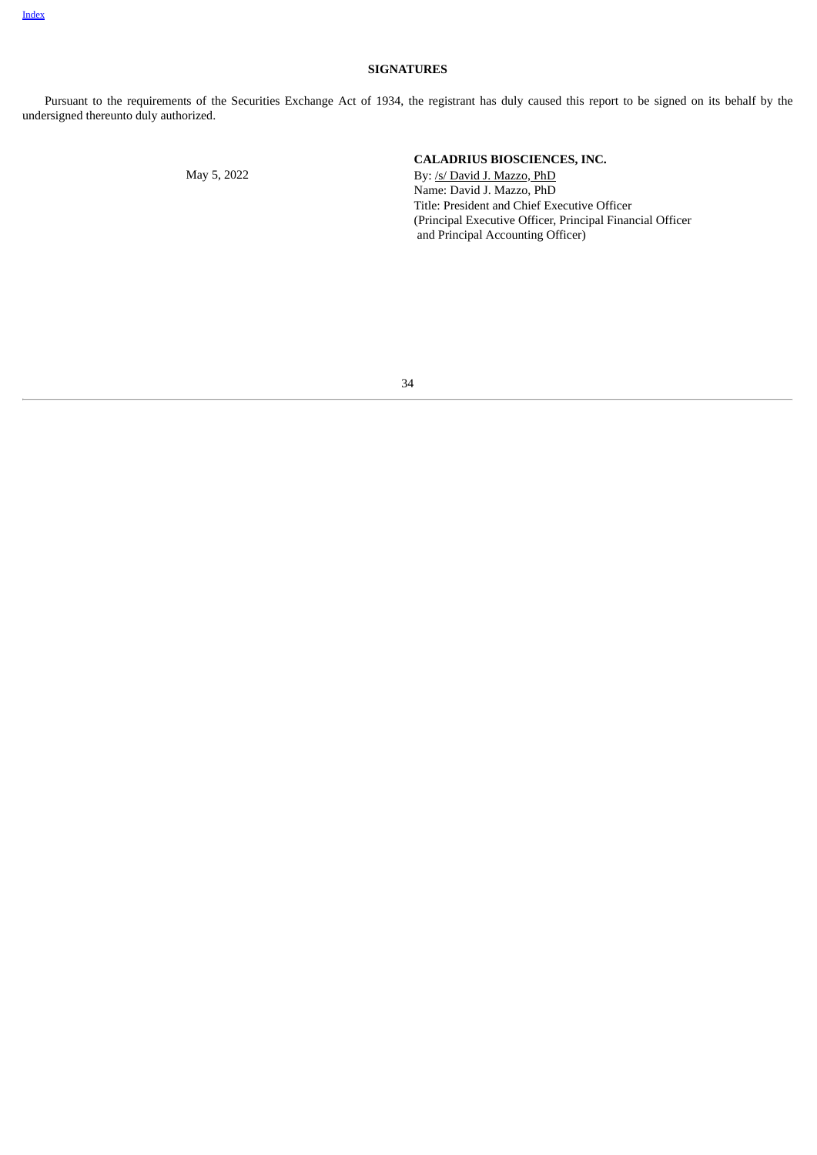## **SIGNATURES**

Pursuant to the requirements of the Securities Exchange Act of 1934, the registrant has duly caused this report to be signed on its behalf by the undersigned thereunto duly authorized.

# **CALADRIUS BIOSCIENCES, INC.**

May 5, 2022 By: /s/ David J. Mazzo, PhD Name: David J. Mazzo, PhD Title: President and Chief Executive Officer (Principal Executive Officer, Principal Financial Officer and Principal Accounting Officer)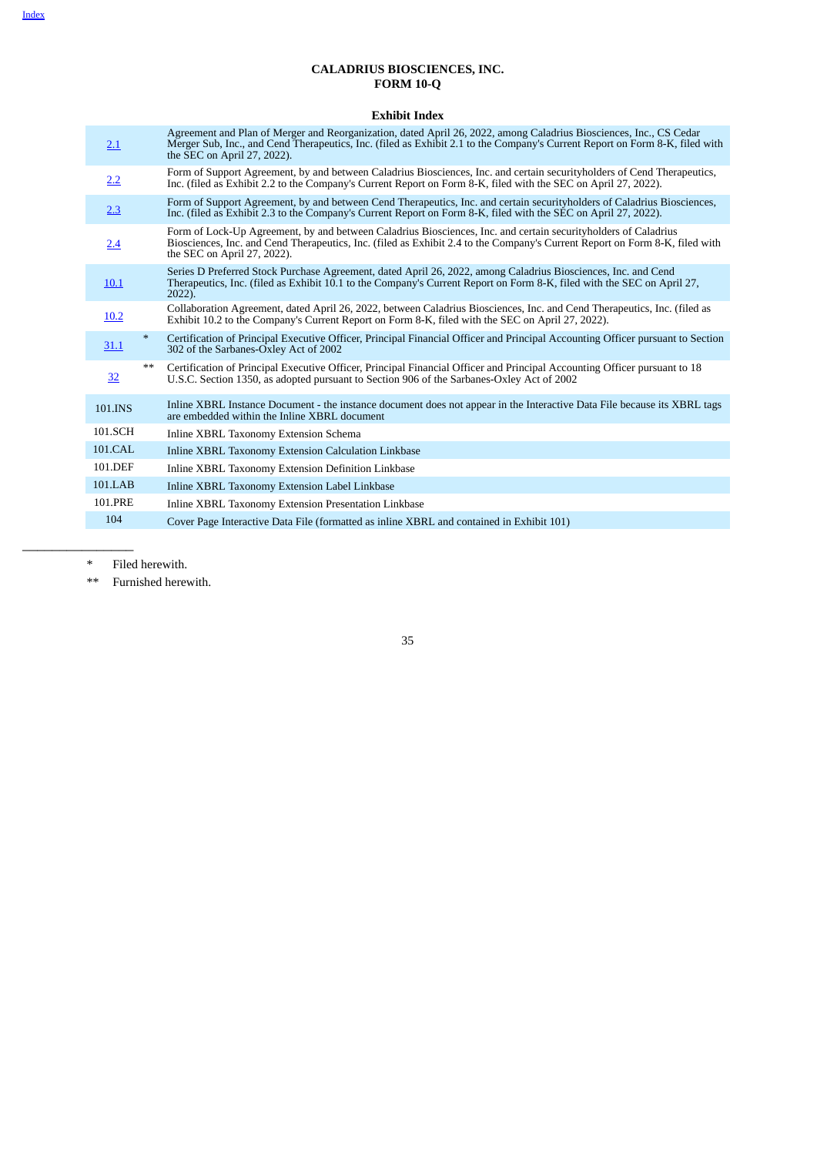# **CALADRIUS BIOSCIENCES, INC. FORM 10-Q**

## **Exhibit Index**

| 2.1     |        | Agreement and Plan of Merger and Reorganization, dated April 26, 2022, among Caladrius Biosciences, Inc., CS Cedar<br>Merger Sub, Inc., and Cend Therapeutics, Inc. (filed as Exhibit 2.1 to the Company's Current Report on Form 8-K, filed with<br>the SEC on April 27, 2022). |
|---------|--------|----------------------------------------------------------------------------------------------------------------------------------------------------------------------------------------------------------------------------------------------------------------------------------|
| 2.2     |        | Form of Support Agreement, by and between Caladrius Biosciences, Inc. and certain security holders of Cend Therapeutics,<br>Inc. (filed as Exhibit 2.2 to the Company's Current Report on Form 8-K, filed with the SEC on April 27, 2022).                                       |
| 2.3     |        | Form of Support Agreement, by and between Cend Therapeutics, Inc. and certain securityholders of Caladrius Biosciences,<br>Inc. (filed as Exhibit 2.3 to the Company's Current Report on Form 8-K, filed with the SEC on April 27, 2022).                                        |
| 2.4     |        | Form of Lock-Up Agreement, by and between Caladrius Biosciences, Inc. and certain security holders of Caladrius<br>Biosciences, Inc. and Cend Therapeutics, Inc. (filed as Exhibit 2.4 to the Company's Current Report on Form 8-K, filed with<br>the SEC on April 27, 2022).    |
| 10.1    |        | Series D Preferred Stock Purchase Agreement, dated April 26, 2022, among Caladrius Biosciences, Inc. and Cend<br>Therapeutics, Inc. (filed as Exhibit 10.1 to the Company's Current Report on Form 8-K, filed with the SEC on April 27,<br>$2022$ ).                             |
| 10.2    |        | Collaboration Agreement, dated April 26, 2022, between Caladrius Biosciences, Inc. and Cend Therapeutics, Inc. (filed as<br>Exhibit 10.2 to the Company's Current Report on Form 8-K, filed with the SEC on April 27, 2022).                                                     |
| 31.1    | $\ast$ | Certification of Principal Executive Officer, Principal Financial Officer and Principal Accounting Officer pursuant to Section<br>302 of the Sarbanes-Oxley Act of 2002                                                                                                          |
| 32      | $***$  | Certification of Principal Executive Officer, Principal Financial Officer and Principal Accounting Officer pursuant to 18<br>U.S.C. Section 1350, as adopted pursuant to Section 906 of the Sarbanes-Oxley Act of 2002                                                           |
| 101.INS |        | Inline XBRL Instance Document - the instance document does not appear in the Interactive Data File because its XBRL tags<br>are embedded within the Inline XBRL document                                                                                                         |
| 101.SCH |        | Inline XBRL Taxonomy Extension Schema                                                                                                                                                                                                                                            |
| 101.CAL |        | Inline XBRL Taxonomy Extension Calculation Linkbase                                                                                                                                                                                                                              |
| 101.DEF |        | Inline XBRL Taxonomy Extension Definition Linkbase                                                                                                                                                                                                                               |
| 101.LAB |        | Inline XBRL Taxonomy Extension Label Linkbase                                                                                                                                                                                                                                    |
| 101.PRE |        | Inline XBRL Taxonomy Extension Presentation Linkbase                                                                                                                                                                                                                             |
| 104     |        | Cover Page Interactive Data File (formatted as inline XBRL and contained in Exhibit 101)                                                                                                                                                                                         |
|         |        |                                                                                                                                                                                                                                                                                  |

\* Filed herewith.

\_\_\_\_\_\_\_\_\_\_\_\_\_\_\_

\*\* Furnished herewith.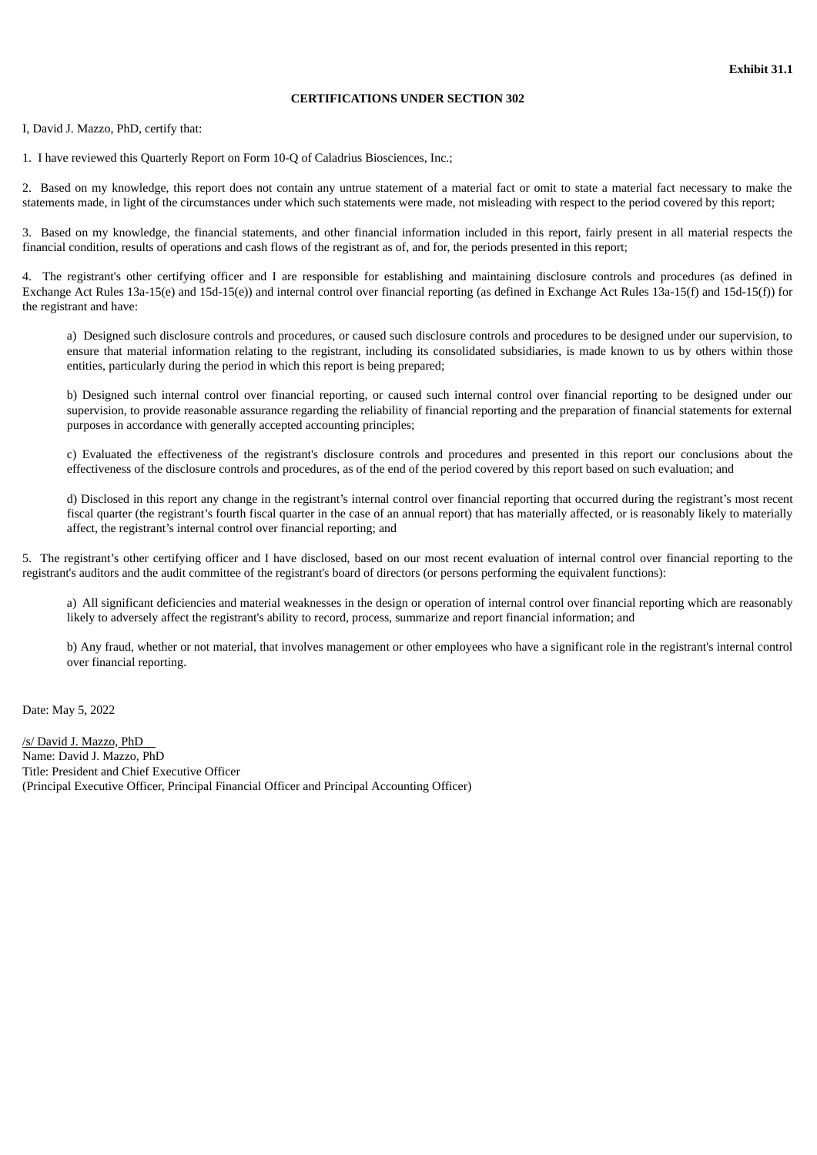## **CERTIFICATIONS UNDER SECTION 302**

<span id="page-35-0"></span>I, David J. Mazzo, PhD, certify that:

1. I have reviewed this Quarterly Report on Form 10-Q of Caladrius Biosciences, Inc.;

2. Based on my knowledge, this report does not contain any untrue statement of a material fact or omit to state a material fact necessary to make the statements made, in light of the circumstances under which such statements were made, not misleading with respect to the period covered by this report;

3. Based on my knowledge, the financial statements, and other financial information included in this report, fairly present in all material respects the financial condition, results of operations and cash flows of the registrant as of, and for, the periods presented in this report;

4. The registrant's other certifying officer and I are responsible for establishing and maintaining disclosure controls and procedures (as defined in Exchange Act Rules 13a-15(e) and 15d-15(e)) and internal control over financial reporting (as defined in Exchange Act Rules 13a-15(f) and 15d-15(f)) for the registrant and have:

a) Designed such disclosure controls and procedures, or caused such disclosure controls and procedures to be designed under our supervision, to ensure that material information relating to the registrant, including its consolidated subsidiaries, is made known to us by others within those entities, particularly during the period in which this report is being prepared;

b) Designed such internal control over financial reporting, or caused such internal control over financial reporting to be designed under our supervision, to provide reasonable assurance regarding the reliability of financial reporting and the preparation of financial statements for external purposes in accordance with generally accepted accounting principles;

c) Evaluated the effectiveness of the registrant's disclosure controls and procedures and presented in this report our conclusions about the effectiveness of the disclosure controls and procedures, as of the end of the period covered by this report based on such evaluation; and

d) Disclosed in this report any change in the registrant's internal control over financial reporting that occurred during the registrant's most recent fiscal quarter (the registrant's fourth fiscal quarter in the case of an annual report) that has materially affected, or is reasonably likely to materially affect, the registrant's internal control over financial reporting; and

5. The registrant's other certifying officer and I have disclosed, based on our most recent evaluation of internal control over financial reporting to the registrant's auditors and the audit committee of the registrant's board of directors (or persons performing the equivalent functions):

a) All significant deficiencies and material weaknesses in the design or operation of internal control over financial reporting which are reasonably likely to adversely affect the registrant's ability to record, process, summarize and report financial information; and

b) Any fraud, whether or not material, that involves management or other employees who have a significant role in the registrant's internal control over financial reporting.

Date: May 5, 2022

/s/ David J. Mazzo, PhD Name: David J. Mazzo, PhD Title: President and Chief Executive Officer (Principal Executive Officer, Principal Financial Officer and Principal Accounting Officer)